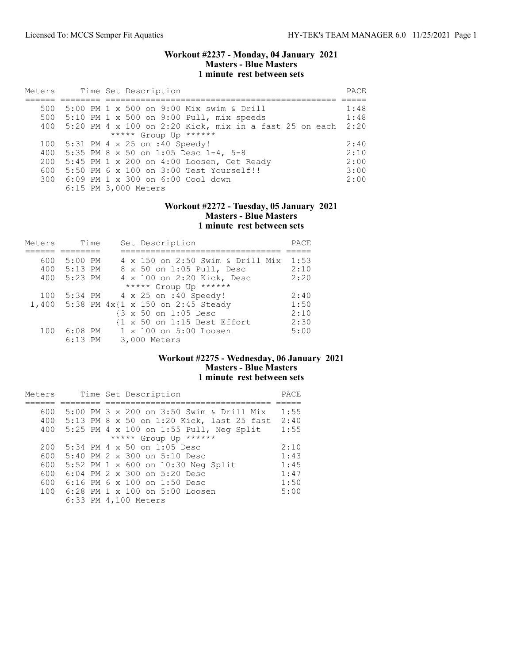### Workout #2237 - Monday, 04 January 2021 Masters - Blue Masters 1 minute rest between sets

| Meters |  | Time Set Description                                   | PACE |
|--------|--|--------------------------------------------------------|------|
|        |  |                                                        |      |
| 500    |  | 5:00 PM 1 x 500 on 9:00 Mix swim & Drill               | 1:48 |
| 500    |  | $5:10$ PM 1 x 500 on 9:00 Pull, mix speeds             | 1:48 |
| 400    |  | 5:20 PM 4 x 100 on 2:20 Kick, mix in a fast 25 on each | 2:20 |
|        |  | ***** Group Up ******                                  |      |
| 100    |  | 5:31 PM 4 x 25 on :40 Speedy!                          | 2:40 |
| 400    |  | 5:35 PM 8 x 50 on 1:05 Desc 1-4, 5-8                   | 2:10 |
| 200    |  | 5:45 PM 1 x 200 on 4:00 Loosen, Get Ready              | 2:00 |
| 600    |  | 5:50 PM 6 x 100 on 3:00 Test Yourself!!                | 3:00 |
|        |  | 300 6:09 PM 1 x 300 on 6:00 Cool down                  | 2:00 |
|        |  | 6:15 PM 3,000 Meters                                   |      |

## Workout #2272 - Tuesday, 05 January 2021 Masters - Blue Masters 1 minute rest between sets

| Meters |           | Time | Set Description                         | PACE |
|--------|-----------|------|-----------------------------------------|------|
|        |           |      |                                         |      |
| 600    | 5:00 PM   |      | 4 x 150 on 2:50 Swim & Drill Mix        | 1:53 |
| 400    | $5:13$ PM |      | 8 x 50 on 1:05 Pull, Desc               | 2:10 |
| 400    | $5:23$ PM |      | 4 x 100 on 2:20 Kick, Desc              | 2:20 |
|        |           |      | ***** Group Up ******                   |      |
| 100    |           |      | 5:34 PM 4 x 25 on :40 Speedy!           | 2:40 |
|        |           |      | 1,400 5:38 PM 4x{1 x 150 on 2:45 Steady | 1:50 |
|        |           |      | {3 x 50 on 1:05 Desc                    | 2:10 |
|        |           |      | {1 x 50 on 1:15 Best Effort             | 2:30 |
| 100    | $6:08$ PM |      | 1 x 100 on 5:00 Loosen                  | 5:00 |
|        | $6:13$ PM |      | 3,000 Meters                            |      |

# Workout #2275 - Wednesday, 06 January 2021 Masters - Blue Masters 1 minute rest between sets

| Meters |  |  | Time Set Description                      | PACE |
|--------|--|--|-------------------------------------------|------|
|        |  |  |                                           |      |
| 600    |  |  | 5:00 PM 3 x 200 on 3:50 Swim & Drill Mix  | 1:55 |
| 400    |  |  | 5:13 PM 8 x 50 on 1:20 Kick, last 25 fast | 2:40 |
| 400    |  |  | 5:25 PM 4 x 100 on 1:55 Pull, Neg Split   | 1:55 |
|        |  |  | ***** Group Up ******                     |      |
| 200    |  |  | $5:34$ PM 4 x 50 on 1:05 Desc             | 2:10 |
| 600    |  |  | 5:40 PM 2 x 300 on 5:10 Desc              | 1:43 |
| 600    |  |  | 5:52 PM 1 x 600 on 10:30 Neg Split        | 1:45 |
| 600    |  |  | $6:04$ PM $2 \times 300$ on $5:20$ Desc   | 1:47 |
| 600    |  |  | $6:16$ PM 6 x 100 on 1:50 Desc            | 1:50 |
| 100    |  |  | 6:28 PM 1 x 100 on 5:00 Loosen            | 5:00 |
|        |  |  | 6:33 PM 4,100 Meters                      |      |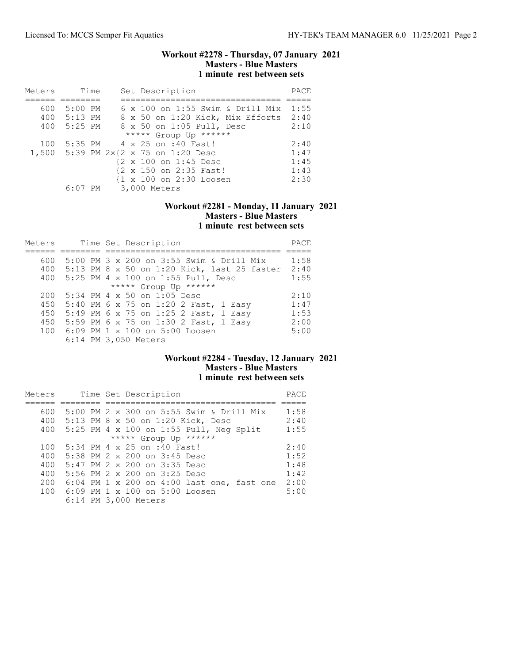### Workout #2278 - Thursday, 07 January 2021 Masters - Blue Masters 1 minute rest between sets

| Meters | Time        | Set Description                         | PACE |
|--------|-------------|-----------------------------------------|------|
|        |             |                                         |      |
| 600    | $5:00$ PM   | $6 \times 100$ on 1:55 Swim & Drill Mix | 1:55 |
|        | 400 5:13 PM | 8 x 50 on 1:20 Kick, Mix Efforts        | 2:40 |
| 400    | 5:25 PM     | 8 x 50 on 1:05 Pull, Desc               | 2:10 |
|        |             | ***** Group Up ******                   |      |
| 100    |             | 5:35 PM 4 x 25 on :40 Fast!             | 2:40 |
|        |             | 1,500 5:39 PM 2x{2 x 75 on 1:20 Desc    | 1:47 |
|        |             | {2 x 100 on 1:45 Desc                   | 1:45 |
|        |             | {2 x 150 on 2:35 Fast!                  | 1:43 |
|        |             | {1 x 100 on 2:30 Loosen                 | 2:30 |
|        |             | 6:07 PM 3,000 Meters                    |      |

## Workout #2281 - Monday, 11 January 2021 Masters - Blue Masters 1 minute rest between sets

| Meters | Time Set Description                        | PACE |
|--------|---------------------------------------------|------|
|        |                                             |      |
| 600    | 5:00 PM 3 x 200 on 3:55 Swim & Drill Mix    | 1:58 |
| 400    | 5:13 PM 8 x 50 on 1:20 Kick, last 25 faster | 2:40 |
| 400    | 5:25 PM 4 x 100 on 1:55 Pull, Desc          | 1:55 |
|        | ***** Group Up ******                       |      |
| 200    | 5:34 PM 4 x 50 on 1:05 Desc                 | 2:10 |
| 450    | 5:40 PM 6 x 75 on 1:20 2 Fast, 1 Easy       | 1:47 |
| 450    | 5:49 PM 6 x 75 on 1:25 2 Fast, 1 Easy       | 1:53 |
| 450    | 5:59 PM 6 x 75 on 1:30 2 Fast, 1 Easy       | 2:00 |
| 100    | 6:09 PM 1 x 100 on 5:00 Loosen              | 5:00 |
|        | 6:14 PM 3,050 Meters                        |      |

# Workout #2284 - Tuesday, 12 January 2021 Masters - Blue Masters 1 minute rest between sets

| Meters |  | Time Set Description                       | PACE |
|--------|--|--------------------------------------------|------|
|        |  |                                            |      |
| 600    |  | 5:00 PM 2 x 300 on 5:55 Swim & Drill Mix   | 1:58 |
| 400    |  | 5:13 PM 8 x 50 on 1:20 Kick, Desc          | 2:40 |
| 400    |  | 5:25 PM 4 x 100 on 1:55 Pull, Neg Split    | 1:55 |
|        |  | ***** Group Up ******                      |      |
| 100    |  | 5:34 PM 4 x 25 on :40 Fast!                | 2:40 |
| 400    |  | 5:38 PM 2 x 200 on 3:45 Desc               | 1:52 |
| 400    |  | 5:47 PM 2 x 200 on 3:35 Desc               | 1:48 |
| 400    |  | 5:56 PM 2 x 200 on 3:25 Desc               | 1:42 |
| 200    |  | 6:04 PM 1 x 200 on 4:00 last one, fast one | 2:00 |
| 100    |  | 6:09 PM 1 x 100 on 5:00 Loosen             | 5:00 |
|        |  | 6:14 PM 3,000 Meters                       |      |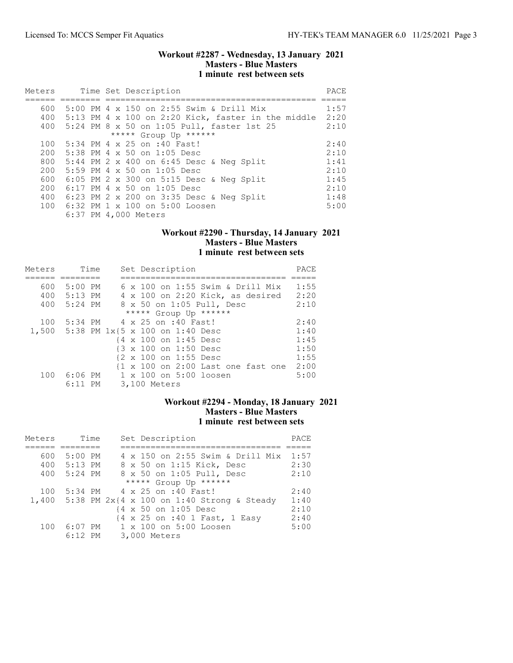### Workout #2287 - Wednesday, 13 January 2021 Masters - Blue Masters 1 minute rest between sets

| Meters     |  | Time Set Description                                                                               | PACE         |
|------------|--|----------------------------------------------------------------------------------------------------|--------------|
| 600        |  | 5:00 PM 4 x 150 on 2:55 Swim & Drill Mix<br>400 5:13 PM 4 x 100 on 2:20 Kick, faster in the middle | 1:57<br>2:20 |
|            |  | 400 5:24 PM 8 x 50 on 1:05 Pull, faster 1st 25<br>***** Group Up ******                            | 2:10         |
| 100<br>200 |  | 5:34 PM 4 x 25 on :40 Fast!<br>$5:38$ PM 4 $\times$ 50 on 1:05 Desc                                | 2:40<br>2:10 |
| 800        |  | 5:44 PM 2 x 400 on 6:45 Desc & Neg Split                                                           | 1:41         |
| 200<br>600 |  | $5:59$ PM 4 x 50 on 1:05 Desc<br>$6:05$ PM 2 x 300 on 5:15 Desc & Neg Split                        | 2:10<br>1:45 |
| 200<br>400 |  | 6:17 PM 4 x 50 on 1:05 Desc<br>$6:23$ PM 2 x 200 on 3:35 Desc & Neq Split                          | 2:10<br>1:48 |
|            |  | 100 6:32 PM 1 x 100 on 5:00 Loosen<br>6:37 PM 4,000 Meters                                         | 5:00         |

# Workout #2290 - Thursday, 14 January 2021 Masters - Blue Masters 1 minute rest between sets

| Meters | Time      | Set Description                         | PACE |
|--------|-----------|-----------------------------------------|------|
|        |           |                                         |      |
| 600    | $5:00$ PM | $6 \times 100$ on 1:55 Swim & Drill Mix | 1:55 |
| 400    | $5:13$ PM | 4 x 100 on 2:20 Kick, as desired        | 2:20 |
| 400    | $5:24$ PM | 8 x 50 on 1:05 Pull, Desc               | 2:10 |
|        |           | ***** Group Up ******                   |      |
| 100    | 5:34 PM   | 4 x 25 on :40 Fast!                     | 2:40 |
|        |           | 1,500 5:38 PM 1x{5 x 100 on 1:40 Desc   | 1:40 |
|        |           | {4 x 100 on 1:45 Desc                   | 1:45 |
|        |           | {3 x 100 on 1:50 Desc                   | 1:50 |
|        |           | {2 x 100 on 1:55 Desc                   | 1:55 |
|        |           | {1 x 100 on 2:00 Last one fast one      | 2:00 |
| 100    | $6:06$ PM | 1 x 100 on 5:00 loosen                  | 5:00 |
|        | $6:11$ PM | 3,100 Meters                            |      |

# Workout #2294 - Monday, 18 January 2021 Masters - Blue Masters 1 minute rest between sets

| Meters | Time      | Set Description                                          | PACE |
|--------|-----------|----------------------------------------------------------|------|
|        |           |                                                          |      |
| 600    | $5:00$ PM | 4 x 150 on 2:55 Swim & Drill Mix                         | 1:57 |
| 400    | 5:13 PM   | 8 x 50 on 1:15 Kick, Desc                                | 2:30 |
| 400    | $5:24$ PM | 8 x 50 on 1:05 Pull, Desc                                | 2:10 |
|        |           | ***** Group Up ******                                    |      |
| 100    |           | 5:34 PM 4 x 25 on :40 Fast!                              | 2:40 |
|        |           | 1,400 5:38 PM $2x(4 \times 100)$ on 1:40 Strong & Steady | 1:40 |
|        |           | {4 x 50 on 1:05 Desc                                     | 2:10 |
|        |           | {4 x 25 on :40 1 Fast, 1 Easy                            | 2:40 |
| 100    |           | 6:07 PM 1 x 100 on 5:00 Loosen                           | 5:00 |
|        | $6:12$ PM | 3,000 Meters                                             |      |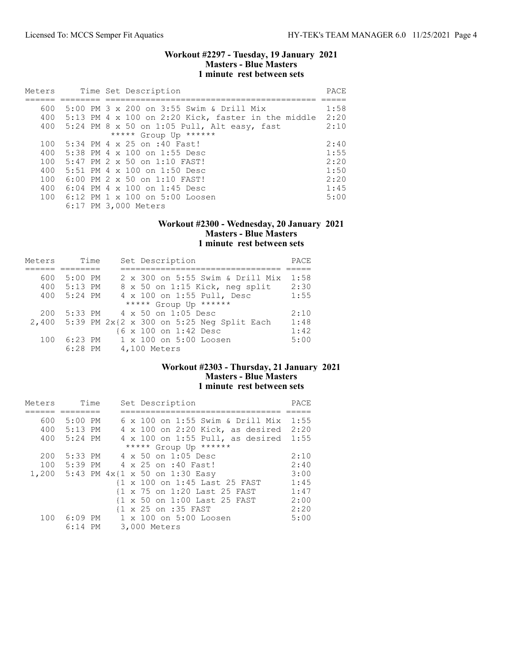### Workout #2297 - Tuesday, 19 January 2021 Masters - Blue Masters 1 minute rest between sets

| Meters |  | Time Set Description                               | PACE |
|--------|--|----------------------------------------------------|------|
|        |  |                                                    |      |
| 600    |  | 5:00 PM 3 x 200 on 3:55 Swim & Drill Mix           | 1:58 |
| 400    |  | 5:13 PM 4 x 100 on 2:20 Kick, faster in the middle | 2:20 |
| 400    |  | 5:24 PM 8 x 50 on 1:05 Pull, Alt easy, fast        | 2:10 |
|        |  | ***** Group Up ******                              |      |
| 100    |  | 5:34 PM 4 x 25 on :40 Fast!                        | 2:40 |
| 400    |  | 5:38 PM 4 x 100 on 1:55 Desc                       | 1:55 |
| 100    |  | 5:47 PM 2 x 50 on 1:10 FAST!                       | 2:20 |
| 400    |  | $5:51$ PM 4 x 100 on 1:50 Desc                     | 1:50 |
| 100    |  | $6:00$ PM 2 $\times$ 50 on 1:10 FAST!              | 2:20 |
| 400    |  | $6:04$ PM $4 \times 100$ on 1:45 Desc              | 1:45 |
|        |  | 100 6:12 PM 1 x 100 on 5:00 Loosen                 | 5:00 |
|        |  | 6:17 PM 3,000 Meters                               |      |

### Workout #2300 - Wednesday, 20 January 2021 Masters - Blue Masters 1 minute rest between sets

| Meters | Time      | Set Description                              | PACE |
|--------|-----------|----------------------------------------------|------|
|        |           |                                              |      |
| 600    | $5:00$ PM | 2 x 300 on 5:55 Swim & Drill Mix             | 1:58 |
| 400    | $5:13$ PM | 8 x 50 on 1:15 Kick, neg split               | 2:30 |
| 400    | 5:24 PM   | 4 x 100 on 1:55 Pull, Desc                   | 1:55 |
|        |           | ***** Group Up ******                        |      |
| 200    |           | 5:33 PM 4 x 50 on 1:05 Desc                  | 2:10 |
| 2,400  |           | 5:39 PM $2x{2 x}$ 300 on 5:25 Neg Split Each | 1:48 |
|        |           | {6 x 100 on 1:42 Desc                        | 1:42 |
| 100    | $6:23$ PM | 1 x 100 on 5:00 Loosen                       | 5:00 |
|        | $6:28$ PM | 4,100 Meters                                 |      |

# Workout #2303 - Thursday, 21 January 2021 Masters - Blue Masters 1 minute rest between sets

| Meters |             | Time | Set Description                                                        | PACE |
|--------|-------------|------|------------------------------------------------------------------------|------|
|        |             |      |                                                                        |      |
| 600    | $5:00$ PM   |      | 6 x 100 on 1:55 Swim & Drill Mix                                       | 1:55 |
|        | 400 5:13 PM |      | 4 x 100 on 2:20 Kick, as desired                                       | 2:20 |
|        | 400 5:24 PM |      | 4 x 100 on 1:55 Pull, as desired 1:55                                  |      |
|        |             |      | ***** Group Up ******                                                  |      |
| 200    | $5:33$ PM   |      | 4 x 50 on 1:05 Desc                                                    | 2:10 |
| 100    |             |      | 5:39 PM 4 x 25 on :40 Fast!                                            | 2:40 |
|        |             |      | 1,200 5:43 PM $4 \times \{1 \times 50 \text{ on } 1:30 \text{ Easy}\}$ | 3:00 |
|        |             |      | {1 x 100 on 1:45 Last 25 FAST                                          | 1:45 |
|        |             |      | {1 x 75 on 1:20 Last 25 FAST                                           | 1:47 |
|        |             |      | {1 x 50 on 1:00 Last 25 FAST                                           | 2:00 |
|        |             |      | {1 x 25 on :35 FAST                                                    | 2:20 |
| 100    | 6:09 PM     |      | 1 x 100 on 5:00 Loosen                                                 | 5:00 |
|        | $6:14$ PM   |      | 3,000 Meters                                                           |      |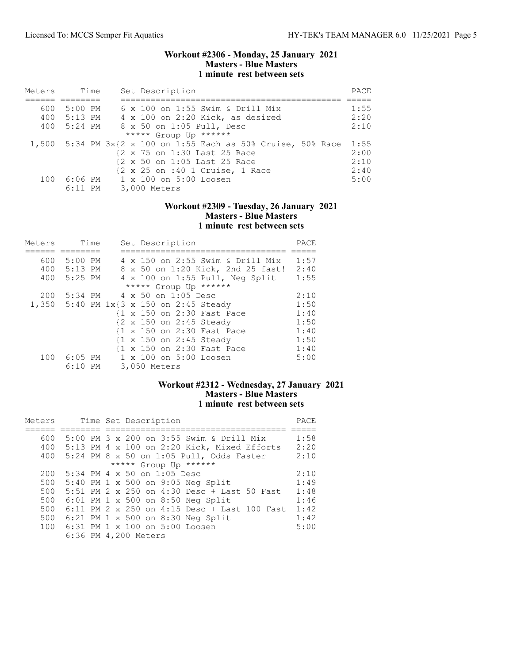### Workout #2306 - Monday, 25 January 2021 Masters - Blue Masters 1 minute rest between sets

| Meters |           | Time | Set Description                |                                                               | PACE |
|--------|-----------|------|--------------------------------|---------------------------------------------------------------|------|
|        |           |      |                                |                                                               |      |
| 600    | $5:00$ PM |      |                                | 6 x 100 on 1:55 Swim & Drill Mix                              | 1:55 |
| 400    | 5:13 PM   |      |                                | 4 x 100 on 2:20 Kick, as desired                              | 2:20 |
| 400    | 5:24 PM   |      |                                | 8 x 50 on 1:05 Pull, Desc                                     | 2:10 |
|        |           |      | ***** Group Up ******          |                                                               |      |
|        |           |      |                                | 1,500 5:34 PM 3x{2 x 100 on 1:55 Each as 50% Cruise, 50% Race | 1:55 |
|        |           |      |                                | {2 x 75 on 1:30 Last 25 Race                                  | 2:00 |
|        |           |      |                                | {2 x 50 on 1:05 Last 25 Race                                  | 2:10 |
|        |           |      |                                | {2 x 25 on :40 1 Cruise, 1 Race                               | 2:40 |
| 100    |           |      | 6:06 PM 1 x 100 on 5:00 Loosen |                                                               | 5:00 |
|        | $6:11$ PM |      | 3,000 Meters                   |                                                               |      |

## Workout #2309 - Tuesday, 26 January 2021 Masters - Blue Masters 1 minute rest between sets

| Meters |                                         | Time |                             |              | Set Description            |                                   | PACE |
|--------|-----------------------------------------|------|-----------------------------|--------------|----------------------------|-----------------------------------|------|
|        |                                         |      |                             |              |                            |                                   |      |
| 600    | 5:00 PM                                 |      |                             |              |                            | 4 x 150 on 2:55 Swim & Drill Mix  | 1:57 |
| 400    | 5:13 PM                                 |      |                             |              |                            | 8 x 50 on 1:20 Kick, 2nd 25 fast! | 2:40 |
| 400    | 5:25 PM                                 |      |                             |              |                            | 4 x 100 on 1:55 Pull, Neg Split   | 1:55 |
|        |                                         |      |                             |              | ***** Group Up ******      |                                   |      |
| 200    |                                         |      | 5:34 PM 4 x 50 on 1:05 Desc |              |                            |                                   | 2:10 |
|        | 1,350 5:40 PM 1x{3 x 150 on 2:45 Steady |      |                             |              |                            |                                   | 1:50 |
|        |                                         |      |                             |              | {1 x 150 on 2:30 Fast Pace |                                   | 1:40 |
|        |                                         |      |                             |              | {2 x 150 on 2:45 Steady    |                                   | 1:50 |
|        |                                         |      |                             |              | {1 x 150 on 2:30 Fast Pace |                                   | 1:40 |
|        |                                         |      |                             |              | {1 x 150 on 2:45 Steady    |                                   | 1:50 |
|        |                                         |      |                             |              | {1 x 150 on 2:30 Fast Pace |                                   | 1:40 |
| 100    | $6:05$ PM                               |      |                             |              | 1 x 100 on 5:00 Loosen     |                                   | 5:00 |
|        | $6:10$ PM                               |      |                             | 3,050 Meters |                            |                                   |      |

# Workout #2312 - Wednesday, 27 January 2021 Masters - Blue Masters 1 minute rest between sets

| Meters |  | Time Set Description                         | PACE |
|--------|--|----------------------------------------------|------|
|        |  |                                              |      |
| 600    |  | 5:00 PM 3 x 200 on 3:55 Swim & Drill Mix     | 1:58 |
| 400    |  | 5:13 PM 4 x 100 on 2:20 Kick, Mixed Efforts  | 2:20 |
| 400    |  | 5:24 PM 8 x 50 on 1:05 Pull, Odds Faster     | 2:10 |
|        |  | ***** Group Up ******                        |      |
| 200    |  | 5:34 PM 4 x 50 on 1:05 Desc                  | 2:10 |
| 500    |  | 5:40 PM 1 x 500 on 9:05 Neg Split            | 1:49 |
| 500    |  | 5:51 PM 2 x 250 on 4:30 Desc + Last 50 Fast  | 1:48 |
| 500    |  | 6:01 PM 1 x 500 on 8:50 Neg Split            | 1:46 |
| 500    |  | 6:11 PM 2 x 250 on 4:15 Desc + Last 100 Fast | 1:42 |
| 500    |  | 6:21 PM 1 x 500 on 8:30 Neg Split            | 1:42 |
| 100    |  | 6:31 PM 1 x 100 on 5:00 Loosen               | 5:00 |
|        |  | 6:36 PM 4,200 Meters                         |      |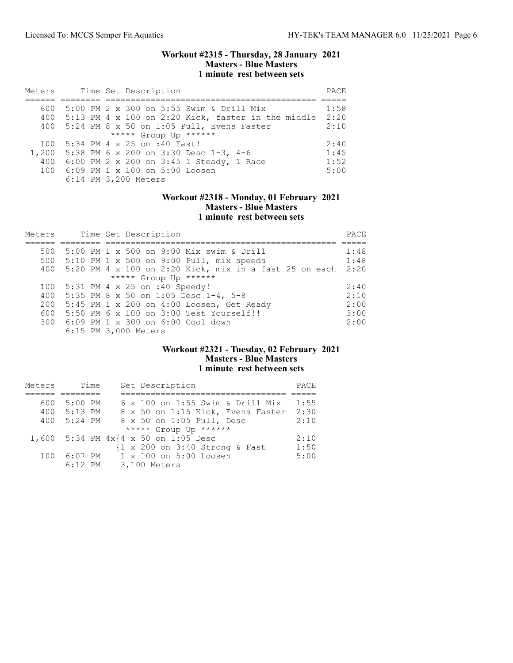### Workout #2315 - Thursday, 28 January 2021 Masters - Blue Masters 1 minute rest between sets

| Meters |  | Time Set Description                                   | PACE |
|--------|--|--------------------------------------------------------|------|
|        |  |                                                        |      |
| 600    |  | 5:00 PM 2 x 300 on 5:55 Swim & Drill Mix               | 1:58 |
|        |  | 400 5:13 PM 4 x 100 on 2:20 Kick, faster in the middle | 2:20 |
|        |  | 400 5:24 PM 8 x 50 on 1:05 Pull, Evens Faster          | 2:10 |
|        |  | ***** Group Up ******                                  |      |
| 100    |  | 5:34 PM 4 x 25 on :40 Fast!                            | 2:40 |
| 1,200  |  | 5:38 PM 6 x 200 on 3:30 Desc 1-3, 4-6                  | 1:45 |
| 400    |  | 6:00 PM 2 x 200 on 3:45 1 Steady, 1 Race               | 1:52 |
| 100    |  | 6:09 PM 1 x 100 on 5:00 Loosen                         | 5:00 |
|        |  | 6:14 PM 3,200 Meters                                   |      |

### Workout #2318 - Monday, 01 February 2021 Masters - Blue Masters 1 minute rest between sets

| Meters |  | Time Set Description                                   | PACE |
|--------|--|--------------------------------------------------------|------|
|        |  |                                                        |      |
| 500    |  | 5:00 PM 1 x 500 on 9:00 Mix swim & Drill               | 1:48 |
| 500    |  | $5:10$ PM 1 x 500 on 9:00 Pull, mix speeds             | 1:48 |
| 400    |  | 5:20 PM 4 x 100 on 2:20 Kick, mix in a fast 25 on each | 2:20 |
|        |  | ***** Group Up ******                                  |      |
| 100    |  | 5:31 PM 4 x 25 on :40 Speedy!                          | 2:40 |
| 400    |  | 5:35 PM 8 x 50 on 1:05 Desc $1-4$ , 5-8                | 2:10 |
| 200    |  | 5:45 PM 1 x 200 on 4:00 Loosen, Get Ready              | 2:00 |
| 600    |  | 5:50 PM 6 x 100 on 3:00 Test Yourself!!                | 3:00 |
|        |  | 300 6:09 PM 1 x 300 on 6:00 Cool down                  | 2:00 |
|        |  | 6:15 PM 3,000 Meters                                   |      |

#### Workout #2321 - Tuesday, 02 February 2021 Masters - Blue Masters 1 minute rest between sets

| Meters | Time      | Set Description                                   | PACE |
|--------|-----------|---------------------------------------------------|------|
|        |           |                                                   |      |
| 600    | $5:00$ PM | $6 \times 100$ on 1:55 Swim & Drill Mix           | 1:55 |
| 400    | $5:13$ PM | 8 x 50 on 1:15 Kick, Evens Faster                 | 2:30 |
| 400    | $5:24$ PM | 8 x 50 on 1:05 Pull, Desc                         | 2:10 |
|        |           | ***** Group Up ******                             |      |
|        |           | 1,600 5:34 PM $4 \times 4 \times 50$ on 1:05 Desc | 2:10 |
|        |           | {1 x 200 on 3:40 Strong & Fast                    | 1:50 |
| 100    | $6:07$ PM | 1 x 100 on 5:00 Loosen                            | 5:00 |
|        | $6:12$ PM | 3,100 Meters                                      |      |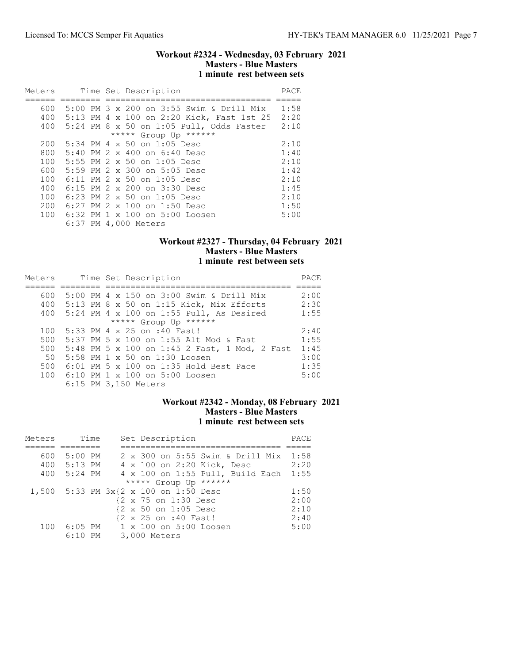### Workout #2324 - Wednesday, 03 February 2021 Masters - Blue Masters 1 minute rest between sets

| Meters |  | Time Set Description                              | PACE |
|--------|--|---------------------------------------------------|------|
| 600    |  | 5:00 PM $3 \times 200$ on $3:55$ Swim & Drill Mix | 1:58 |
| 400    |  | 5:13 PM 4 x 100 on 2:20 Kick, Fast 1st 25         | 2:20 |
| 400    |  | $5:24$ PM $8$ x $50$ on $1:05$ Pull, Odds Faster  | 2:10 |
|        |  | ***** Group Up ******                             |      |
| 200    |  | 5:34 PM 4 x 50 on 1:05 Desc                       | 2:10 |
| 800    |  | $5:40$ PM $2 \times 400$ on $6:40$ Desc           | 1:40 |
| 100    |  | 5:55 PM 2 x 50 on 1:05 Desc                       | 2:10 |
| 600    |  | 5:59 PM 2 x 300 on 5:05 Desc                      | 1:42 |
| 100    |  | 6:11 PM 2 x 50 on 1:05 Desc                       | 2:10 |
| 400    |  | 6:15 PM 2 x 200 on 3:30 Desc                      | 1:45 |
| 100    |  | 6:23 PM 2 x 50 on 1:05 Desc                       | 2:10 |
| 200    |  | $6:27$ PM 2 x 100 on 1:50 Desc                    | 1:50 |
| 100    |  | 6:32 PM 1 x 100 on 5:00 Loosen                    | 5:00 |
|        |  | 6:37 PM 4,000 Meters                              |      |

## Workout #2327 - Thursday, 04 February 2021 Masters - Blue Masters 1 minute rest between sets

| Meters |  | Time Set Description                              | PACE |
|--------|--|---------------------------------------------------|------|
|        |  |                                                   |      |
| 600    |  | 5:00 PM $4 \times 150$ on 3:00 Swim & Drill Mix   | 2:00 |
| 400    |  | $5:13$ PM 8 x 50 on 1:15 Kick, Mix Efforts        | 2:30 |
| 400    |  | $5:24$ PM $4 \times 100$ on 1:55 Pull, As Desired | 1:55 |
|        |  | ***** Group Up ******                             |      |
| 100    |  | 5:33 PM 4 x 25 on :40 Fast!                       | 2:40 |
| 500    |  | 5:37 PM 5 x 100 on 1:55 Alt Mod & Fast            | 1:55 |
| 500    |  | 5:48 PM 5 x 100 on 1:45 2 Fast, 1 Mod, 2 Fast     | 1:45 |
| 50     |  | 5:58 PM 1 x 50 on 1:30 Loosen                     | 3:00 |
| 500    |  | $6:01$ PM 5 x 100 on 1:35 Hold Best Pace          | 1:35 |
| 100    |  | 6:10 PM 1 x 100 on 5:00 Loosen                    | 5:00 |
|        |  | 6:15 PM 3,150 Meters                              |      |

### Workout #2342 - Monday, 08 February 2021 Masters - Blue Masters 1 minute rest between sets

| Meters |             | Time | Set Description                       | PACE |
|--------|-------------|------|---------------------------------------|------|
|        |             |      |                                       |      |
| 600    | $5:00$ PM   |      | 2 x 300 on 5:55 Swim & Drill Mix      | 1:58 |
|        | 400 5:13 PM |      | 4 x 100 on 2:20 Kick, Desc            | 2:20 |
| 400    | 5:24 PM     |      | 4 x 100 on 1:55 Pull, Build Each      | 1:55 |
|        |             |      | ***** Group Up ******                 |      |
|        |             |      | 1,500 5:33 PM 3x{2 x 100 on 1:50 Desc | 1:50 |
|        |             |      | {2 x 75 on 1:30 Desc                  | 2:00 |
|        |             |      | {2 x 50 on 1:05 Desc                  | 2:10 |
|        |             |      | {2 x 25 on :40 Fast!                  | 2:40 |
| 100    |             |      | 6:05 PM 1 x 100 on 5:00 Loosen        | 5:00 |
|        | $6:10$ PM   |      | 3,000 Meters                          |      |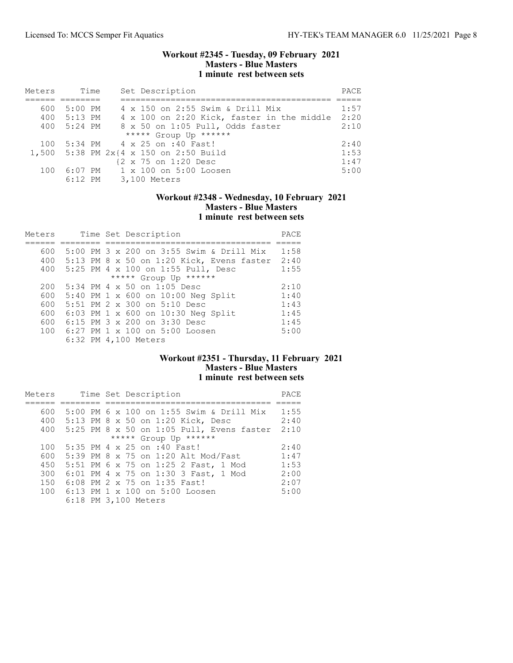### Workout #2345 - Tuesday, 09 February 2021 Masters - Blue Masters 1 minute rest between sets

| Meters | Time      | Set Description                            | PACE |
|--------|-----------|--------------------------------------------|------|
|        |           |                                            |      |
| 600    | 5:00 PM   | 4 x 150 on 2:55 Swim & Drill Mix           | 1:57 |
| 400    | $5:13$ PM | 4 x 100 on 2:20 Kick, faster in the middle | 2:20 |
| 400    | $5:24$ PM | 8 x 50 on 1:05 Pull, Odds faster           | 2:10 |
|        |           | ***** Group Up ******                      |      |
| 100    |           | 5:34 PM 4 x 25 on :40 Fast!                | 2:40 |
| 1,500  |           | 5:38 PM $2x(4 \times 150)$ on 2:50 Build   | 1:53 |
|        |           | {2 x 75 on 1:20 Desc                       | 1:47 |
| 100    | $6:07$ PM | 1 x 100 on 5:00 Loosen                     | 5:00 |
|        | $6:12$ PM | 3,100 Meters                               |      |

### Workout #2348 - Wednesday, 10 February 2021 Masters - Blue Masters 1 minute rest between sets

| Meters | Time Set Description                      | PACE |
|--------|-------------------------------------------|------|
|        |                                           |      |
| 600    | 5:00 PM 3 x 200 on 3:55 Swim & Drill Mix  | 1:58 |
| 400    | 5:13 PM 8 x 50 on 1:20 Kick, Evens faster | 2:40 |
| 400    | 5:25 PM 4 x 100 on 1:55 Pull, Desc        | 1:55 |
|        | ***** Group Up ******                     |      |
| 200    | 5:34 PM 4 x 50 on 1:05 Desc               | 2:10 |
| 600    | 5:40 PM 1 x 600 on 10:00 Neg Split        | 1:40 |
| 600    | 5:51 PM 2 x 300 on 5:10 Desc              | 1:43 |
| 600    | 6:03 PM 1 x 600 on 10:30 Neg Split        | 1:45 |
| 600    | 6:15 PM 3 x 200 on 3:30 Desc              | 1:45 |
| 100    | 6:27 PM 1 x 100 on 5:00 Loosen            | 5:00 |
|        | 6:32 PM 4,100 Meters                      |      |

# Workout #2351 - Thursday, 11 February 2021 Masters - Blue Masters 1 minute rest between sets

| Meters |  | Time Set Description                        | PACE |
|--------|--|---------------------------------------------|------|
|        |  |                                             |      |
| 600    |  | 5:00 PM 6 x 100 on 1:55 Swim & Drill Mix    | 1:55 |
| 400    |  | 5:13 PM 8 x 50 on 1:20 Kick, Desc           | 2:40 |
| 400    |  | $5:25$ PM 8 x 50 on 1:05 Pull, Evens faster | 2:10 |
|        |  | ***** Group Up ******                       |      |
| 100    |  | 5:35 PM 4 x 25 on :40 Fast!                 | 2:40 |
| 600    |  | 5:39 PM 8 x 75 on 1:20 Alt Mod/Fast         | 1:47 |
| 450    |  | 5:51 PM 6 x 75 on 1:25 2 Fast, 1 Mod        | 1:53 |
| 300    |  | 6:01 PM 4 x 75 on 1:30 3 Fast, 1 Mod        | 2:00 |
| 150    |  | 6:08 PM 2 x 75 on 1:35 Fast!                | 2:07 |
|        |  | 100 6:13 PM 1 x 100 on 5:00 Loosen          | 5:00 |
|        |  | 6:18 PM 3,100 Meters                        |      |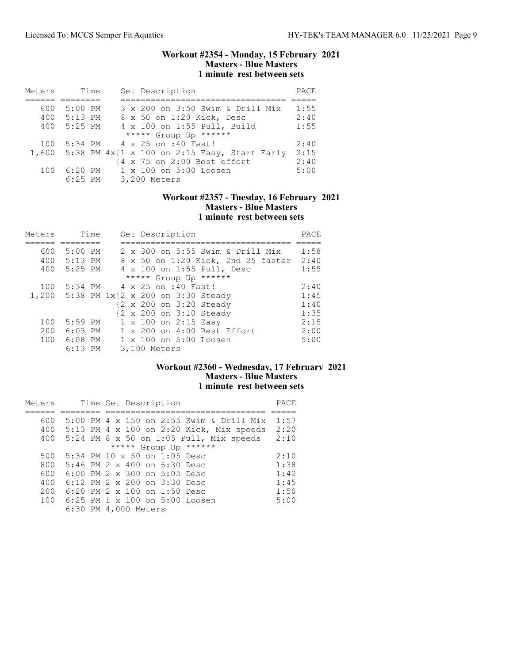### Workout #2354 - Monday, 15 February 2021 Masters - Blue Masters 1 minute rest between sets

| Meters | Time      | Set Description                                    | PACE |
|--------|-----------|----------------------------------------------------|------|
|        |           |                                                    |      |
| 600    | 5:00 PM   | 3 x 200 on 3:50 Swim & Drill Mix                   | 1:55 |
| 400    | 5:13 PM   | 8 x 50 on 1:20 Kick, Desc                          | 2:40 |
| 400    | 5:25 PM   | 4 x 100 on 1:55 Pull, Build                        | 1:55 |
|        |           | ***** Group Up ******                              |      |
| 100    |           | 5:34 PM 4 x 25 on :40 Fast!                        | 2:40 |
|        |           | 1,600 5:38 PM 4x{1 x 100 on 2:15 Easy, Start Early | 2:15 |
|        |           | {4 x 75 on 2:00 Best effort                        | 2:40 |
| 100    | $6:20$ PM | 1 x 100 on 5:00 Loosen                             | 5:00 |
|        | $6:25$ PM | 3,200 Meters                                       |      |

### Workout #2357 - Tuesday, 16 February 2021 Masters - Blue Masters 1 minute rest between sets

| Meters | Time      | Set Description                         | PACE |
|--------|-----------|-----------------------------------------|------|
|        |           |                                         |      |
| 600    | $5:00$ PM | 2 x 300 on 5:55 Swim & Drill Mix        | 1:58 |
| 400    | $5:13$ PM | 8 x 50 on 1:20 Kick, 2nd 25 faster      | 2:40 |
| 400    | 5:25 PM   | 4 x 100 on 1:55 Pull, Desc              | 1:55 |
|        |           | ***** Group Up ******                   |      |
| 100    |           | 5:34 PM 4 x 25 on :40 Fast!             | 2:40 |
|        |           | 1,200 5:38 PM 1x{2 x 200 on 3:30 Steady | 1:45 |
|        |           | {2 x 200 on 3:20 Steady                 | 1:40 |
|        |           | {2 x 200 on 3:10 Steady                 | 1:35 |
| 100    | $5:59$ PM | 1 x 100 on 2:15 Easy                    | 2:15 |
| 200    | $6:03$ PM | 1 x 200 on 4:00 Best Effort             | 2:00 |
| 100    | $6:08$ PM | 1 x 100 on 5:00 Loosen                  | 5:00 |
|        | $6:13$ PM | 3,100 Meters                            |      |

# Workout #2360 - Wednesday, 17 February 2021 Masters - Blue Masters 1 minute rest between sets

| Meters | Time Set Description                     | PACE |
|--------|------------------------------------------|------|
|        |                                          |      |
| 600    | 5:00 PM 4 x 150 on 2:55 Swim & Drill Mix | 1:57 |
| 400    | 5:13 PM 4 x 100 on 2:20 Kick, Mix speeds | 2:20 |
| 400    | 5:24 PM 8 x 50 on 1:05 Pull, Mix speeds  | 2:10 |
|        | ***** Group Up ******                    |      |
| 500    | $5:34$ PM 10 x 50 on 1:05 Desc           | 2:10 |
| 800    | $5:46$ PM $2 \times 400$ on $6:30$ Desc  | 1:38 |
| 600    | $6:00$ PM 2 x 300 on 5:05 Desc           | 1:42 |
| 400    | $6:12$ PM $2 \times 200$ on $3:30$ Desc  | 1:45 |
| 200    | 6:20 PM 2 x 100 on 1:50 Desc             | 1:50 |
| 100    | 6:25 PM 1 x 100 on 5:00 Loosen           | 5:00 |
|        | 6:30 PM 4,000 Meters                     |      |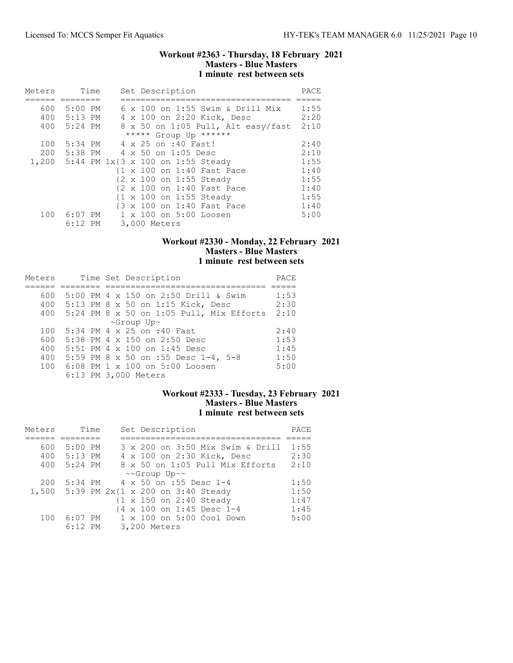### Workout #2363 - Thursday, 18 February 2021 Masters - Blue Masters 1 minute rest between sets

| Meters | Time      |  | Set Description                         | PACE |
|--------|-----------|--|-----------------------------------------|------|
|        |           |  |                                         |      |
| 600    | 5:00 PM   |  | 6 x 100 on 1:55 Swim & Drill Mix        | 1:55 |
| 400    | $5:13$ PM |  | 4 x 100 on 2:20 Kick, Desc              | 2:20 |
| 400    | $5:24$ PM |  | 8 x 50 on 1:05 Pull, Alt easy/fast      | 2:10 |
|        |           |  | ***** Group Up ******                   |      |
| 100    | $5:34$ PM |  | 4 x 25 on :40 Fast!                     | 2:40 |
| 200    | 5:38 PM   |  | 4 x 50 on 1:05 Desc                     | 2:10 |
|        |           |  | 1,200 5:44 PM 1x{3 x 100 on 1:55 Steady | 1:55 |
|        |           |  | {1 x 100 on 1:40 Fast Pace              | 1:40 |
|        |           |  | {2 x 100 on 1:55 Steady                 | 1:55 |
|        |           |  | {2 x 100 on 1:40 Fast Pace              | 1:40 |
|        |           |  | {1 x 100 on 1:55 Steady                 | 1:55 |
|        |           |  | {3 x 100 on 1:40 Fast Pace              | 1:40 |
| 100    | 6:07 PM   |  | 1 x 100 on 5:00 Loosen                  | 5:00 |
|        | $6:12$ PM |  | 3,000 Meters                            |      |

## Workout #2330 - Monday, 22 February 2021 Masters - Blue Masters 1 minute rest between sets

| Meters |  | Time Set Description                       | PACE |
|--------|--|--------------------------------------------|------|
|        |  |                                            |      |
| 600    |  | 5:00 PM 4 x 150 on 2:50 Drill & Swim       | 1:53 |
|        |  | 400 5:13 PM 8 x 50 on 1:15 Kick, Desc      | 2:30 |
| 400    |  | $5:24$ PM 8 x 50 on 1:05 Pull, Mix Efforts | 2:10 |
|        |  | $\sim$ Group Up $\sim$                     |      |
| 100    |  | 5:34 PM 4 x 25 on :40 Fast                 | 2:40 |
| 600    |  | 5:38 PM 4 x 150 on 2:50 Desc               | 1:53 |
| 400    |  | 5:51 PM 4 x 100 on 1:45 Desc               | 1:45 |
| 400    |  | 5:59 PM 8 x 50 on :55 Desc 1-4, 5-8        | 1:50 |
|        |  | 100 6:08 PM 1 x 100 on 5:00 Loosen         | 5:00 |
|        |  | 6:13 PM 3,000 Meters                       |      |

## Workout #2333 - Tuesday, 23 February 2021 Masters - Blue Masters 1 minute rest between sets

| Meters |           | Time | Set Description                      | PACE |
|--------|-----------|------|--------------------------------------|------|
|        |           |      |                                      |      |
| 600    | $5:00$ PM |      | 3 x 200 on 3:50 Mix Swim & Drill     | 1:55 |
| 400    | $5:13$ PM |      | 4 x 100 on 2:30 Kick, Desc           | 2:30 |
| 400    | $5:24$ PM |      | 8 x 50 on 1:05 Pull Mix Efforts      | 2:10 |
|        |           |      | ~~Group Up~~                         |      |
| 200    | $5:34$ PM |      | 4 x 50 on :55 Desc 1-4               | 1:50 |
| 1,500  |           |      | 5:39 PM $2x{1 x 200 on 3:40 Steady}$ | 1:50 |
|        |           |      | {1 x 150 on 2:40 Steady              | 1:47 |
|        |           |      | {4 x 100 on 1:45 Desc 1-4            | 1:45 |
| 100    | $6:07$ PM |      | $1 \times 100$ on $5:00$ Cool Down   | 5:00 |
|        | $6:12$ PM |      | 3,200 Meters                         |      |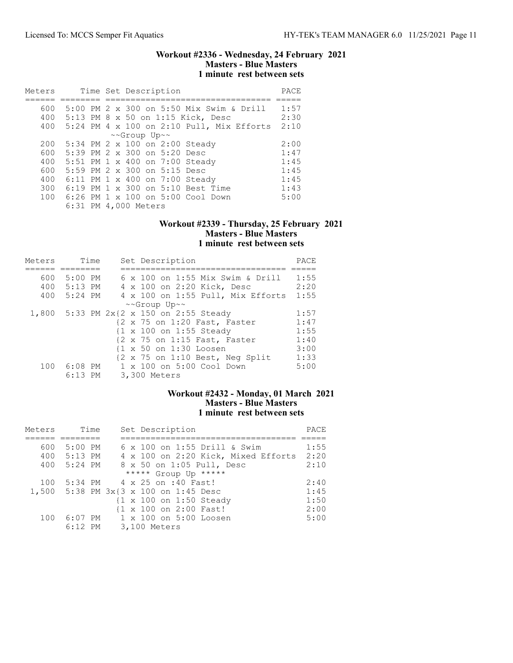### Workout #2336 - Wednesday, 24 February 2021 Masters - Blue Masters 1 minute rest between sets

| Meters |                      |  |              | Time Set Description                |                                              | PACE |
|--------|----------------------|--|--------------|-------------------------------------|----------------------------------------------|------|
|        |                      |  |              |                                     |                                              |      |
| 600    |                      |  |              |                                     | 5:00 PM 2 x 300 on 5:50 Mix Swim & Drill     | 1:57 |
| 400    |                      |  |              |                                     | 5:13 PM 8 x 50 on 1:15 Kick, Desc            | 2:30 |
| 400    |                      |  |              |                                     | 5:24 PM 4 x 100 on 2:10 Pull, Mix Efforts    | 2:10 |
|        |                      |  | ~~Group Up~~ |                                     |                                              |      |
| 200    |                      |  |              |                                     | 5:34 PM 2 x 100 on 2:00 Steady               | 2:00 |
| 600    |                      |  |              | 5:39 PM $2 \times 300$ on 5:20 Desc |                                              | 1:47 |
| 400    |                      |  |              |                                     | 5:51 PM 1 x 400 on 7:00 Steady               | 1:45 |
| 600    |                      |  |              | 5:59 PM 2 x 300 on 5:15 Desc        |                                              | 1:45 |
| 400    |                      |  |              |                                     | 6:11 PM 1 x 400 on 7:00 Steady               | 1:45 |
| 300    |                      |  |              |                                     | 6:19 PM 1 x 300 on 5:10 Best Time            | 1:43 |
| 100    |                      |  |              |                                     | $6:26$ PM $1 \times 100$ on $5:00$ Cool Down | 5:00 |
|        | 6:31 PM 4,000 Meters |  |              |                                     |                                              |      |

## Workout #2339 - Thursday, 25 February 2021 Masters - Blue Masters 1 minute rest between sets

| Meters | Time        | Set Description                                                    | PACE |
|--------|-------------|--------------------------------------------------------------------|------|
|        |             |                                                                    |      |
| 600    | 5:00 PM     | 6 x 100 on 1:55 Mix Swim & Drill                                   | 1:55 |
| 400    | 5:13 PM     | 4 x 100 on 2:20 Kick, Desc                                         | 2:20 |
|        | 400 5:24 PM | 4 x 100 on 1:55 Pull, Mix Efforts                                  | 1:55 |
|        |             | ~~Group Up~~                                                       |      |
| 1,800  |             | 5:33 PM 2x{2 x 150 on 2:55 Steady                                  | 1:57 |
|        |             | {2 x 75 on 1:20 Fast, Faster                                       | 1:47 |
|        |             | {1 x 100 on 1:55 Steady                                            | 1:55 |
|        |             | {2 x 75 on 1:15 Fast, Faster                                       | 1:40 |
|        |             | {1 x 50 on 1:30 Loosen                                             | 3:00 |
|        |             | $\{2 \times 75 \text{ on } 1:10 \text{ Best}, \text{ Neg Split}\}$ | 1:33 |
| 100    | 6:08 PM     | 1 x 100 on 5:00 Cool Down                                          | 5:00 |
|        | $6:13$ PM   | 3,300 Meters                                                       |      |

## Workout #2432 - Monday, 01 March 2021 Masters - Blue Masters 1 minute rest between sets

| Meters | Time        | Set Description                                    | PACE |
|--------|-------------|----------------------------------------------------|------|
|        |             |                                                    |      |
| 600    | 5:00 PM     | 6 x 100 on 1:55 Drill & Swim                       | 1:55 |
|        | 400 5:13 PM | 4 x 100 on 2:20 Kick, Mixed Efforts                | 2:20 |
| 400    | 5:24 PM     | 8 x 50 on 1:05 Pull, Desc                          | 2:10 |
|        |             | ***** Group Up *****                               |      |
| 100    |             | 5:34 PM 4 x 25 on :40 Fast!                        | 2:40 |
|        |             | 1,500 5:38 PM 3x{3 x 100 on 1:45 Desc              | 1:45 |
|        |             | $\{1 \times 100 \text{ on } 1:50 \text{ Steady}\}$ | 1:50 |
|        |             | {1 x 100 on 2:00 Fast!                             | 2:00 |
| 100    |             | 6:07 PM 1 x 100 on 5:00 Loosen                     | 5:00 |
|        | $6:12$ PM   | 3,100 Meters                                       |      |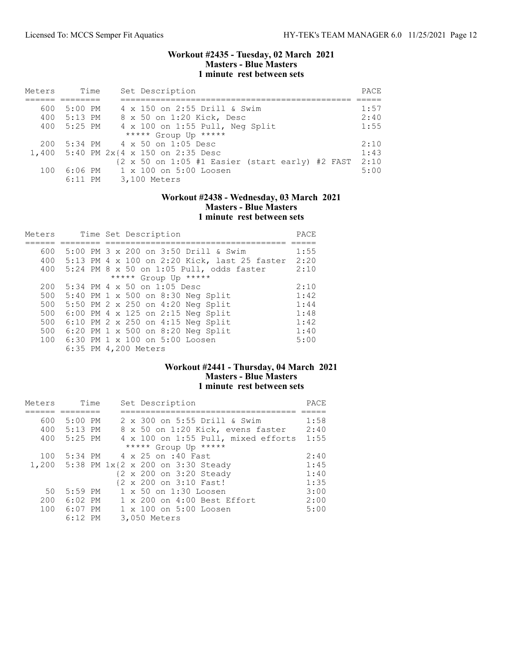### Workout #2435 - Tuesday, 02 March 2021 Masters - Blue Masters 1 minute rest between sets

| Meters | Time      | Set Description                                                                   | PACE |
|--------|-----------|-----------------------------------------------------------------------------------|------|
|        |           |                                                                                   |      |
| 600    | $5:00$ PM | 4 x 150 on 2:55 Drill & Swim                                                      | 1:57 |
| 400    | 5:13 PM   | 8 x 50 on 1:20 Kick, Desc                                                         | 2:40 |
| 400    | 5:25 PM   | 4 x 100 on 1:55 Pull, Neg Split                                                   | 1:55 |
|        |           | ***** Group Up *****                                                              |      |
| 200    |           | 5:34 PM 4 x 50 on 1:05 Desc                                                       | 2:10 |
|        |           | 1,400 5:40 PM 2x{4 x 150 on 2:35 Desc                                             | 1:43 |
|        |           | $\{2 \times 50 \text{ on } 1:05 \text{ #1 Basic} \text{ (start early) #2 FAST}\}$ | 2:10 |
| 100    |           | 6:06 PM 1 x 100 on 5:00 Loosen                                                    | 5:00 |
|        |           | 6:11 PM 3,100 Meters                                                              |      |

### Workout #2438 - Wednesday, 03 March 2021 Masters - Blue Masters 1 minute rest between sets

| Meters |  | Time Set Description                         | PACE |
|--------|--|----------------------------------------------|------|
|        |  |                                              |      |
| 600    |  | 5:00 PM 3 x 200 on 3:50 Drill & Swim         | 1:55 |
| 400    |  | 5:13 PM 4 x 100 on 2:20 Kick, last 25 faster | 2:20 |
| 400    |  | 5:24 PM 8 x 50 on 1:05 Pull, odds faster     | 2:10 |
|        |  | ***** Group Up *****                         |      |
| 200    |  | 5:34 PM 4 x 50 on 1:05 Desc                  | 2:10 |
| 500    |  | 5:40 PM 1 x 500 on 8:30 Neg Split            | 1:42 |
| 500    |  | 5:50 PM 2 x 250 on 4:20 Neg Split            | 1:44 |
| 500    |  | 6:00 PM 4 x 125 on 2:15 Neg Split            | 1:48 |
| 500    |  | 6:10 PM 2 x 250 on 4:15 Neg Split            | 1:42 |
| 500    |  | 6:20 PM 1 x 500 on 8:20 Neg Split            | 1:40 |
| 100    |  | 6:30 PM 1 x 100 on 5:00 Loosen               | 5:00 |
|        |  | 6:35 PM 4,200 Meters                         |      |

## Workout #2441 - Thursday, 04 March 2021 Masters - Blue Masters 1 minute rest between sets

| Meters | Time        | Set Description                         | PACE |
|--------|-------------|-----------------------------------------|------|
|        |             |                                         |      |
| 600    | $5:00$ PM   | 2 x 300 on 5:55 Drill & Swim            | 1:58 |
| 400    | $5:13$ PM   | 8 x 50 on 1:20 Kick, evens faster       | 2:40 |
|        | 400 5:25 PM | 4 x 100 on 1:55 Pull, mixed efforts     | 1:55 |
|        |             | ***** Group Up *****                    |      |
| 100    |             | 5:34 PM 4 x 25 on :40 Fast              | 2:40 |
|        |             | 1,200 5:38 PM 1x{2 x 200 on 3:30 Steady | 1:45 |
|        |             | {2 x 200 on 3:20 Steady                 | 1:40 |
|        |             | {2 x 200 on 3:10 Fast!                  | 1:35 |
| 50     | $5:59$ PM   | 1 x 50 on 1:30 Loosen                   | 3:00 |
| 200    | 6:02 PM     | $1 \times 200$ on $4:00$ Best Effort    | 2:00 |
| 100    | $6:07$ PM   | 1 x 100 on 5:00 Loosen                  | 5:00 |
|        | $6:12$ PM   | 3,050 Meters                            |      |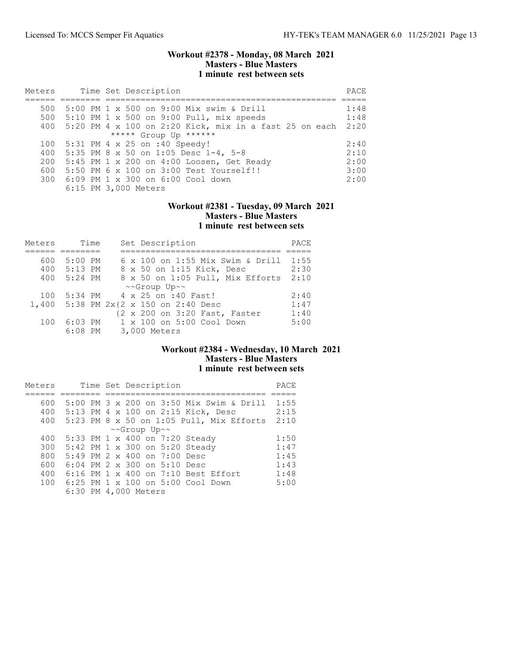### Workout #2378 - Monday, 08 March 2021 Masters - Blue Masters 1 minute rest between sets

| Meters |  | Time Set Description                                   | PACE |
|--------|--|--------------------------------------------------------|------|
|        |  |                                                        |      |
| 500    |  | 5:00 PM 1 x 500 on 9:00 Mix swim & Drill               | 1:48 |
| 500    |  | $5:10$ PM 1 x 500 on 9:00 Pull, mix speeds             | 1:48 |
| 400    |  | 5:20 PM 4 x 100 on 2:20 Kick, mix in a fast 25 on each | 2:20 |
|        |  | ***** Group Up ******                                  |      |
| 100    |  | $5:31$ PM 4 x 25 on :40 Speedy!                        | 2:40 |
| 400    |  | 5:35 PM 8 x 50 on 1:05 Desc $1-4$ , 5-8                | 2:10 |
| 200    |  | $5:45$ PM 1 x 200 on 4:00 Loosen, Get Ready            | 2:00 |
| 600    |  | 5:50 PM 6 x 100 on 3:00 Test Yourself!!                | 3:00 |
| 300    |  | 6:09 PM 1 x 300 on 6:00 Cool down                      | 2:00 |
|        |  | 6:15 PM 3,000 Meters                                   |      |

### Workout #2381 - Tuesday, 09 March 2021 Masters - Blue Masters 1 minute rest between sets

| Meters | Time      | Set Description                    | PACE |
|--------|-----------|------------------------------------|------|
|        |           |                                    |      |
| 600    | $5:00$ PM | 6 x 100 on 1:55 Mix Swim & Drill   | 1:55 |
| 400    | 5:13 PM   | 8 x 50 on 1:15 Kick, Desc          | 2:30 |
| 400    | $5:24$ PM | 8 x 50 on 1:05 Pull, Mix Efforts   | 2:10 |
|        |           | ~~Group Up~~                       |      |
| 100    | 5:34 PM   | 4 x 25 on :40 Fast!                | 2:40 |
| 1,400  |           | 5:38 PM 2x{2 x 150 on 2:40 Desc    | 1:47 |
|        |           | {2 x 200 on 3:20 Fast, Faster      | 1:40 |
| 100    | $6:03$ PM | $1 \times 100$ on $5:00$ Cool Down | 5:00 |
|        | $6:08$ PM | 3,000 Meters                       |      |

#### Workout #2384 - Wednesday, 10 March 2021 Masters - Blue Masters 1 minute rest between sets

| Meters |  |  | Time Set Description                     | PACE |
|--------|--|--|------------------------------------------|------|
|        |  |  |                                          |      |
| 600    |  |  | 5:00 PM 3 x 200 on 3:50 Mix Swim & Drill | 1:55 |
| 400    |  |  | 5:13 PM 4 x 100 on 2:15 Kick, Desc       | 2:15 |
| 400    |  |  | 5:23 PM 8 x 50 on 1:05 Pull, Mix Efforts | 2:10 |
|        |  |  | ~~Group Up~~                             |      |
| 400    |  |  | 5:33 PM 1 x 400 on 7:20 Steady           | 1:50 |
| 300    |  |  | 5:42 PM 1 x 300 on 5:20 Steady           | 1:47 |
| 800    |  |  | 5:49 PM 2 x 400 on 7:00 Desc             | 1:45 |
| 600    |  |  | 6:04 PM 2 x 300 on 5:10 Desc             | 1:43 |
| 400    |  |  | 6:16 PM 1 x 400 on 7:10 Best Effort      | 1:48 |
| 100    |  |  | 6:25 PM 1 x 100 on 5:00 Cool Down        | 5:00 |
|        |  |  | 6:30 PM 4,000 Meters                     |      |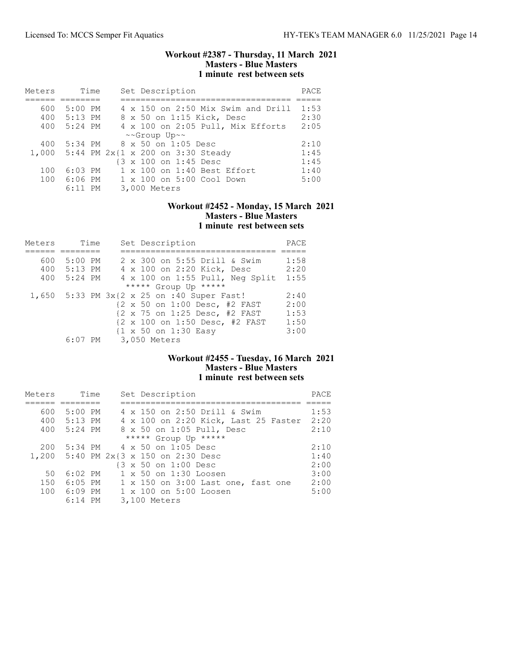### Workout #2387 - Thursday, 11 March 2021 Masters - Blue Masters 1 minute rest between sets

| Meters | Time      |  | Set Description                         | PACE |
|--------|-----------|--|-----------------------------------------|------|
|        |           |  |                                         |      |
| 600    | $5:00$ PM |  | 4 x 150 on 2:50 Mix Swim and Drill      | 1:53 |
| 400    | $5:13$ PM |  | 8 x 50 on 1:15 Kick, Desc               | 2:30 |
| 400    | $5:24$ PM |  | 4 x 100 on 2:05 Pull, Mix Efforts       | 2:05 |
|        |           |  | ~~Group Up~~                            |      |
| 400    | 5:34 PM   |  | 8 x 50 on 1:05 Desc                     | 2:10 |
|        |           |  | 1,000 5:44 PM 2x{1 x 200 on 3:30 Steady | 1:45 |
|        |           |  | {3 x 100 on 1:45 Desc                   | 1:45 |
| 100    | $6:03$ PM |  | 1 x 100 on 1:40 Best Effort             | 1:40 |
| 100    | 6:06 PM   |  | 1 x 100 on 5:00 Cool Down               | 5:00 |
|        | $6:11$ PM |  | 3,000 Meters                            |      |

## Workout #2452 - Monday, 15 March 2021 Masters - Blue Masters 1 minute rest between sets

| Meters |             | Time |  | Set Description                            | PACE |
|--------|-------------|------|--|--------------------------------------------|------|
|        |             |      |  |                                            |      |
| 600    | $5:00$ PM   |      |  | 2 x 300 on 5:55 Drill & Swim               | 1:58 |
|        | 400 5:13 PM |      |  | 4 x 100 on 2:20 Kick, Desc                 | 2:20 |
| 400    | 5:24 PM     |      |  | 4 x 100 on 1:55 Pull, Neg Split            | 1:55 |
|        |             |      |  | ***** Group Up *****                       |      |
|        |             |      |  | 1,650 5:33 PM 3x{2 x 25 on :40 Super Fast! | 2:40 |
|        |             |      |  | {2 x 50 on 1:00 Desc, #2 FAST              | 2:00 |
|        |             |      |  | {2 x 75 on 1:25 Desc, #2 FAST              | 1:53 |
|        |             |      |  | {2 x 100 on 1:50 Desc, #2 FAST             | 1:50 |
|        |             |      |  | {1 x 50 on 1:30 Easy                       | 3:00 |
|        |             |      |  | 6:07 PM 3,050 Meters                       |      |

# Workout #2455 - Tuesday, 16 March 2021 Masters - Blue Masters 1 minute rest between sets

| Meters | Time      | Set Description                       | PACE |
|--------|-----------|---------------------------------------|------|
|        |           |                                       |      |
| 600    | 5:00 PM   | 4 x 150 on 2:50 Drill & Swim          | 1:53 |
| 400    | $5:13$ PM | 4 x 100 on 2:20 Kick, Last 25 Faster  | 2:20 |
| 400    | 5:24 PM   | 8 x 50 on 1:05 Pull, Desc             | 2:10 |
|        |           | ***** Group Up *****                  |      |
| 200    |           | 5:34 PM 4 x 50 on 1:05 Desc           | 2:10 |
|        |           | 1,200 5:40 PM 2x{3 x 150 on 2:30 Desc | 1:40 |
|        |           | {3 x 50 on 1:00 Desc                  | 2:00 |
| 50     | $6:02$ PM | 1 x 50 on 1:30 Loosen                 | 3:00 |
| 150    | 6:05 PM   | 1 x 150 on 3:00 Last one, fast one    | 2:00 |
| 100    | 6:09 PM   | 1 x 100 on 5:00 Loosen                | 5:00 |
|        | $6:14$ PM | 3,100 Meters                          |      |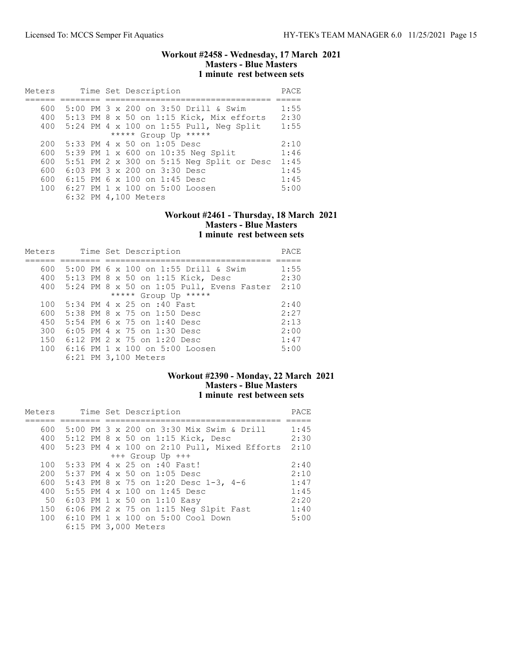### Workout #2458 - Wednesday, 17 March 2021 Masters - Blue Masters 1 minute rest between sets

| Meters | Time Set Description                      | PACE |
|--------|-------------------------------------------|------|
|        |                                           |      |
| 600    | 5:00 PM 3 x 200 on 3:50 Drill & Swim      | 1:55 |
| 400    | 5:13 PM 8 x 50 on 1:15 Kick, Mix efforts  | 2:30 |
| 400    | 5:24 PM 4 x 100 on 1:55 Pull, Neg Split   | 1:55 |
|        | ***** Group Up *****                      |      |
| 200    | 5:33 PM 4 x 50 on 1:05 Desc               | 2:10 |
| 600    | 5:39 PM 1 x 600 on 10:35 Neg Split        | 1:46 |
| 600    | 5:51 PM 2 x 300 on 5:15 Neg Split or Desc | 1:45 |
| 600    | $6:03$ PM $3 \times 200$ on $3:30$ Desc   | 1:45 |
| 600    | $6:15$ PM 6 x 100 on 1:45 Desc            | 1:45 |
| 100    | 6:27 PM 1 x 100 on 5:00 Loosen            | 5:00 |
|        | 6:32 PM 4,100 Meters                      |      |

#### Workout #2461 - Thursday, 18 March 2021 Masters - Blue Masters 1 minute rest between sets

| Meters | Time Set Description                        | PACE |
|--------|---------------------------------------------|------|
|        |                                             |      |
| 600    | 5:00 PM 6 x 100 on 1:55 Drill & Swim        | 1:55 |
| 400    | 5:13 PM 8 x 50 on 1:15 Kick, Desc           | 2:30 |
| 400    | $5:24$ PM 8 x 50 on 1:05 Pull, Evens Faster | 2:10 |
|        | ***** Group Up *****                        |      |
| 100    | 5:34 PM 4 x 25 on :40 Fast                  | 2:40 |
| 600    | 5:38 PM 8 x 75 on 1:50 Desc                 | 2:27 |
| 450    | 5:54 PM 6 x 75 on 1:40 Desc                 | 2:13 |
| 300    | 6:05 PM 4 x 75 on 1:30 Desc                 | 2:00 |
| 150    | 6:12 PM 2 x 75 on 1:20 Desc                 | 1:47 |
| 100    | 6:16 PM 1 $\times$ 100 on 5:00 Loosen       | 5:00 |
|        | 6:21 PM 3,100 Meters                        |      |

# Workout #2390 - Monday, 22 March 2021 Masters - Blue Masters 1 minute rest between sets

| Meters |  |  | Time Set Description                              | PACE |
|--------|--|--|---------------------------------------------------|------|
|        |  |  |                                                   |      |
| 600    |  |  | 5:00 PM $3 \times 200$ on $3:30$ Mix Swim & Drill | 1:45 |
|        |  |  | 400 5:12 PM 8 x 50 on 1:15 Kick, Desc             | 2:30 |
| 400    |  |  | $5:23$ PM 4 x 100 on 2:10 Pull, Mixed Efforts     | 2:10 |
|        |  |  | $+++$ Group Up $+++$                              |      |
| 100    |  |  | 5:33 PM 4 x 25 on :40 Fast!                       | 2:40 |
| 200    |  |  | $5:37$ PM 4 x 50 on 1:05 Desc                     | 2:10 |
| 600    |  |  | 5:43 PM 8 x 75 on 1:20 Desc 1-3, 4-6              | 1:47 |
| 400    |  |  | $5:55$ PM 4 x 100 on 1:45 Desc                    | 1:45 |
| 50     |  |  | 6:03 PM 1 x 50 on 1:10 Easy                       | 2:20 |
| 150    |  |  | $6:06$ PM 2 x 75 on 1:15 Neg Slpit Fast           | 1:40 |
|        |  |  | 100 6:10 PM 1 x 100 on 5:00 Cool Down             | 5:00 |
|        |  |  | 6:15 PM 3,000 Meters                              |      |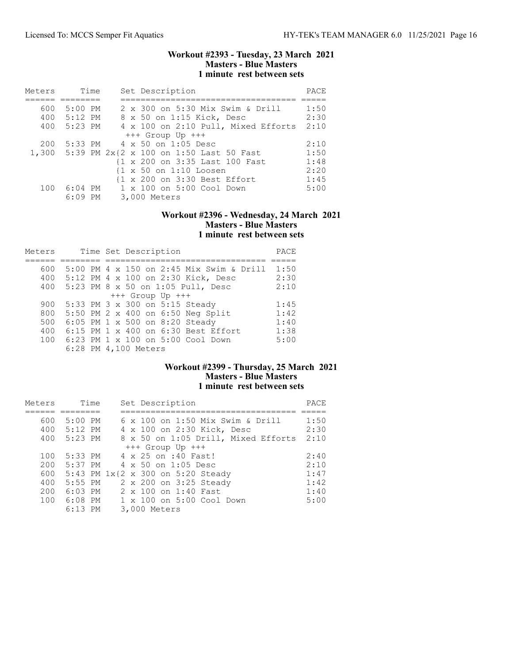### Workout #2393 - Tuesday, 23 March 2021 Masters - Blue Masters 1 minute rest between sets

| Meters | Time        | Set Description                                   | PACE |
|--------|-------------|---------------------------------------------------|------|
|        |             |                                                   |      |
| 600    | 5:00 PM     | 2 x 300 on 5:30 Mix Swim & Drill                  | 1:50 |
|        | 400 5:12 PM | 8 x 50 on 1:15 Kick, Desc                         | 2:30 |
|        | 400 5:23 PM | 4 x 100 on 2:10 Pull, Mixed Efforts               | 2:10 |
|        |             | $+++$ Group Up $+++$                              |      |
| 200    |             | 5:33 PM 4 x 50 on 1:05 Desc                       | 2:10 |
|        |             | 1,300 5:39 PM 2x{2 x 100 on 1:50 Last 50 Fast     | 1:50 |
|        |             | {1 x 200 on 3:35 Last 100 Fast                    | 1:48 |
|        |             | $\{1 \times 50 \text{ on } 1:10 \text{ Loosen}\}$ | 2:20 |
|        |             | {1 x 200 on 3:30 Best Effort                      | 1:45 |
| 100    | 6:04 PM     | $1 \times 100$ on $5:00$ Cool Down                | 5:00 |
|        | $6:09$ PM   | 3,000 Meters                                      |      |

#### Workout #2396 - Wednesday, 24 March 2021 Masters - Blue Masters 1 minute rest between sets

| Meters | Time Set Description                     | PACE |
|--------|------------------------------------------|------|
|        |                                          |      |
| 600    | 5:00 PM 4 x 150 on 2:45 Mix Swim & Drill | 1:50 |
| 400    | 5:12 PM 4 x 100 on 2:30 Kick, Desc       | 2:30 |
| 400    | 5:23 PM 8 x 50 on 1:05 Pull, Desc        | 2:10 |
|        | $+++$ Group Up $+++$                     |      |
| 900    | 5:33 PM 3 x 300 on 5:15 Steady           | 1:45 |
| 800    | 5:50 PM 2 x 400 on 6:50 Neg Split        | 1:42 |
| 500    | 6:05 PM 1 x 500 on 8:20 Steady           | 1:40 |
| 400    | 6:15 PM 1 x 400 on 6:30 Best Effort      | 1:38 |
| 100    | 6:23 PM 1 x 100 on 5:00 Cool Down        | 5:00 |
|        | 6:28 PM 4,100 Meters                     |      |

## Workout #2399 - Thursday, 25 March 2021 Masters - Blue Masters 1 minute rest between sets

| Meters | Time        | Set Description                                            | PACE |
|--------|-------------|------------------------------------------------------------|------|
|        |             |                                                            |      |
| 600    | 5:00 PM     | 6 x 100 on 1:50 Mix Swim & Drill                           | 1:50 |
|        | 400 5:12 PM | 4 x 100 on 2:30 Kick, Desc                                 | 2:30 |
|        | 400 5:23 PM | 8 x 50 on 1:05 Drill, Mixed Efforts                        | 2:10 |
|        |             | $+++$ Group Up $+++$                                       |      |
| 100    | 5:33 PM     | 4 x 25 on :40 Fast!                                        | 2:40 |
| 200    | 5:37 PM     | $4 \times 50$ on 1:05 Desc                                 | 2:10 |
| 600    |             | 5:43 PM $1x\{2 \times 300 \text{ on } 5:20 \text{ Steady}$ | 1:47 |
| 400    | $5:55$ PM   | 2 x 200 on 3:25 Steady                                     | 1:42 |
| 200    | $6:03$ PM   | $2 \times 100$ on 1:40 Fast                                | 1:40 |
|        | 100 6:08 PM | $1 \times 100$ on $5:00$ Cool Down                         | 5:00 |
|        | $6:13$ PM   | 3,000 Meters                                               |      |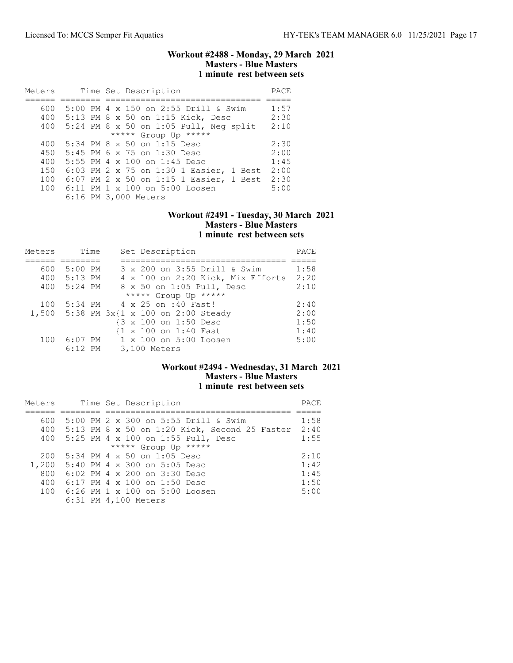## Workout #2488 - Monday, 29 March 2021 Masters - Blue Masters 1 minute rest between sets

| Meters |  | Time Set Description                     | PACE |
|--------|--|------------------------------------------|------|
|        |  |                                          |      |
| 600    |  | 5:00 PM 4 x 150 on 2:55 Drill & Swim     | 1:57 |
| 400    |  | 5:13 PM 8 x 50 on 1:15 Kick, Desc        | 2:30 |
| 400    |  | $5:24$ PM 8 x 50 on 1:05 Pull, Neg split | 2:10 |
|        |  | ***** Group Up *****                     |      |
| 400    |  | $5:34$ PM $8 \times 50$ on 1:15 Desc     | 2:30 |
| 450    |  | 5:45 PM 6 x 75 on 1:30 Desc              | 2:00 |
| 400    |  | 5:55 PM 4 $\times$ 100 on 1:45 Desc      | 1:45 |
| 150    |  | 6:03 PM 2 x 75 on 1:30 1 Easier, 1 Best  | 2:00 |
| 100    |  | 6:07 PM 2 x 50 on 1:15 1 Easier, 1 Best  | 2:30 |
| 100    |  | $6:11$ PM 1 x 100 on 5:00 Loosen         | 5:00 |
|        |  | 6:16 PM 3,000 Meters                     |      |

#### Workout #2491 - Tuesday, 30 March 2021 Masters - Blue Masters 1 minute rest between sets

| Meters | Time      | Set Description                         | PACE |
|--------|-----------|-----------------------------------------|------|
|        |           |                                         |      |
| 600    | $5:00$ PM | 3 x 200 on 3:55 Drill & Swim            | 1:58 |
| 400    | 5:13 PM   | 4 x 100 on 2:20 Kick, Mix Efforts       | 2:20 |
| 400    | $5:24$ PM | 8 x 50 on 1:05 Pull, Desc               | 2:10 |
|        |           | ***** Group Up *****                    |      |
| 100    |           | 5:34 PM 4 x 25 on :40 Fast!             | 2:40 |
|        |           | 1,500 5:38 PM 3x{1 x 100 on 2:00 Steady | 2:00 |
|        |           | {3 x 100 on 1:50 Desc                   | 1:50 |
|        |           | {1 x 100 on 1:40 Fast                   | 1:40 |
| 100    |           | 6:07 PM 1 x 100 on 5:00 Loosen          | 5:00 |
|        | $6:12$ PM | 3,100 Meters                            |      |

## Workout #2494 - Wednesday, 31 March 2021 Masters - Blue Masters 1 minute rest between sets

| Meters |  | Time Set Description                              | PACE |
|--------|--|---------------------------------------------------|------|
|        |  |                                                   |      |
| 600    |  | 5:00 PM 2 x 300 on 5:55 Drill & Swim              | 1:58 |
|        |  | 400 5:13 PM 8 x 50 on 1:20 Kick, Second 25 Faster | 2:40 |
| 400    |  | 5:25 PM 4 x 100 on 1:55 Pull, Desc                | 1:55 |
|        |  | ***** Group Up *****                              |      |
| 200    |  | 5:34 PM 4 x 50 on 1:05 Desc                       | 2:10 |
|        |  | 1,200 5:40 PM 4 x 300 on 5:05 Desc                | 1:42 |
| 800    |  | 6:02 PM 4 x 200 on 3:30 Desc                      | 1:45 |
| 400    |  | $6:17$ PM 4 x 100 on 1:50 Desc                    | 1:50 |
| 100    |  | 6:26 PM 1 x 100 on 5:00 Loosen                    | 5:00 |
|        |  | 6:31 PM 4,100 Meters                              |      |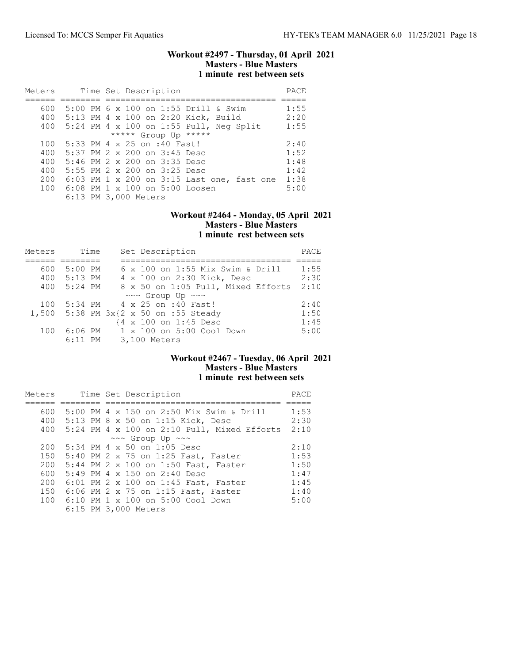### Workout #2497 - Thursday, 01 April 2021 Masters - Blue Masters 1 minute rest between sets

| Meters |  | Time Set Description                       | PACE |
|--------|--|--------------------------------------------|------|
|        |  |                                            |      |
| 600    |  | 5:00 PM 6 x 100 on 1:55 Drill & Swim       | 1:55 |
| 400    |  | 5:13 PM 4 x 100 on 2:20 Kick, Build        | 2:20 |
| 400    |  | 5:24 PM 4 x 100 on 1:55 Pull, Neg Split    | 1:55 |
|        |  | ***** Group Up *****                       |      |
| 100    |  | 5:33 PM 4 x 25 on :40 Fast!                | 2:40 |
| 400    |  | 5:37 PM 2 x 200 on 3:45 Desc               | 1:52 |
| 400    |  | 5:46 PM 2 x 200 on 3:35 Desc               | 1:48 |
| 400    |  | 5:55 PM 2 x 200 on 3:25 Desc               | 1:42 |
| 200    |  | 6:03 PM 1 x 200 on 3:15 Last one, fast one | 1:38 |
| 100    |  | 6:08 PM 1 x 100 on 5:00 Loosen             | 5:00 |
|        |  | 6:13 PM 3,000 Meters                       |      |

### Workout #2464 - Monday, 05 April 2021 Masters - Blue Masters 1 minute rest between sets

| Meters | Time        | Set Description                       | PACE |
|--------|-------------|---------------------------------------|------|
|        |             |                                       |      |
| 600    | 5:00 PM     | 6 x 100 on 1:55 Mix Swim & Drill      | 1:55 |
| 400    | 5:13 PM     | 4 x 100 on 2:30 Kick, Desc            | 2:30 |
|        | 400 5:24 PM | 8 x 50 on 1:05 Pull, Mixed Efforts    | 2:10 |
|        |             | $\sim\sim$ Group Up $\sim\sim$        |      |
| 100    |             | 5:34 PM 4 x 25 on :40 Fast!           | 2:40 |
|        |             | 1,500 5:38 PM 3x{2 x 50 on :55 Steady | 1:50 |
|        |             | {4 x 100 on 1:45 Desc                 | 1:45 |
| 100    | 6:06 PM     | 1 x 100 on 5:00 Cool Down             | 5:00 |
|        |             | 6:11 PM 3,100 Meters                  |      |

# Workout #2467 - Tuesday, 06 April 2021 Masters - Blue Masters 1 minute rest between sets

| Meters |  | Time Set Description                          | PACE |
|--------|--|-----------------------------------------------|------|
|        |  |                                               |      |
| 600    |  | 5:00 PM 4 x 150 on 2:50 Mix Swim & Drill      | 1:53 |
| 400    |  | 5:13 PM 8 x 50 on 1:15 Kick, Desc             | 2:30 |
| 400    |  | $5:24$ PM 4 x 100 on 2:10 Pull, Mixed Efforts | 2:10 |
|        |  | $\sim\sim$ Group Up $\sim\sim$                |      |
| 200    |  | 5:34 PM 4 x 50 on 1:05 Desc                   | 2:10 |
| 150    |  | 5:40 PM 2 x 75 on 1:25 Fast, Faster           | 1:53 |
| 200    |  | 5:44 PM 2 x 100 on 1:50 Fast, Faster          | 1:50 |
| 600    |  | 5:49 PM 4 x 150 on 2:40 Desc                  | 1:47 |
| 200    |  | 6:01 PM 2 x 100 on 1:45 Fast, Faster          | 1:45 |
| 150    |  | 6:06 PM 2 x 75 on 1:15 Fast, Faster           | 1:40 |
| 100    |  | 6:10 PM 1 x 100 on 5:00 Cool Down             | 5:00 |
|        |  | 6:15 PM 3,000 Meters                          |      |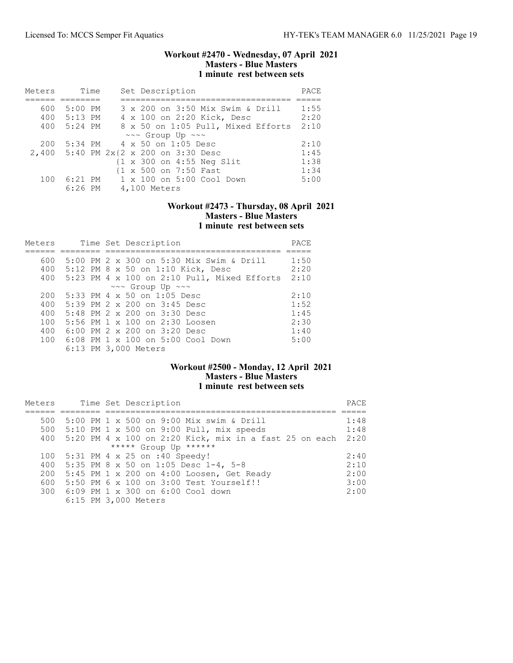### Workout #2470 - Wednesday, 07 April 2021 Masters - Blue Masters 1 minute rest between sets

| Meters | Time        | Set Description                                      | PACE |
|--------|-------------|------------------------------------------------------|------|
|        |             |                                                      |      |
| 600    | 5:00 PM     | 3 x 200 on 3:50 Mix Swim & Drill                     | 1:55 |
|        | 400 5:13 PM | 4 x 100 on 2:20 Kick, Desc                           | 2:20 |
| 400    | 5:24 PM     | 8 x 50 on 1:05 Pull, Mixed Efforts                   | 2:10 |
|        |             | $\sim \sim$ Group Up $\sim \sim$                     |      |
| 200    |             | 5:34 PM 4 x 50 on 1:05 Desc                          | 2:10 |
|        |             | 2,400 5:40 PM 2x{2 x 200 on 3:30 Desc                | 1:45 |
|        |             | $\{1 \times 300 \text{ on } 4:55 \text{ Neq Slit}\}$ | 1:38 |
|        |             | {1 x 500 on 7:50 Fast                                | 1:34 |
| 100    | 6:21 PM     | 1 x 100 on 5:00 Cool Down                            | 5:00 |
|        | $6:26$ PM   | 4,100 Meters                                         |      |

# Workout #2473 - Thursday, 08 April 2021 Masters - Blue Masters 1 minute rest between sets

| Meters |  | Time Set Description                        | PACE |
|--------|--|---------------------------------------------|------|
|        |  |                                             |      |
| 600    |  | 5:00 PM 2 x 300 on 5:30 Mix Swim & Drill    | 1:50 |
| 400    |  | 5:12 PM 8 x 50 on 1:10 Kick, Desc           | 2:20 |
| 400    |  | 5:23 PM 4 x 100 on 2:10 Pull, Mixed Efforts | 2:10 |
|        |  | ~~~ Group Up ~~~                            |      |
| 200    |  | 5:33 PM 4 x 50 on 1:05 Desc                 | 2:10 |
| 400    |  | 5:39 PM 2 x 200 on 3:45 Desc                | 1:52 |
| 400    |  | 5:48 PM 2 x 200 on 3:30 Desc                | 1:45 |
| 100    |  | 5:56 PM 1 x 100 on 2:30 Loosen              | 2:30 |
| 400    |  | 6:00 PM 2 x 200 on 3:20 Desc                | 1:40 |
| 100    |  | 6:08 PM 1 x 100 on 5:00 Cool Down           | 5:00 |
|        |  | 6:13 PM 3,000 Meters                        |      |

## Workout #2500 - Monday, 12 April 2021 Masters - Blue Masters 1 minute rest between sets

| Meters |  | Time Set Description                                     | PACE |
|--------|--|----------------------------------------------------------|------|
|        |  |                                                          |      |
| 500    |  | 5:00 PM 1 x 500 on 9:00 Mix swim & Drill                 | 1:48 |
| 500    |  | $5:10$ PM 1 x 500 on 9:00 Pull, mix speeds               | 1:48 |
| 400    |  | $5:20$ PM 4 x 100 on 2:20 Kick, mix in a fast 25 on each | 2:20 |
|        |  | ***** Group Up ******                                    |      |
| 100    |  | 5:31 PM 4 x 25 on :40 Speedy!                            | 2:40 |
| 400    |  | 5:35 PM 8 x 50 on 1:05 Desc $1-4$ , 5-8                  | 2:10 |
| 200    |  | 5:45 PM 1 x 200 on 4:00 Loosen, Get Ready                | 2:00 |
| 600    |  | 5:50 PM 6 x 100 on 3:00 Test Yourself!!                  | 3:00 |
|        |  | 300 6:09 PM 1 x 300 on 6:00 Cool down                    | 2:00 |
|        |  | 6:15 PM 3,000 Meters                                     |      |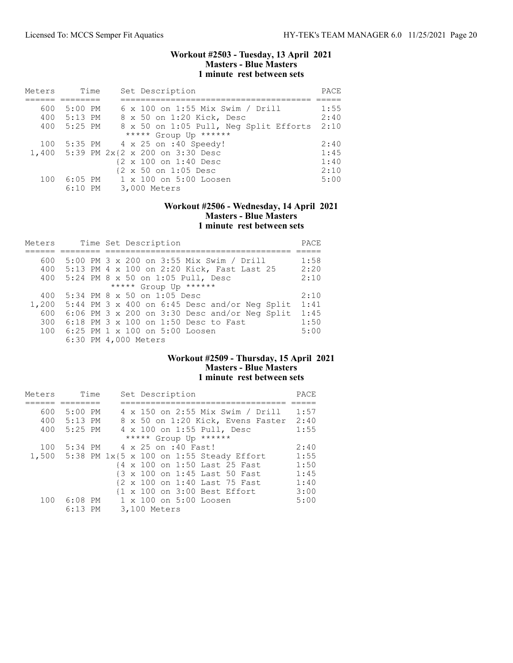### Workout #2503 - Tuesday, 13 April 2021 Masters - Blue Masters 1 minute rest between sets

| Meters | Time        | Set Description                        | PACE |
|--------|-------------|----------------------------------------|------|
|        |             |                                        |      |
| 600    | 5:00 PM     | 6 x 100 on 1:55 Mix Swim / Drill       | 1:55 |
|        | 400 5:13 PM | 8 x 50 on 1:20 Kick, Desc              | 2:40 |
| 400    | 5:25 PM     | 8 x 50 on 1:05 Pull, Neg Split Efforts | 2:10 |
|        |             | ***** Group Up ******                  |      |
| 100    |             | 5:35 PM 4 x 25 on :40 Speedy!          | 2:40 |
|        |             | 1,400 5:39 PM 2x{2 x 200 on 3:30 Desc  | 1:45 |
|        |             | {2 x 100 on 1:40 Desc                  | 1:40 |
|        |             | {2 x 50 on 1:05 Desc                   | 2:10 |
| 100    |             | 6:05 PM 1 x 100 on 5:00 Loosen         | 5:00 |
|        | $6:10$ PM   | 3,000 Meters                           |      |

## Workout #2506 - Wednesday, 14 April 2021 Masters - Blue Masters 1 minute rest between sets

| Meters |  | Time Set Description                            | PACE |
|--------|--|-------------------------------------------------|------|
|        |  |                                                 |      |
| 600    |  | 5:00 PM 3 x 200 on 3:55 Mix Swim / Drill        | 1:58 |
| 400    |  | 5:13 PM 4 x 100 on 2:20 Kick, Fast Last 25      | 2:20 |
| 400    |  | 5:24 PM 8 x 50 on 1:05 Pull, Desc               | 2:10 |
|        |  | ***** Group Up ******                           |      |
| 400    |  | 5:34 PM 8 x 50 on 1:05 Desc                     | 2:10 |
| 1,200  |  | $5:44$ PM 3 x 400 on 6:45 Desc and/or Neq Split | 1:41 |
| 600    |  | $6:06$ PM 3 x 200 on 3:30 Desc and/or Neq Split | 1:45 |
| 300    |  | 6:18 PM 3 x 100 on 1:50 Desc to Fast            | 1:50 |
| 100    |  | 6:25 PM 1 x 100 on 5:00 Loosen                  | 5:00 |
|        |  | 6:30 PM 4,000 Meters                            |      |

# Workout #2509 - Thursday, 15 April 2021 Masters - Blue Masters 1 minute rest between sets

| Meters |             | Time | Set Description                                   | PACE |
|--------|-------------|------|---------------------------------------------------|------|
|        |             |      |                                                   |      |
| 600    | $5:00$ PM   |      | 4 x 150 on 2:55 Mix Swim / Drill                  | 1:57 |
|        | 400 5:13 PM |      | 8 x 50 on 1:20 Kick, Evens Faster                 | 2:40 |
|        | 400 5:25 PM |      | 4 x 100 on 1:55 Pull, Desc                        | 1:55 |
|        |             |      | ***** Group Up ******                             |      |
| 100    | 5:34 PM     |      | 4 x 25 on :40 Fast!                               | 2:40 |
|        |             |      | 1,500 5:38 PM $1x{5}$ x 100 on 1:55 Steady Effort | 1:55 |
|        |             |      | {4 x 100 on 1:50 Last 25 Fast                     | 1:50 |
|        |             |      | {3 x 100 on 1:45 Last 50 Fast                     | 1:45 |
|        |             |      | {2 x 100 on 1:40 Last 75 Fast                     | 1:40 |
|        |             |      | {1 x 100 on 3:00 Best Effort                      | 3:00 |
| 100    | $6:08$ PM   |      | 1 x 100 on 5:00 Loosen                            | 5:00 |
|        | $6:13$ PM   |      | 3,100 Meters                                      |      |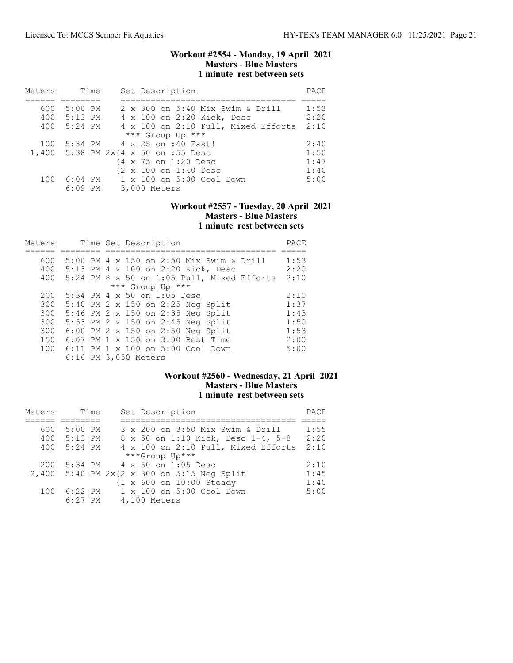## Workout #2554 - Monday, 19 April 2021 Masters - Blue Masters 1 minute rest between sets

| Meters | Time        | Set Description                     | PACE |
|--------|-------------|-------------------------------------|------|
|        |             |                                     |      |
| 600    | 5:00 PM     | 2 x 300 on 5:40 Mix Swim & Drill    | 1:53 |
|        | 400 5:13 PM | 4 x 100 on 2:20 Kick, Desc          | 2:20 |
|        | 400 5:24 PM | 4 x 100 on 2:10 Pull, Mixed Efforts | 2:10 |
|        |             | *** Group Up ***                    |      |
| 100    |             | 5:34 PM 4 x 25 on :40 Fast!         | 2:40 |
|        |             | 1,400 5:38 PM 2x{4 x 50 on :55 Desc | 1:50 |
|        |             | {4 x 75 on 1:20 Desc                | 1:47 |
|        |             | {2 x 100 on 1:40 Desc               | 1:40 |
| 100    | 6:04 PM     | 1 x 100 on 5:00 Cool Down           | 5:00 |
|        | $6:09$ PM   | 3,000 Meters                        |      |

# Workout #2557 - Tuesday, 20 April 2021 Masters - Blue Masters 1 minute rest between sets

| Meters |  | Time Set Description                         | PACE |
|--------|--|----------------------------------------------|------|
|        |  |                                              |      |
| 600    |  | 5:00 PM 4 x 150 on 2:50 Mix Swim & Drill     | 1:53 |
| 400    |  | 5:13 PM 4 x 100 on 2:20 Kick, Desc           | 2:20 |
| 400    |  | $5:24$ PM 8 x 50 on 1:05 Pull, Mixed Efforts | 2:10 |
|        |  | *** Group Up ***                             |      |
| 200    |  | $5:34$ PM 4 x 50 on 1:05 Desc                | 2:10 |
| 300    |  | 5:40 PM 2 x 150 on 2:25 Neg Split            | 1:37 |
| 300    |  | 5:46 PM 2 x 150 on 2:35 Neg Split            | 1:43 |
| 300    |  | 5:53 PM 2 x 150 on 2:45 Neg Split            | 1:50 |
| 300    |  | 6:00 PM 2 x 150 on 2:50 Neg Split            | 1:53 |
| 150    |  | 6:07 PM 1 x 150 on 3:00 Best Time            | 2:00 |
| 100    |  | 6:11 PM 1 x 100 on 5:00 Cool Down            | 5:00 |
|        |  | 6:16 PM 3,050 Meters                         |      |

# Workout #2560 - Wednesday, 21 April 2021 Masters - Blue Masters 1 minute rest between sets

| Meters | Time        | Set Description                            | PACE |
|--------|-------------|--------------------------------------------|------|
|        |             |                                            |      |
| 600    | $5:00$ PM   | 3 x 200 on 3:50 Mix Swim & Drill           | 1:55 |
|        | 400 5:13 PM | 8 x 50 on 1:10 Kick, Desc 1-4, 5-8         | 2:20 |
| 400    | 5:24 PM     | 4 x 100 on 2:10 Pull, Mixed Efforts        | 2:10 |
|        |             | ***Group Up***                             |      |
| 200    |             | 5:34 PM 4 x 50 on 1:05 Desc                | 2:10 |
|        |             | 2,400 5:40 PM 2x{2 x 300 on 5:15 Neg Split | 1:45 |
|        |             | {1 x 600 on 10:00 Steady                   | 1:40 |
| 100    | 6:22 PM     | 1 x 100 on 5:00 Cool Down                  | 5:00 |
|        | $6:27$ PM   | 4,100 Meters                               |      |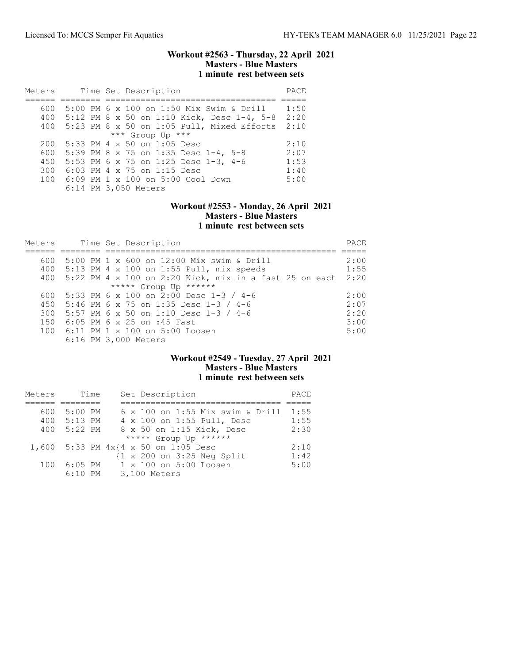### Workout #2563 - Thursday, 22 April 2021 Masters - Blue Masters 1 minute rest between sets

| Meters           |  |  | Time Set Description                         | PACE |  |  |  |
|------------------|--|--|----------------------------------------------|------|--|--|--|
|                  |  |  |                                              |      |  |  |  |
| 600              |  |  | 5:00 PM 6 x 100 on 1:50 Mix Swim & Drill     | 1:50 |  |  |  |
| 400              |  |  | 5:12 PM 8 x 50 on 1:10 Kick, Desc 1-4, 5-8   | 2:20 |  |  |  |
| 400              |  |  | $5:23$ PM 8 x 50 on 1:05 Pull, Mixed Efforts | 2:10 |  |  |  |
| *** Group Up *** |  |  |                                              |      |  |  |  |
| 200              |  |  | $5:33$ PM 4 x 50 on 1:05 Desc                | 2:10 |  |  |  |
| 600              |  |  | 5:39 PM 8 x 75 on 1:35 Desc 1-4, 5-8         | 2:07 |  |  |  |
| 450              |  |  | 5:53 PM 6 x 75 on 1:25 Desc 1-3, 4-6         | 1:53 |  |  |  |
| 300              |  |  | 6:03 PM 4 x 75 on 1:15 Desc                  | 1:40 |  |  |  |
| $100 -$          |  |  | 6:09 PM 1 x 100 on 5:00 Cool Down            | 5:00 |  |  |  |
|                  |  |  | 6:14 PM 3,050 Meters                         |      |  |  |  |

## Workout #2553 - Monday, 26 April 2021 Masters - Blue Masters 1 minute rest between sets

| Meters |  | Time Set Description                                     | PACE |
|--------|--|----------------------------------------------------------|------|
|        |  |                                                          |      |
| 600    |  | 5:00 PM 1 x 600 on 12:00 Mix swim & Drill                | 2:00 |
| 400    |  | 5:13 PM 4 x 100 on 1:55 Pull, mix speeds                 | 1:55 |
| 400    |  | $5:22$ PM 4 x 100 on 2:20 Kick, mix in a fast 25 on each | 2:20 |
|        |  | ***** Group Up ******                                    |      |
| 600    |  | 5:33 PM 6 x 100 on 2:00 Desc 1-3 / 4-6                   | 2:00 |
| 450    |  | 5:46 PM 6 x 75 on 1:35 Desc 1-3 / 4-6                    | 2:07 |
| 300    |  | 5:57 PM 6 x 50 on 1:10 Desc 1-3 / 4-6                    | 2:20 |
| 150    |  | $6:05$ PM 6 x 25 on :45 Fast                             | 3:00 |
| 100    |  | $6:11$ PM $1 \times 100$ on $5:00$ Loosen                | 5:00 |
|        |  | 6:16 PM 3,000 Meters                                     |      |

# Workout #2549 - Tuesday, 27 April 2021 Masters - Blue Masters 1 minute rest between sets

| Meters | Time      | Set Description                                       | PACE |
|--------|-----------|-------------------------------------------------------|------|
|        |           |                                                       |      |
| 600    | 5:00 PM   | $6 \times 100$ on 1:55 Mix swim & Drill               | 1:55 |
| 400    | 5:13 PM   | 4 x 100 on 1:55 Pull, Desc                            | 1:55 |
| 400    | $5:22$ PM | 8 x 50 on 1:15 Kick, Desc                             | 2:30 |
|        |           | ***** Group Up ******                                 |      |
|        |           | 1,600 5:33 PM $4 \times 4 \times 50$ on 1:05 Desc     | 2:10 |
|        |           | $\{1 \times 200 \text{ on } 3:25 \text{ Neg Split}\}$ | 1:42 |
| 100    | $6:05$ PM | 1 x 100 on 5:00 Loosen                                | 5:00 |
|        | $6:10$ PM | 3,100 Meters                                          |      |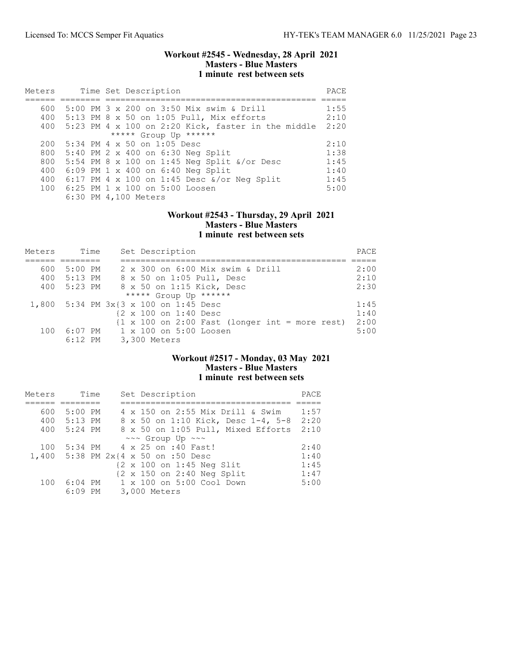### Workout #2545 - Wednesday, 28 April 2021 Masters - Blue Masters 1 minute rest between sets

| Meters |  |  | Time Set Description                                      | PACE |
|--------|--|--|-----------------------------------------------------------|------|
|        |  |  |                                                           |      |
| 600    |  |  | 5:00 PM 3 x 200 on 3:50 Mix swim & Drill                  | 1:55 |
|        |  |  | 400 5:13 PM 8 x 50 on 1:05 Pull, Mix efforts              | 2:10 |
| 400    |  |  | 5:23 PM 4 x 100 on 2:20 Kick, faster in the middle        | 2:20 |
|        |  |  | ***** Group Up ******                                     |      |
| 200    |  |  | 5:34 PM 4 x 50 on 1:05 Desc                               | 2:10 |
| 800    |  |  | 5:40 PM 2 x 400 on 6:30 Neg Split                         | 1:38 |
| 800    |  |  | 5:54 PM 8 x 100 on 1:45 Neg Split $\frac{x}{\alpha}$ Desc | 1:45 |
| 400    |  |  | $6:09$ PM 1 x 400 on $6:40$ Neg Split                     | 1:40 |
| 400    |  |  | 6:17 PM 4 x 100 on 1:45 Desc &/or Neg Split               | 1:45 |
| 100    |  |  | $6:25$ PM 1 x 100 on 5:00 Loosen                          | 5:00 |
|        |  |  | 6:30 PM 4,100 Meters                                      |      |

#### Workout #2543 - Thursday, 29 April 2021 Masters - Blue Masters 1 minute rest between sets

| Meters | Time    |                      | Set Description                                                                          | PACE |
|--------|---------|----------------------|------------------------------------------------------------------------------------------|------|
|        |         |                      |                                                                                          |      |
| 600    | 5:00 PM |                      | 2 x 300 on 6:00 Mix swim & Drill                                                         | 2:00 |
| 400    | 5:13 PM |                      | 8 x 50 on 1:05 Pull, Desc                                                                | 2:10 |
| 400    | 5:23 PM |                      | 8 x 50 on 1:15 Kick, Desc                                                                | 2:30 |
|        |         |                      | ***** Group Up ******                                                                    |      |
|        |         |                      | 1,800 5:34 PM 3x{3 x 100 on 1:45 Desc                                                    | 1:45 |
|        |         |                      | {2 x 100 on 1:40 Desc                                                                    | 1:40 |
|        |         |                      | $\{1 \times 100 \text{ on } 2:00 \text{ Fast } (\text{longer int} = \text{more rest})\}$ | 2:00 |
| 100    |         |                      | 6:07 PM 1 x 100 on 5:00 Loosen                                                           | 5:00 |
|        |         | 6:12 PM 3,300 Meters |                                                                                          |      |

# Workout #2517 - Monday, 03 May 2021 Masters - Blue Masters 1 minute rest between sets

| Meters | Time      | Set Description                                       | PACE |
|--------|-----------|-------------------------------------------------------|------|
|        |           |                                                       |      |
| 600    | $5:00$ PM | 4 x 150 on 2:55 Mix Drill & Swim                      | 1:57 |
| 400    | 5:13 PM   | 8 x 50 on 1:10 Kick, Desc 1-4, 5-8                    | 2:20 |
| 400    | 5:24 PM   | 8 x 50 on 1:05 Pull, Mixed Efforts                    | 2:10 |
|        |           | $\sim\sim$ Group Up $\sim\sim$                        |      |
| 100    | $5:34$ PM | 4 x 25 on :40 Fast!                                   | 2:40 |
| 1,400  |           | 5:38 PM $2x(4 \times 50)$ on :50 Desc                 | 1:40 |
|        |           | {2 x 100 on 1:45 Neg Slit                             | 1:45 |
|        |           | $\{2 \times 150 \text{ on } 2:40 \text{ Neg Split}\}$ | 1:47 |
| 100    | $6:04$ PM | 1 x 100 on 5:00 Cool Down                             | 5:00 |
|        | $6:09$ PM | 3,000 Meters                                          |      |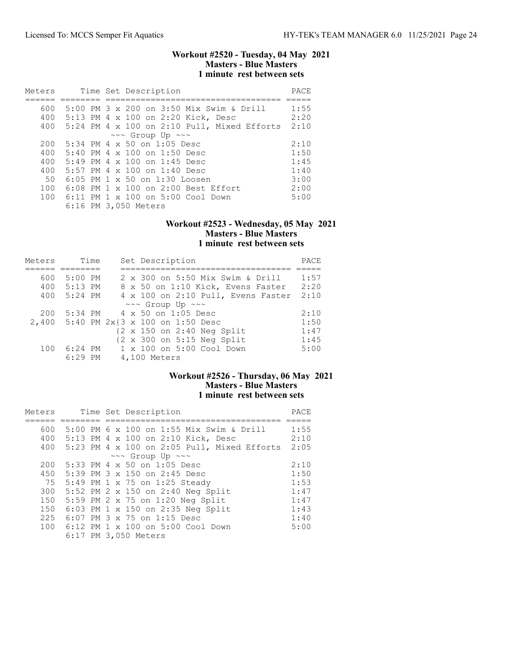### Workout #2520 - Tuesday, 04 May 2021 Masters - Blue Masters 1 minute rest between sets

| Meters |  | Time Set Description                                | PACE |
|--------|--|-----------------------------------------------------|------|
|        |  |                                                     |      |
| 600    |  | $5:00$ PM $3 \times 200$ on $3:50$ Mix Swim & Drill | 1:55 |
| 400    |  | 5:13 PM 4 x 100 on 2:20 Kick, Desc                  | 2:20 |
| 400    |  | 5:24 PM 4 x 100 on 2:10 Pull, Mixed Efforts         | 2:10 |
|        |  | $\sim\sim$ Group Up $\sim\sim$                      |      |
| 200    |  | 5:34 PM 4 x 50 on 1:05 Desc                         | 2:10 |
| 400    |  | $5:40$ PM 4 x 100 on 1:50 Desc                      | 1:50 |
| 400    |  | $5:49$ PM 4 x 100 on 1:45 Desc                      | 1:45 |
| 400    |  | 5:57 PM 4 x 100 on 1:40 Desc                        | 1:40 |
| 50     |  | $6:05$ PM 1 x 50 on 1:30 Loosen                     | 3:00 |
| 100    |  | 6:08 PM 1 x 100 on 2:00 Best Effort                 | 2:00 |
| 100    |  | 6:11 PM 1 x 100 on 5:00 Cool Down                   | 5:00 |
|        |  | 6:16 PM 3,050 Meters                                |      |

#### Workout #2523 - Wednesday, 05 May 2021 Masters - Blue Masters 1 minute rest between sets

| Meters | Time      |  | Set Description                                       | PACE |
|--------|-----------|--|-------------------------------------------------------|------|
|        |           |  |                                                       |      |
| 600    | $5:00$ PM |  | 2 x 300 on 5:50 Mix Swim & Drill                      | 1:57 |
| 400    | 5:13 PM   |  | 8 x 50 on 1:10 Kick, Evens Faster                     | 2:20 |
| 400    | $5:24$ PM |  | 4 x 100 on 2:10 Pull, Evens Faster                    | 2:10 |
|        |           |  | $\sim \sim$ Group Up $\sim \sim$                      |      |
| 200    | 5:34 PM   |  | 4 x 50 on 1:05 Desc                                   | 2:10 |
|        |           |  | 2,400 5:40 PM 2x{3 x 100 on 1:50 Desc                 | 1:50 |
|        |           |  | $\{2 \times 150 \text{ on } 2:40 \text{ Neg Split}\}$ | 1:47 |
|        |           |  | $\{2 \times 300 \text{ on } 5:15 \text{ Neg Split}\}$ | 1:45 |
| 100    | $6:24$ PM |  | 1 x 100 on 5:00 Cool Down                             | 5:00 |
|        | $6:29$ PM |  | 4,100 Meters                                          |      |

## Workout #2526 - Thursday, 06 May 2021 Masters - Blue Masters 1 minute rest between sets

| Meters |  | Time Set Description                          | PACE |
|--------|--|-----------------------------------------------|------|
|        |  |                                               |      |
| 600    |  | 5:00 PM 6 x 100 on 1:55 Mix Swim & Drill      | 1:55 |
| 400    |  | 5:13 PM 4 x 100 on 2:10 Kick, Desc            | 2:10 |
| 400    |  | $5:23$ PM 4 x 100 on 2:05 Pull, Mixed Efforts | 2:05 |
|        |  | ~~~ Group Up ~~~                              |      |
| 200    |  | 5:33 PM 4 x 50 on 1:05 Desc                   | 2:10 |
| 450    |  | 5:39 PM 3 x 150 on 2:45 Desc                  | 1:50 |
| 75     |  | 5:49 PM 1 x 75 on 1:25 Steady                 | 1:53 |
| 300    |  | 5:52 PM 2 x 150 on 2:40 Neg Split             | 1:47 |
| 150    |  | 5:59 PM 2 x 75 on 1:20 Neg Split              | 1:47 |
| 150    |  | $6:03$ PM 1 x 150 on 2:35 Neg Split           | 1:43 |
| 225    |  | 6:07 PM 3 x 75 on 1:15 Desc                   | 1:40 |
| 100    |  | 6:12 PM 1 x 100 on 5:00 Cool Down             | 5:00 |
|        |  | 6:17 PM 3,050 Meters                          |      |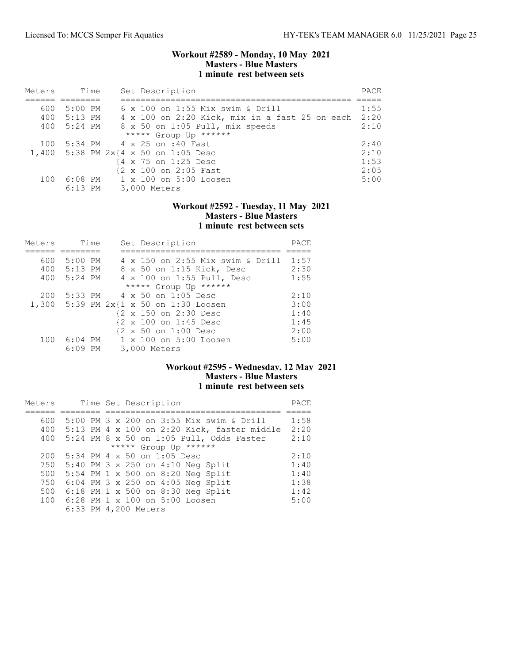### Workout #2589 - Monday, 10 May 2021 Masters - Blue Masters 1 minute rest between sets

| Meters |             | Time | Set Description                                | PACE |
|--------|-------------|------|------------------------------------------------|------|
|        |             |      |                                                |      |
| 600    | $5:00$ PM   |      | 6 x 100 on 1:55 Mix swim & Drill               | 1:55 |
|        | 400 5:13 PM |      | 4 x 100 on 2:20 Kick, mix in a fast 25 on each | 2:20 |
|        | 400 5:24 PM |      | 8 x 50 on 1:05 Pull, mix speeds                | 2:10 |
|        |             |      | ***** Group Up ******                          |      |
| 100    |             |      | 5:34 PM 4 x 25 on :40 Fast                     | 2:40 |
|        |             |      | 1,400 5:38 PM 2x{4 x 50 on 1:05 Desc           | 2:10 |
|        |             |      | {4 x 75 on 1:25 Desc                           | 1:53 |
|        |             |      | {2 x 100 on 2:05 Fast                          | 2:05 |
| 100    |             |      | 6:08 PM 1 x 100 on 5:00 Loosen                 | 5:00 |
|        | $6:13$ PM   |      | 3,000 Meters                                   |      |

### Workout #2592 - Tuesday, 11 May 2021 Masters - Blue Masters 1 minute rest between sets

| Meters |             | Time | Set Description                        | PACE |
|--------|-------------|------|----------------------------------------|------|
|        |             |      |                                        |      |
| 600    | $5:00$ PM   |      | 4 x 150 on 2:55 Mix swim & Drill       | 1:57 |
|        | 400 5:13 PM |      | 8 x 50 on 1:15 Kick, Desc              | 2:30 |
| 400    | $5:24$ PM   |      | 4 x 100 on 1:55 Pull, Desc             | 1:55 |
|        |             |      | ***** Group Up ******                  |      |
| 200    |             |      | 5:33 PM 4 x 50 on 1:05 Desc            | 2:10 |
|        |             |      | 1,300 5:39 PM 2x{1 x 50 on 1:30 Loosen | 3:00 |
|        |             |      | {2 x 150 on 2:30 Desc                  | 1:40 |
|        |             |      | {2 x 100 on 1:45 Desc                  | 1:45 |
|        |             |      | {2 x 50 on 1:00 Desc                   | 2:00 |
| 100    | $6:04$ PM   |      | 1 x 100 on 5:00 Loosen                 | 5:00 |
|        | $6:09$ PM   |      | 3,000 Meters                           |      |

## Workout #2595 - Wednesday, 12 May 2021 Masters - Blue Masters 1 minute rest between sets

| Meters |  | Time Set Description                        | PACE |
|--------|--|---------------------------------------------|------|
|        |  |                                             |      |
| 600    |  | 5:00 PM 3 x 200 on 3:55 Mix swim & Drill    | 1:58 |
| 400    |  | 5:13 PM 4 x 100 on 2:20 Kick, faster middle | 2:20 |
| 400    |  | 5:24 PM 8 x 50 on 1:05 Pull, Odds Faster    | 2:10 |
|        |  | ***** Group Up ******                       |      |
| 200    |  | 5:34 PM 4 x 50 on 1:05 Desc                 | 2:10 |
| 750    |  | 5:40 PM 3 x 250 on 4:10 Neg Split           | 1:40 |
| 500    |  | 5:54 PM 1 x 500 on 8:20 Neg Split           | 1:40 |
| 750    |  | 6:04 PM 3 x 250 on 4:05 Neg Split           | 1:38 |
| 500    |  | 6:18 PM 1 x 500 on 8:30 Neg Split           | 1:42 |
| 100    |  | 6:28 PM 1 x 100 on 5:00 Loosen              | 5:00 |
|        |  | 6:33 PM 4,200 Meters                        |      |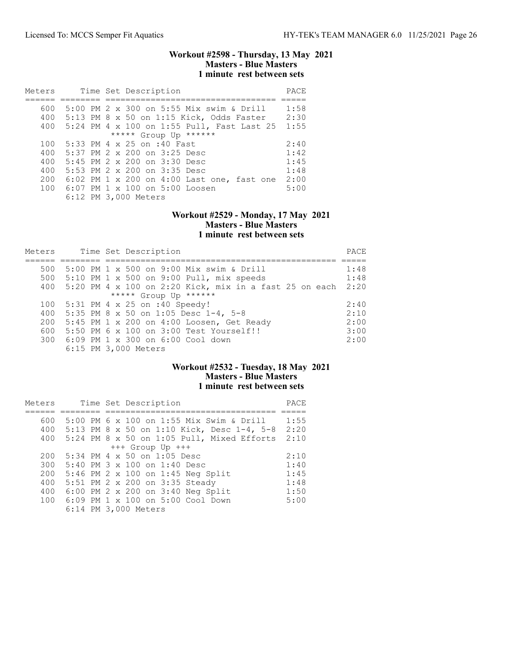### Workout #2598 - Thursday, 13 May 2021 Masters - Blue Masters 1 minute rest between sets

| Meters |  | Time Set Description                       | PACE |
|--------|--|--------------------------------------------|------|
|        |  |                                            |      |
| 600    |  | 5:00 PM 2 x 300 on 5:55 Mix swim & Drill   | 1:58 |
| 400    |  | 5:13 PM 8 x 50 on 1:15 Kick, Odds Faster   | 2:30 |
| 400    |  | 5:24 PM 4 x 100 on 1:55 Pull, Fast Last 25 | 1:55 |
|        |  | ***** Group Up ******                      |      |
| 100    |  | 5:33 PM 4 x 25 on :40 Fast                 | 2:40 |
| 400    |  | 5:37 PM 2 x 200 on 3:25 Desc               | 1:42 |
| 400    |  | $5:45$ PM $2 \times 200$ on $3:30$ Desc    | 1:45 |
| 400    |  | 5:53 PM $2 \times 200$ on $3:35$ Desc      | 1:48 |
| 200    |  | 6:02 PM 1 x 200 on 4:00 Last one, fast one | 2:00 |
| 100    |  | $6:07$ PM $1 \times 100$ on $5:00$ Loosen  | 5:00 |
|        |  | 6:12 PM 3,000 Meters                       |      |

#### Workout #2529 - Monday, 17 May 2021 Masters - Blue Masters 1 minute rest between sets

| Meters |  | Time Set Description                                   | PACE |
|--------|--|--------------------------------------------------------|------|
|        |  |                                                        |      |
| 500    |  | 5:00 PM 1 x 500 on 9:00 Mix swim & Drill               | 1:48 |
| 500    |  | 5:10 PM 1 x 500 on 9:00 Pull, mix speeds               | 1:48 |
| 400    |  | 5:20 PM 4 x 100 on 2:20 Kick, mix in a fast 25 on each | 2:20 |
|        |  | ***** Group Up ******                                  |      |
| 100    |  | 5:31 PM 4 x 25 on :40 Speedy!                          | 2:40 |
| 400    |  | 5:35 PM 8 x 50 on 1:05 Desc 1-4, 5-8                   | 2:10 |
| 200    |  | $5:45$ PM 1 x 200 on 4:00 Loosen, Get Ready            | 2:00 |
| 600    |  | 5:50 PM 6 x 100 on 3:00 Test Yourself!!                | 3:00 |
|        |  | 300 6:09 PM 1 x 300 on 6:00 Cool down                  | 2:00 |
|        |  | 6:15 PM 3,000 Meters                                   |      |

## Workout #2532 - Tuesday, 18 May 2021 Masters - Blue Masters 1 minute rest between sets

| Meters |  | Time Set Description                       | PACE |
|--------|--|--------------------------------------------|------|
|        |  |                                            |      |
| 600    |  | 5:00 PM 6 x 100 on 1:55 Mix Swim & Drill   | 1:55 |
| 400    |  | 5:13 PM 8 x 50 on 1:10 Kick, Desc 1-4, 5-8 | 2:20 |
| 400    |  | 5:24 PM 8 x 50 on 1:05 Pull, Mixed Efforts | 2:10 |
|        |  | $+++$ Group Up $+++$                       |      |
| 200    |  | 5:34 PM 4 x 50 on 1:05 Desc                | 2:10 |
| 300    |  | $5:40$ PM $3 \times 100$ on $1:40$ Desc    | 1:40 |
| 200    |  | 5:46 PM 2 x 100 on 1:45 Neg Split          | 1:45 |
| 400    |  | 5:51 PM 2 x 200 on 3:35 Steady             | 1:48 |
| 400    |  | 6:00 PM 2 x 200 on 3:40 Neg Split          | 1:50 |
| 100    |  | 6:09 PM 1 x 100 on 5:00 Cool Down          | 5:00 |
|        |  | 6:14 PM 3,000 Meters                       |      |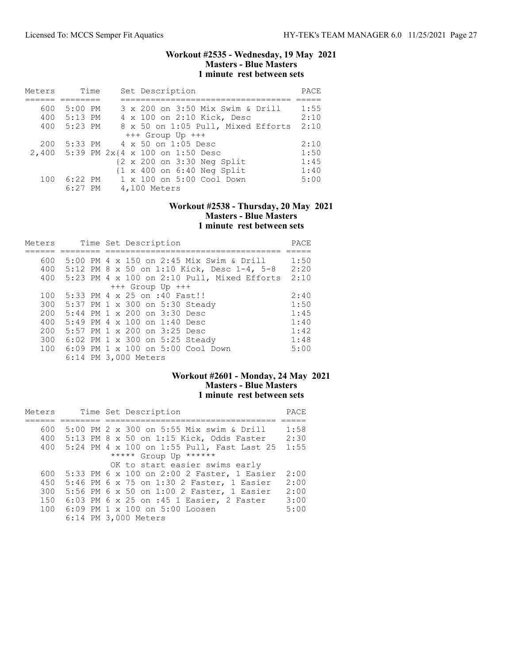### Workout #2535 - Wednesday, 19 May 2021 Masters - Blue Masters 1 minute rest between sets

| Meters | Time        | Set Description                                       | PACE |
|--------|-------------|-------------------------------------------------------|------|
|        |             |                                                       |      |
| 600    | $5:00$ PM   | 3 x 200 on 3:50 Mix Swim & Drill                      | 1:55 |
|        | 400 5:13 PM | 4 x 100 on 2:10 Kick, Desc                            | 2:10 |
| 400    | 5:23 PM     | 8 x 50 on 1:05 Pull, Mixed Efforts                    | 2:10 |
|        |             | $+++$ Group Up $+++$                                  |      |
| 200    |             | 5:33 PM 4 x 50 on 1:05 Desc                           | 2:10 |
|        |             | 2,400 5:39 PM 2x{4 x 100 on 1:50 Desc                 | 1:50 |
|        |             | {2 x 200 on 3:30 Neg Split                            | 1:45 |
|        |             | $\{1 \times 400 \text{ on } 6:40 \text{ Neg Split}\}$ | 1:40 |
| 100    | 6:22 PM     | 1 x 100 on 5:00 Cool Down                             | 5:00 |
|        | 6:27 PM     | 4,100 Meters                                          |      |

## Workout #2538 - Thursday, 20 May 2021 Masters - Blue Masters 1 minute rest between sets

| Meters |  | Time Set Description                            | PACE |
|--------|--|-------------------------------------------------|------|
|        |  |                                                 |      |
| 600    |  | 5:00 PM 4 x 150 on 2:45 Mix Swim & Drill        | 1:50 |
|        |  | 400 5:12 PM 8 x 50 on 1:10 Kick, Desc 1-4, 5-8  | 2:20 |
|        |  | 400 5:23 PM 4 x 100 on 2:10 Pull, Mixed Efforts | 2:10 |
|        |  | $+++$ Group Up $+++$                            |      |
| 100    |  | 5:33 PM 4 x 25 on :40 Fast!!                    | 2:40 |
| 300    |  | 5:37 PM 1 x 300 on 5:30 Steady                  | 1:50 |
| 200    |  | 5:44 PM 1 x 200 on 3:30 Desc                    | 1:45 |
| 400    |  | 5:49 PM 4 x 100 on 1:40 Desc                    | 1:40 |
| 200    |  | 5:57 PM $1 \times 200$ on $3:25$ Desc           | 1:42 |
| 300    |  | 6:02 PM 1 x 300 on 5:25 Steady                  | 1:48 |
| 100    |  | 6:09 PM 1 x 100 on 5:00 Cool Down               | 5:00 |
|        |  | 6:14 PM 3,000 Meters                            |      |

# Workout #2601 - Monday, 24 May 2021 Masters - Blue Masters 1 minute rest between sets

| Meters |  | Time Set Description                       | PACE |
|--------|--|--------------------------------------------|------|
|        |  |                                            |      |
| 600    |  | 5:00 PM 2 x 300 on 5:55 Mix swim & Drill   | 1:58 |
| 400    |  | $5:13$ PM 8 x 50 on 1:15 Kick, Odds Faster | 2:30 |
| 400    |  | 5:24 PM 4 x 100 on 1:55 Pull, Fast Last 25 | 1:55 |
|        |  | ***** Group Up ******                      |      |
|        |  | OK to start easier swims early             |      |
| 600    |  | 5:33 PM 6 x 100 on 2:00 2 Faster, 1 Easier | 2:00 |
| 450    |  | 5:46 PM 6 x 75 on 1:30 2 Faster, 1 Easier  | 2:00 |
| 300    |  | 5:56 PM 6 x 50 on 1:00 2 Faster, 1 Easier  | 2:00 |
| 150    |  | 6:03 PM 6 x 25 on :45 1 Easier, 2 Faster   | 3:00 |
| 100    |  | 6:09 PM 1 x 100 on 5:00 Loosen             | 5:00 |
|        |  | 6:14 PM 3,000 Meters                       |      |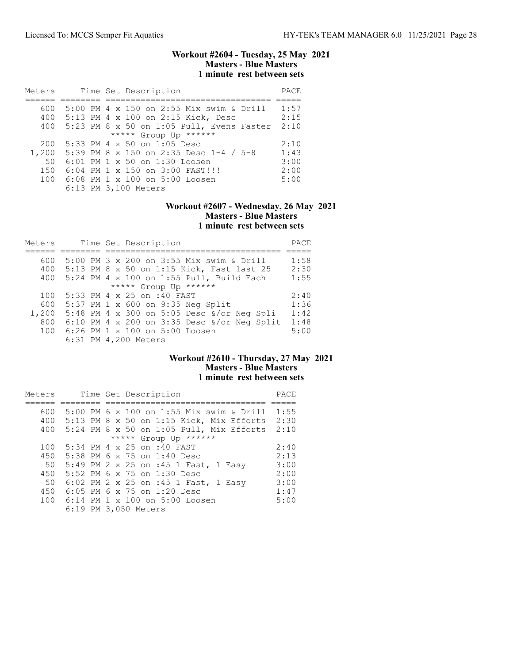### Workout #2604 - Tuesday, 25 May 2021 Masters - Blue Masters 1 minute rest between sets

| Meters | Time Set Description                      | PACE |
|--------|-------------------------------------------|------|
|        |                                           |      |
| 600    | 5:00 PM 4 x 150 on 2:55 Mix swim & Drill  | 1:57 |
| 400    | 5:13 PM 4 x 100 on 2:15 Kick, Desc        | 2:15 |
| 400    | 5:23 PM 8 x 50 on 1:05 Pull, Evens Faster | 2:10 |
|        | ***** Group Up ******                     |      |
| 200    | 5:33 PM 4 x 50 on 1:05 Desc               | 2:10 |
| 1,200  | 5:39 PM 8 x 150 on 2:35 Desc 1-4 / 5-8    | 1:43 |
| 50     | 6:01 PM 1 x 50 on 1:30 Loosen             | 3:00 |
| 150    | 6:04 PM 1 x 150 on 3:00 FAST!!!           | 2:00 |
| 100    | 6:08 PM 1 x 100 on 5:00 Loosen            | 5:00 |
|        | 6:13 PM 3,100 Meters                      |      |

## Workout #2607 - Wednesday, 26 May 2021 Masters - Blue Masters 1 minute rest between sets

| Meters |  | Time Set Description                                | PACE |
|--------|--|-----------------------------------------------------|------|
|        |  |                                                     |      |
| 600    |  | 5:00 PM 3 x 200 on 3:55 Mix swim & Drill            | 1:58 |
| 400    |  | 5:13 PM 8 x 50 on 1:15 Kick, Fast last 25           | 2:30 |
| 400    |  | 5:24 PM 4 x 100 on 1:55 Pull, Build Each            | 1:55 |
|        |  | ***** Group Up ******                               |      |
| 100    |  | 5:33 PM 4 x 25 on :40 FAST                          | 2:40 |
| 600    |  | 5:37 PM 1 x 600 on 9:35 Neg Split                   | 1:36 |
| 1,200  |  | 5:48 PM 4 x 300 on 5:05 Desc &/or Neg Spli          | 1:42 |
| 800    |  | 6:10 PM 4 x 200 on 3:35 Desc $\alpha$ /or Neg Split | 1:48 |
| 100    |  | 6:26 PM 1 x 100 on 5:00 Loosen                      | 5:00 |
|        |  | 6:31 PM 4,200 Meters                                |      |

# Workout #2610 - Thursday, 27 May 2021 Masters - Blue Masters 1 minute rest between sets

| Meters | Time Set Description                     | PACE |
|--------|------------------------------------------|------|
|        |                                          |      |
| 600    | 5:00 PM 6 x 100 on 1:55 Mix swim & Drill | 1:55 |
| 400    | 5:13 PM 8 x 50 on 1:15 Kick, Mix Efforts | 2:30 |
| 400    | 5:24 PM 8 x 50 on 1:05 Pull, Mix Efforts | 2:10 |
|        | ***** Group Up ******                    |      |
| 100    | 5:34 PM 4 x 25 on :40 FAST               | 2:40 |
| 450    | 5:38 PM 6 x 75 on 1:40 Desc              | 2:13 |
| 50     | 5:49 PM 2 x 25 on :45 1 Fast, 1 Easy     | 3:00 |
| 450    | 5:52 PM $6 \times 75$ on 1:30 Desc       | 2:00 |
| 50     | 6:02 PM 2 x 25 on :45 1 Fast, 1 Easy     | 3:00 |
| 450    | $6:05$ PM 6 x 75 on 1:20 Desc            | 1:47 |
| 100    | 6:14 PM 1 x 100 on 5:00 Loosen           | 5:00 |
|        | 6:19 PM 3,050 Meters                     |      |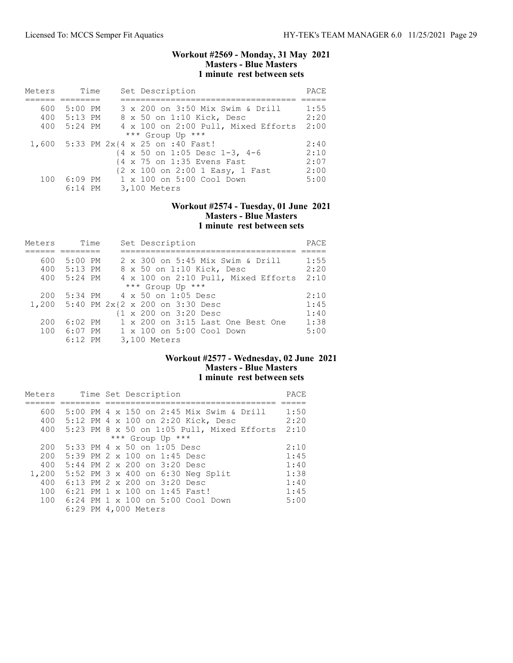### Workout #2569 - Monday, 31 May 2021 Masters - Blue Masters 1 minute rest between sets

| Meters | Time        | Set Description                                         | PACE |
|--------|-------------|---------------------------------------------------------|------|
|        |             |                                                         |      |
| 600    | $5:00$ PM   | 3 x 200 on 3:50 Mix Swim & Drill                        | 1:55 |
|        | 400 5:13 PM | 8 x 50 on 1:10 Kick, Desc                               | 2:20 |
| 400    | 5:24 PM     | 4 x 100 on 2:00 Pull, Mixed Efforts                     | 2:00 |
|        |             | *** Group Up ***                                        |      |
|        |             | 1,600 5:33 PM 2x{4 x 25 on :40 Fast!                    | 2:40 |
|        |             | $\{4 \times 50 \text{ on } 1:05 \text{ Desc } 1-3, 4-6$ | 2:10 |
|        |             | {4 x 75 on 1:35 Evens Fast                              | 2:07 |
|        |             | {2 x 100 on 2:00 1 Easy, 1 Fast                         | 2:00 |
| 100    | 6:09 PM     | $1 \times 100$ on $5:00$ Cool Down                      | 5:00 |
|        | $6:14$ PM   | 3,100 Meters                                            |      |

# Workout #2574 - Tuesday, 01 June 2021 Masters - Blue Masters 1 minute rest between sets

| Meters | Time      | Set Description                       | PACE |
|--------|-----------|---------------------------------------|------|
|        |           |                                       |      |
| 600    | $5:00$ PM | 2 x 300 on 5:45 Mix Swim & Drill      | 1:55 |
| 400    | 5:13 PM   | 8 x 50 on 1:10 Kick, Desc             | 2:20 |
| 400    | 5:24 PM   | 4 x 100 on 2:10 Pull, Mixed Efforts   | 2:10 |
|        |           | *** Group Up ***                      |      |
| 200    |           | $5:34$ PM $4 \times 50$ on 1:05 Desc  | 2:10 |
|        |           | 1,200 5:40 PM 2x{2 x 200 on 3:30 Desc | 1:45 |
|        |           | {1 x 200 on 3:20 Desc                 | 1:40 |
| 200    | $6:02$ PM | 1 x 200 on 3:15 Last One Best One     | 1:38 |
| 100    | $6:07$ PM | 1 x 100 on 5:00 Cool Down             | 5:00 |
|        | $6:12$ PM | 3,100 Meters                          |      |

# Workout #2577 - Wednesday, 02 June 2021 Masters - Blue Masters 1 minute rest between sets

| Meters |  | Time Set Description                       | PACE |
|--------|--|--------------------------------------------|------|
|        |  |                                            |      |
| 600    |  | 5:00 PM 4 x 150 on 2:45 Mix Swim & Drill   | 1:50 |
| 400    |  | 5:12 PM 4 x 100 on 2:20 Kick, Desc         | 2:20 |
| 400    |  | 5:23 PM 8 x 50 on 1:05 Pull, Mixed Efforts | 2:10 |
|        |  | *** Group Up ***                           |      |
| 200    |  | $5:33$ PM 4 x 50 on 1:05 Desc              | 2:10 |
| 200    |  | 5:39 PM 2 x 100 on 1:45 Desc               | 1:45 |
| 400    |  | 5:44 PM 2 x 200 on 3:20 Desc               | 1:40 |
| 1,200  |  | 5:52 PM 3 x 400 on 6:30 Neg Split          | 1:38 |
| 400    |  | 6:13 PM $2 \times 200$ on $3:20$ Desc      | 1:40 |
| 100    |  | 6:21 PM 1 x 100 on 1:45 Fast!              | 1:45 |
| 100    |  | 6:24 PM 1 x 100 on 5:00 Cool Down          | 5:00 |
|        |  | 6:29 PM 4,000 Meters                       |      |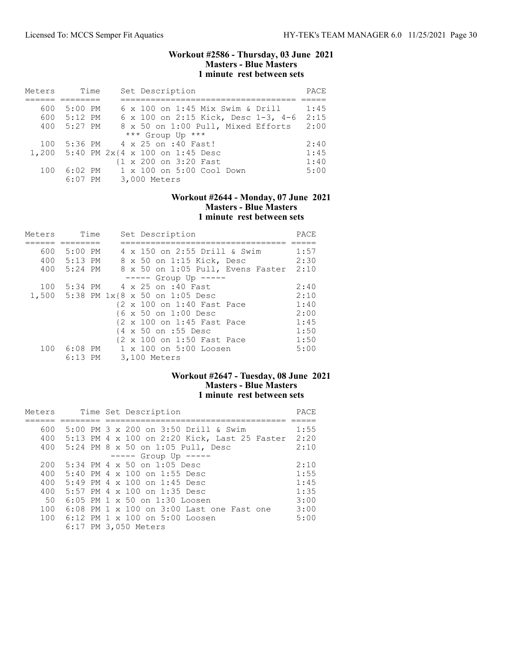### Workout #2586 - Thursday, 03 June 2021 Masters - Blue Masters 1 minute rest between sets

| Meters | Time      | Set Description                       | PACE |
|--------|-----------|---------------------------------------|------|
|        |           |                                       |      |
| 600    | 5:00 PM   | 6 x 100 on 1:45 Mix Swim & Drill      | 1:45 |
| 600    | $5:12$ PM | 6 x 100 on 2:15 Kick, Desc 1-3, 4-6   | 2:15 |
| 400    | 5:27 PM   | 8 x 50 on 1:00 Pull, Mixed Efforts    | 2:00 |
|        |           | *** Group Up ***                      |      |
| 100    |           | 5:36 PM 4 x 25 on :40 Fast!           | 2:40 |
|        |           | 1,200 5:40 PM 2x{4 x 100 on 1:45 Desc | 1:45 |
|        |           | {1 x 200 on 3:20 Fast                 | 1:40 |
| 100    | $6:02$ PM | 1 x 100 on 5:00 Cool Down             | 5:00 |
|        | $6:07$ PM | 3,000 Meters                          |      |

### Workout #2644 - Monday, 07 June 2021 Masters - Blue Masters 1 minute rest between sets

| Meters | Time        |  | Set Description                      | PACE |
|--------|-------------|--|--------------------------------------|------|
|        |             |  |                                      |      |
| 600    | 5:00 PM     |  | 4 x 150 on 2:55 Drill & Swim         | 1:57 |
|        | 400 5:13 PM |  | 8 x 50 on 1:15 Kick, Desc            | 2:30 |
|        | 400 5:24 PM |  | 8 x 50 on 1:05 Pull, Evens Faster    | 2:10 |
|        |             |  | $---$ Group Up $---$                 |      |
| 100    |             |  | 5:34 PM 4 x 25 on :40 Fast           | 2:40 |
|        |             |  | 1,500 5:38 PM 1x{8 x 50 on 1:05 Desc | 2:10 |
|        |             |  | {2 x 100 on 1:40 Fast Pace           | 1:40 |
|        |             |  | {6 x 50 on 1:00 Desc                 | 2:00 |
|        |             |  | {2 x 100 on 1:45 Fast Pace           | 1:45 |
|        |             |  | {4 x 50 on :55 Desc                  | 1:50 |
|        |             |  | {2 x 100 on 1:50 Fast Pace           | 1:50 |
| 100    | 6:08 PM     |  | 1 x 100 on 5:00 Loosen               | 5:00 |
|        | $6:13$ PM   |  | 3,100 Meters                         |      |

## Workout #2647 - Tuesday, 08 June 2021 Masters - Blue Masters 1 minute rest between sets

| Meters |  | Time Set Description                         | PACE |
|--------|--|----------------------------------------------|------|
|        |  |                                              |      |
| 600    |  | 5:00 PM 3 x 200 on 3:50 Drill & Swim         | 1:55 |
| 400    |  | 5:13 PM 4 x 100 on 2:20 Kick, Last 25 Faster | 2:20 |
| 400    |  | 5:24 PM 8 x 50 on 1:05 Pull, Desc            | 2:10 |
|        |  | $--- $ Group Up $--- $                       |      |
| 200    |  | $5:34$ PM 4 x 50 on 1:05 Desc                | 2:10 |
| 400    |  | 5:40 PM 4 x 100 on 1:55 Desc                 | 1:55 |
| 400    |  | $5:49$ PM 4 x 100 on 1:45 Desc               | 1:45 |
| 400    |  | 5:57 PM 4 x 100 on 1:35 Desc                 | 1:35 |
| 50     |  | 6:05 PM 1 x 50 on 1:30 Loosen                | 3:00 |
| 100    |  | 6:08 PM 1 x 100 on 3:00 Last one Fast one    | 3:00 |
| 100    |  | 6:12 PM 1 x 100 on 5:00 Loosen               | 5:00 |
|        |  | 6:17 PM 3,050 Meters                         |      |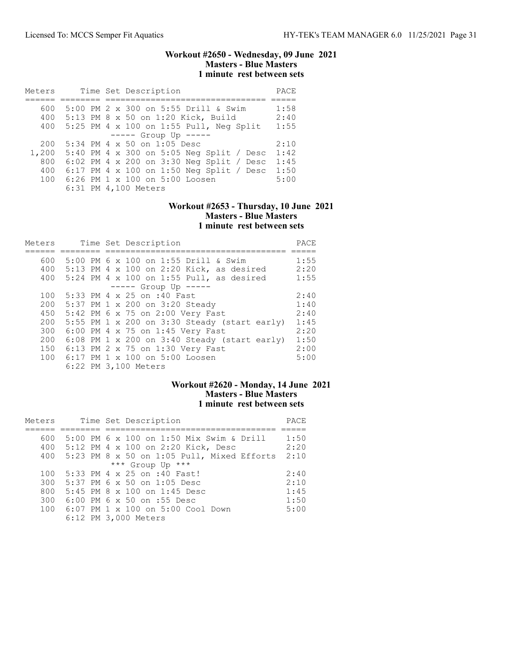### Workout #2650 - Wednesday, 09 June 2021 Masters - Blue Masters 1 minute rest between sets

| Meters |  | Time Set Description                     | PACE |
|--------|--|------------------------------------------|------|
|        |  |                                          |      |
| 600    |  | 5:00 PM 2 x 300 on 5:55 Drill & Swim     | 1:58 |
| 400    |  | 5:13 PM 8 x 50 on 1:20 Kick, Build       | 2:40 |
| 400    |  | 5:25 PM 4 x 100 on 1:55 Pull, Neg Split  | 1:55 |
|        |  | $--- -$ Group Up $---$                   |      |
| 200    |  | 5:34 PM 4 x 50 on 1:05 Desc              | 2:10 |
| 1,200  |  | 5:40 PM 4 x 300 on 5:05 Neg Split / Desc | 1:42 |
| 800    |  | 6:02 PM 4 x 200 on 3:30 Neq Split / Desc | 1:45 |
| 400    |  | 6:17 PM 4 x 100 on 1:50 Neg Split / Desc | 1:50 |
| 100    |  | 6:26 PM 1 x 100 on 5:00 Loosen           | 5:00 |
|        |  | 6:31 PM 4,100 Meters                     |      |

# Workout #2653 - Thursday, 10 June 2021 Masters - Blue Masters 1 minute rest between sets

| Meters |  | Time Set Description                                | PACE |
|--------|--|-----------------------------------------------------|------|
|        |  |                                                     |      |
| 600    |  | 5:00 PM 6 x 100 on 1:55 Drill & Swim                | 1:55 |
| 400    |  | 5:13 PM 4 x 100 on 2:20 Kick, as desired            | 2:20 |
| 400    |  | 5:24 PM 4 x 100 on 1:55 Pull, as desired            | 1:55 |
|        |  | $--- $ Group Up $---$                               |      |
| 100    |  | 5:33 PM 4 x 25 on :40 Fast                          | 2:40 |
| 200    |  | 5:37 PM 1 x 200 on 3:20 Steady                      | 1:40 |
| 450    |  | 5:42 PM 6 x 75 on 2:00 Very Fast                    | 2:40 |
| 200    |  | 5:55 PM $1 \times 200$ on 3:30 Steady (start early) | 1:45 |
| 300    |  | 6:00 PM 4 x 75 on 1:45 Very Fast                    | 2:20 |
| 200    |  | 6:08 PM 1 x 200 on 3:40 Steady (start early)        | 1:50 |
| 150    |  | 6:13 PM 2 x 75 on 1:30 Very Fast                    | 2:00 |
| 100    |  | $6:17$ PM 1 x 100 on 5:00 Loosen                    | 5:00 |
|        |  | 6:22 PM 3,100 Meters                                |      |

# Workout #2620 - Monday, 14 June 2021 Masters - Blue Masters 1 minute rest between sets

| Meters |  | Time Set Description                         | PACE |
|--------|--|----------------------------------------------|------|
|        |  |                                              |      |
| 600    |  | 5:00 PM 6 x 100 on 1:50 Mix Swim & Drill     | 1:50 |
|        |  | 400 5:12 PM 4 x 100 on 2:20 Kick, Desc       | 2:20 |
| 400    |  | $5:23$ PM 8 x 50 on 1:05 Pull, Mixed Efforts | 2:10 |
|        |  | *** Group Up ***                             |      |
| 100    |  | 5:33 PM 4 x 25 on :40 Fast!                  | 2:40 |
| 300    |  | $5:37$ PM 6 x 50 on 1:05 Desc                | 2:10 |
| 800    |  | $5:45$ PM $8 \times 100$ on 1:45 Desc        | 1:45 |
| 300    |  | $6:00$ PM $6 \times 50$ on :55 Desc          | 1:50 |
| 100    |  | 6:07 PM 1 x 100 on 5:00 Cool Down            | 5:00 |
|        |  | 6:12 PM 3,000 Meters                         |      |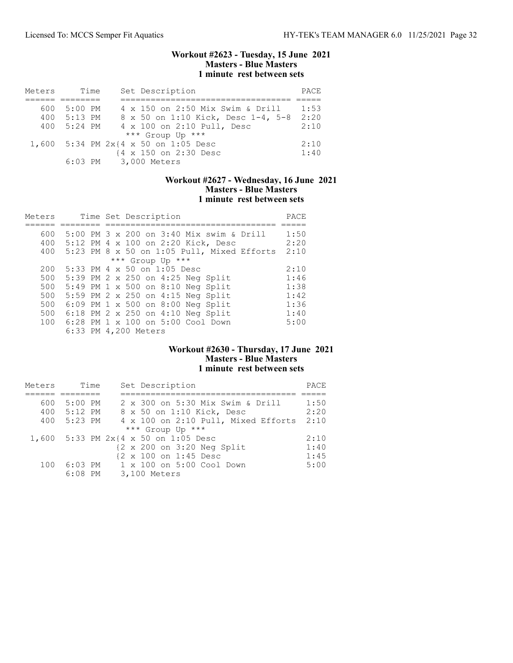### Workout #2623 - Tuesday, 15 June 2021 Masters - Blue Masters 1 minute rest between sets

| Meters |             | Time | Set Description                      | PACE |
|--------|-------------|------|--------------------------------------|------|
|        |             |      |                                      |      |
| 600.   | 5:00 PM     |      | 4 x 150 on 2:50 Mix Swim & Drill     | 1:53 |
| 400    | $5:13$ PM   |      | 8 x 50 on 1:10 Kick, Desc 1-4, 5-8   | 2:20 |
|        | 400 5:24 PM |      | 4 x 100 on 2:10 Pull, Desc           | 2:10 |
|        |             |      | *** Group Up ***                     |      |
|        |             |      | 1,600 5:34 PM 2x{4 x 50 on 1:05 Desc | 2:10 |
|        |             |      | {4 x 150 on 2:30 Desc                | 1:40 |
|        |             |      | 6:03 PM 3,000 Meters                 |      |

#### Workout #2627 - Wednesday, 16 June 2021 Masters - Blue Masters 1 minute rest between sets

| Meters | Time Set Description                       | PACE |
|--------|--------------------------------------------|------|
|        |                                            |      |
| 600    | 5:00 PM 3 x 200 on 3:40 Mix swim & Drill   | 1:50 |
| 400    | 5:12 PM 4 x 100 on 2:20 Kick, Desc         | 2:20 |
| 400    | 5:23 PM 8 x 50 on 1:05 Pull, Mixed Efforts | 2:10 |
|        | *** Group Up ***                           |      |
| 200    | $5:33$ PM 4 x 50 on 1:05 Desc              | 2:10 |
| 500    | 5:39 PM 2 x 250 on 4:25 Neg Split          | 1:46 |
| 500    | 5:49 PM 1 x 500 on 8:10 Neg Split          | 1:38 |
| 500    | 5:59 PM 2 x 250 on 4:15 Neg Split          | 1:42 |
| 500    | $6:09$ PM 1 x 500 on 8:00 Neg Split        | 1:36 |
| 500    | 6:18 PM 2 x 250 on 4:10 Neg Split          | 1:40 |
| 100    | 6:28 PM 1 x 100 on 5:00 Cool Down          | 5:00 |
|        | 6:33 PM 4,200 Meters                       |      |

#### Workout #2630 - Thursday, 17 June 2021 Masters - Blue Masters 1 minute rest between sets

| Meters | Time      | Set Description                      | PACE |
|--------|-----------|--------------------------------------|------|
|        |           |                                      |      |
| 600    | 5:00 PM   | 2 x 300 on 5:30 Mix Swim & Drill     | 1:50 |
| 400    | $5:12$ PM | 8 x 50 on 1:10 Kick, Desc            | 2:20 |
| 400    | 5:23 PM   | 4 x 100 on 2:10 Pull, Mixed Efforts  | 2:10 |
|        |           | *** Group Up ***                     |      |
|        |           | 1,600 5:33 PM 2x{4 x 50 on 1:05 Desc | 2:10 |
|        |           | ${2 \times 200}$ on 3:20 Neg Split   | 1:40 |
|        |           | {2 x 100 on 1:45 Desc                | 1:45 |
| 100    | 6:03 PM   | 1 x 100 on 5:00 Cool Down            | 5:00 |
|        | $6:08$ PM | 3,100 Meters                         |      |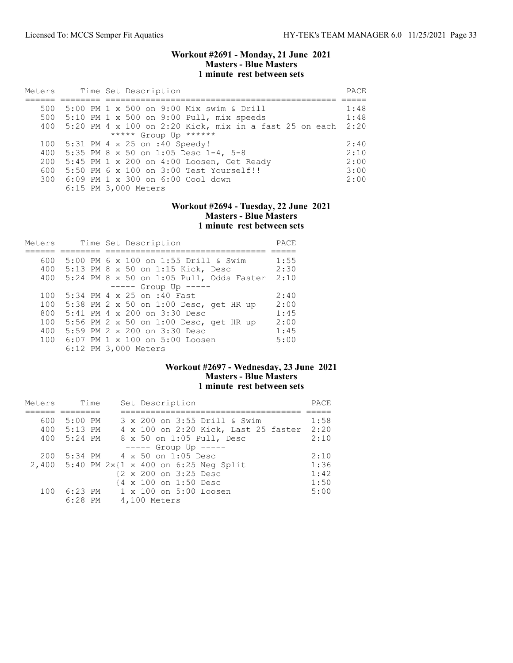### Workout #2691 - Monday, 21 June 2021 Masters - Blue Masters 1 minute rest between sets

| Meters |  | Time Set Description                                     | PACE |
|--------|--|----------------------------------------------------------|------|
|        |  |                                                          |      |
| 500    |  | 5:00 PM 1 x 500 on 9:00 Mix swim & Drill                 | 1:48 |
| 500    |  | 5:10 PM 1 x 500 on 9:00 Pull, mix speeds                 | 1:48 |
| 400    |  | $5:20$ PM 4 x 100 on 2:20 Kick, mix in a fast 25 on each | 2:20 |
|        |  | ***** Group Up ******                                    |      |
| 100    |  | 5:31 PM 4 x 25 on :40 Speedy!                            | 2:40 |
| 400    |  | 5:35 PM 8 x 50 on 1:05 Desc $1-4$ , 5-8                  | 2:10 |
| 200    |  | 5:45 PM 1 x 200 on 4:00 Loosen, Get Ready                | 2:00 |
| 600    |  | 5:50 PM 6 x 100 on 3:00 Test Yourself!!                  | 3:00 |
|        |  | 300 6:09 PM 1 x 300 on 6:00 Cool down                    | 2:00 |
|        |  | 6:15 PM 3,000 Meters                                     |      |

# Workout #2694 - Tuesday, 22 June 2021 Masters - Blue Masters 1 minute rest between sets

| Meters |  | Time Set Description                     | PACE |
|--------|--|------------------------------------------|------|
|        |  |                                          |      |
| 600    |  | 5:00 PM 6 x 100 on 1:55 Drill & Swim     | 1:55 |
| 400    |  | 5:13 PM 8 x 50 on 1:15 Kick, Desc        | 2:30 |
| 400    |  | 5:24 PM 8 x 50 on 1:05 Pull, Odds Faster | 2:10 |
|        |  | $--- $ Group Up $---$                    |      |
| 100    |  | 5:34 PM 4 x 25 on :40 Fast               | 2:40 |
| 100    |  | 5:38 PM 2 x 50 on 1:00 Desc, get HR up   | 2:00 |
| 800    |  | 5:41 PM 4 x 200 on 3:30 Desc             | 1:45 |
| 100    |  | 5:56 PM 2 x 50 on 1:00 Desc, get HR up   | 2:00 |
| 400    |  | 5:59 PM 2 x 200 on 3:30 Desc             | 1:45 |
| 100    |  | 6:07 PM 1 x 100 on 5:00 Loosen           | 5:00 |
|        |  | 6:12 PM 3,000 Meters                     |      |

## Workout #2697 - Wednesday, 23 June 2021 Masters - Blue Masters 1 minute rest between sets

| Meters |             | Time | Set Description                            | PACE |
|--------|-------------|------|--------------------------------------------|------|
|        |             |      |                                            |      |
| 600    | 5:00 PM     |      | 3 x 200 on 3:55 Drill & Swim               | 1:58 |
|        | 400 5:13 PM |      | 4 x 100 on 2:20 Kick, Last 25 faster       | 2:20 |
| 400    | 5:24 PM     |      | 8 x 50 on 1:05 Pull, Desc                  | 2:10 |
|        |             |      | $---$ Group Up $---$                       |      |
| 200    |             |      | 5:34 PM 4 x 50 on 1:05 Desc                | 2:10 |
|        |             |      | 2,400 5:40 PM 2x{1 x 400 on 6:25 Neg Split | 1:36 |
|        |             |      | {2 x 200 on 3:25 Desc                      | 1:42 |
|        |             |      | {4 x 100 on 1:50 Desc                      | 1:50 |
| 100    |             |      | 6:23 PM 1 x 100 on 5:00 Loosen             | 5:00 |
|        | $6:28$ PM   |      | 4,100 Meters                               |      |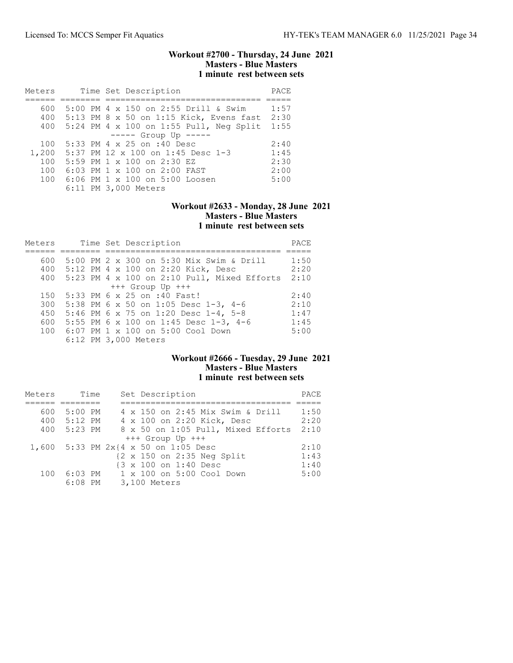### Workout #2700 - Thursday, 24 June 2021 Masters - Blue Masters 1 minute rest between sets

| Meters | Time Set Description                        | PACE |
|--------|---------------------------------------------|------|
|        |                                             |      |
| 600    | 5:00 PM 4 x 150 on 2:55 Drill & Swim        | 1:57 |
|        | 400 5:13 PM 8 x 50 on 1:15 Kick, Evens fast | 2:30 |
| 400    | $5:24$ PM 4 x 100 on 1:55 Pull, Neg Split   | 1:55 |
|        | $--- $ Group Up $---$                       |      |
| 100    | 5:33 PM 4 x 25 on :40 Desc                  | 2:40 |
| 1,200  | 5:37 PM 12 x 100 on 1:45 Desc 1-3           | 1:45 |
| 100    | 5:59 PM 1 x 100 on 2:30 EZ                  | 2:30 |
| 100    | 6:03 PM 1 x 100 on 2:00 FAST                | 2:00 |
| 100    | 6:06 PM 1 x 100 on 5:00 Loosen              | 5:00 |
|        | 6:11 PM 3,000 Meters                        |      |

## Workout #2633 - Monday, 28 June 2021 Masters - Blue Masters 1 minute rest between sets

| Meters | Time Set Description                          | PACE |
|--------|-----------------------------------------------|------|
|        |                                               |      |
| 600    | 5:00 PM 2 x 300 on 5:30 Mix Swim & Drill      | 1:50 |
|        | 400 5:12 PM 4 x 100 on 2:20 Kick, Desc        | 2:20 |
| 400    | $5:23$ PM 4 x 100 on 2:10 Pull, Mixed Efforts | 2:10 |
|        | $+++$ Group Up $+++$                          |      |
| 150    | 5:33 PM 6 x 25 on :40 Fast!                   | 2:40 |
| 300    | 5:38 PM 6 x 50 on 1:05 Desc 1-3, 4-6          | 2:10 |
| 450    | 5:46 PM 6 x 75 on 1:20 Desc 1-4, 5-8          | 1:47 |
| 600    | 5:55 PM 6 x 100 on 1:45 Desc 1-3, 4-6         | 1:45 |
|        | 100 6:07 PM 1 x 100 on 5:00 Cool Down         | 5:00 |
|        | 6:12 PM 3,000 Meters                          |      |

# Workout #2666 - Tuesday, 29 June 2021 Masters - Blue Masters 1 minute rest between sets

| Meters | Time      | Set Description                      | PACE |
|--------|-----------|--------------------------------------|------|
|        |           |                                      |      |
| 600    | $5:00$ PM | 4 x 150 on 2:45 Mix Swim & Drill     | 1:50 |
| 400    | $5:12$ PM | 4 x 100 on 2:20 Kick, Desc           | 2:20 |
| 400    | 5:23 PM   | 8 x 50 on 1:05 Pull, Mixed Efforts   | 2:10 |
|        |           | $+++$ Group Up $+++$                 |      |
|        |           | 1,600 5:33 PM 2x{4 x 50 on 1:05 Desc | 2:10 |
|        |           | {2 x 150 on 2:35 Neg Split           | 1:43 |
|        |           | {3 x 100 on 1:40 Desc                | 1:40 |
| 100    | 6:03 PM   | 1 x 100 on 5:00 Cool Down            | 5:00 |
|        | $6:08$ PM | 3,100 Meters                         |      |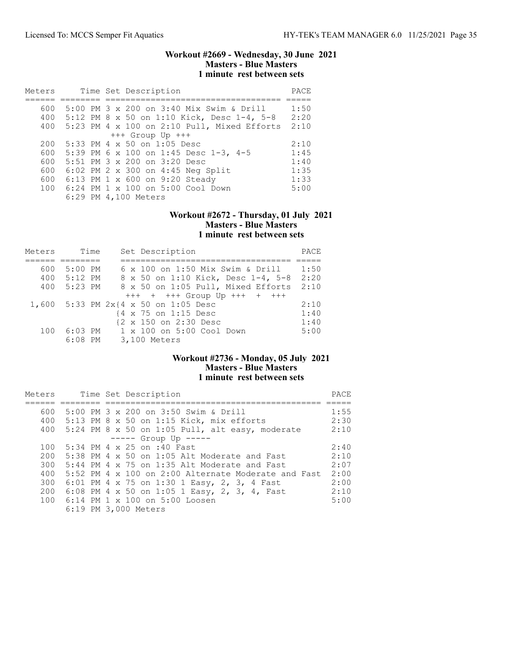### Workout #2669 - Wednesday, 30 June 2021 Masters - Blue Masters 1 minute rest between sets

| Meters |  | Time Set Description                          | PACE |
|--------|--|-----------------------------------------------|------|
|        |  |                                               |      |
| 600    |  | 5:00 PM 3 x 200 on 3:40 Mix Swim & Drill      | 1:50 |
| 400    |  | 5:12 PM 8 x 50 on 1:10 Kick, Desc 1-4, 5-8    | 2:20 |
| 400    |  | $5:23$ PM 4 x 100 on 2:10 Pull, Mixed Efforts | 2:10 |
|        |  | $+++$ Group Up $+++$                          |      |
| 200    |  | 5:33 PM 4 x 50 on 1:05 Desc                   | 2:10 |
| 600    |  | 5:39 PM 6 x 100 on 1:45 Desc 1-3, 4-5         | 1:45 |
| 600    |  | 5:51 PM 3 x 200 on 3:20 Desc                  | 1:40 |
| 600    |  | 6:02 PM 2 x 300 on 4:45 Neg Split             | 1:35 |
| 600    |  | 6:13 PM 1 x 600 on 9:20 Steady                | 1:33 |
| 100    |  | 6:24 PM 1 x 100 on 5:00 Cool Down             | 5:00 |
|        |  | 6:29 PM 4,100 Meters                          |      |

#### Workout #2672 - Thursday, 01 July 2021 Masters - Blue Masters 1 minute rest between sets

| Meters | Time      |  | Set Description                        | PACE |
|--------|-----------|--|----------------------------------------|------|
|        |           |  |                                        |      |
| 600    | $5:00$ PM |  | 6 x 100 on 1:50 Mix Swim & Drill       | 1:50 |
| 400    | $5:12$ PM |  | 8 x 50 on 1:10 Kick, Desc 1-4, 5-8     | 2:20 |
| 400    | 5:23 PM   |  | 8 x 50 on 1:05 Pull, Mixed Efforts     | 2:10 |
|        |           |  | $++++$ + $+++$ Group Up $++++$ + $+++$ |      |
|        |           |  | 1,600 5:33 PM 2x{4 x 50 on 1:05 Desc   | 2:10 |
|        |           |  | {4 x 75 on 1:15 Desc                   | 1:40 |
|        |           |  | {2 x 150 on 2:30 Desc                  | 1:40 |
| 100    |           |  | 6:03 PM = 1 x 100 on 5:00 Cool Down    | 5:00 |
|        | $6:08$ PM |  | 3,100 Meters                           |      |

# Workout #2736 - Monday, 05 July 2021 Masters - Blue Masters 1 minute rest between sets

| Meters |  | Time Set Description                                |      |  |  |  |
|--------|--|-----------------------------------------------------|------|--|--|--|
|        |  |                                                     |      |  |  |  |
| 600    |  | 5:00 PM 3 x 200 on 3:50 Swim & Drill                | 1:55 |  |  |  |
|        |  | 400 5:13 PM 8 x 50 on 1:15 Kick, mix efforts        | 2:30 |  |  |  |
|        |  | 400 5:24 PM 8 x 50 on 1:05 Pull, alt easy, moderate | 2:10 |  |  |  |
|        |  | $--- $ Group Up $---$                               |      |  |  |  |
| 100    |  | 5:34 PM 4 x 25 on :40 Fast                          | 2:40 |  |  |  |
| 200    |  | 5:38 PM $4 \times 50$ on 1:05 Alt Moderate and Fast | 2:10 |  |  |  |
| 300    |  | $5:44$ PM 4 x 75 on 1:35 Alt Moderate and Fast      | 2:07 |  |  |  |
| 400    |  | 5:52 PM 4 x 100 on 2:00 Alternate Moderate and Fast | 2:00 |  |  |  |
| 300    |  | 6:01 PM 4 x 75 on 1:30 1 Easy, 2, 3, 4 Fast         | 2:00 |  |  |  |
| 200    |  | 6:08 PM 4 x 50 on 1:05 1 Easy, 2, 3, 4, Fast        | 2:10 |  |  |  |
|        |  | 100 6:14 PM 1 x 100 on 5:00 Loosen                  | 5:00 |  |  |  |
|        |  | 6:19 PM 3,000 Meters                                |      |  |  |  |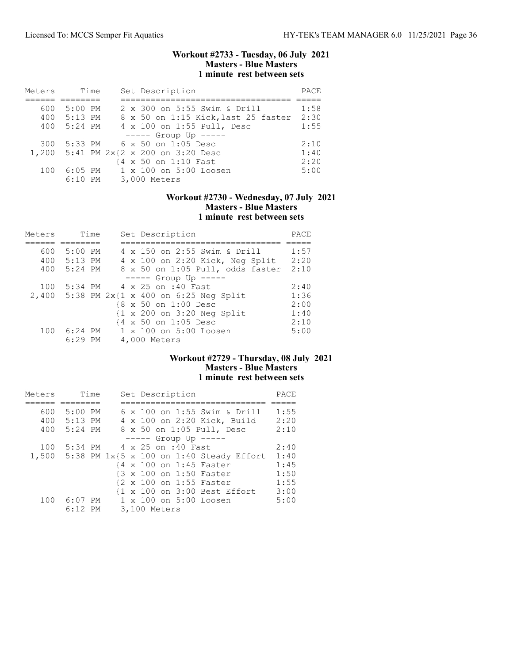### Workout #2733 - Tuesday, 06 July 2021 Masters - Blue Masters 1 minute rest between sets

| Meters |             | Time |  | Set Description                       | PACE |
|--------|-------------|------|--|---------------------------------------|------|
|        |             |      |  |                                       |      |
| 600    | 5:00 PM     |      |  | 2 x 300 on 5:55 Swim & Drill          | 1:58 |
|        | 400 5:13 PM |      |  | 8 x 50 on 1:15 Kick, last 25 faster   | 2:30 |
| 400    | 5:24 PM     |      |  | 4 x 100 on 1:55 Pull, Desc            | 1:55 |
|        |             |      |  | $--- -$ Group Up $--- -$              |      |
| 300    |             |      |  | 5:33 PM 6 x 50 on 1:05 Desc           | 2:10 |
|        |             |      |  | 1,200 5:41 PM 2x{2 x 200 on 3:20 Desc | 1:40 |
|        |             |      |  | {4 x 50 on 1:10 Fast                  | 2:20 |
| 100    | $6:05$ PM   |      |  | 1 x 100 on 5:00 Loosen                | 5:00 |
|        |             |      |  | 6:10 PM 3,000 Meters                  |      |

### Workout #2730 - Wednesday, 07 July 2021 Masters - Blue Masters 1 minute rest between sets

| Meters |           | Time | Set Description                                       | PACE |
|--------|-----------|------|-------------------------------------------------------|------|
|        |           |      |                                                       |      |
| 600    | $5:00$ PM |      | 4 x 150 on 2:55 Swim & Drill                          | 1:57 |
| 400    | $5:13$ PM |      | 4 x 100 on 2:20 Kick, Neg Split                       | 2:20 |
| 400    | 5:24 PM   |      | 8 x 50 on 1:05 Pull, odds faster                      | 2:10 |
|        |           |      | $--- $ Group Up $--- $                                |      |
| 100    | $5:34$ PM |      | 4 x 25 on :40 Fast                                    | 2:40 |
|        |           |      | 2,400 5:38 PM 2x{1 x 400 on 6:25 Neg Split            | 1:36 |
|        |           |      | {8 x 50 on 1:00 Desc                                  | 2:00 |
|        |           |      | $\{1 \times 200 \text{ on } 3:20 \text{ Neg Split}\}$ | 1:40 |
|        |           |      | {4 x 50 on 1:05 Desc                                  | 2:10 |
| 100    | $6:24$ PM |      | 1 x 100 on 5:00 Loosen                                | 5:00 |
|        | $6:29$ PM |      | 4,000 Meters                                          |      |

# Workout #2729 - Thursday, 08 July 2021 Masters - Blue Masters 1 minute rest between sets

| Meters |           | Time |  | Set Description                                | PACE |
|--------|-----------|------|--|------------------------------------------------|------|
|        |           |      |  |                                                |      |
| 600    | 5:00 PM   |      |  | 6 x 100 on 1:55 Swim & Drill                   | 1:55 |
| 400    | $5:13$ PM |      |  | 4 x 100 on 2:20 Kick, Build                    | 2:20 |
| 400    | $5:24$ PM |      |  | 8 x 50 on 1:05 Pull, Desc                      | 2:10 |
|        |           |      |  | $--- $ Group Up $---$                          |      |
| 100    | 5:34 PM   |      |  | 4 x 25 on :40 Fast                             | 2:40 |
|        |           |      |  | 1,500 5:38 PM 1x{5 x 100 on 1:40 Steady Effort | 1:40 |
|        |           |      |  | {4 x 100 on 1:45 Faster                        | 1:45 |
|        |           |      |  | {3 x 100 on 1:50 Faster                        | 1:50 |
|        |           |      |  | {2 x 100 on 1:55 Faster                        | 1:55 |
|        |           |      |  | {1 x 100 on 3:00 Best Effort                   | 3:00 |
| 100    | 6:07 PM   |      |  | 1 x 100 on 5:00 Loosen                         | 5:00 |
|        | $6:12$ PM |      |  | 3,100 Meters                                   |      |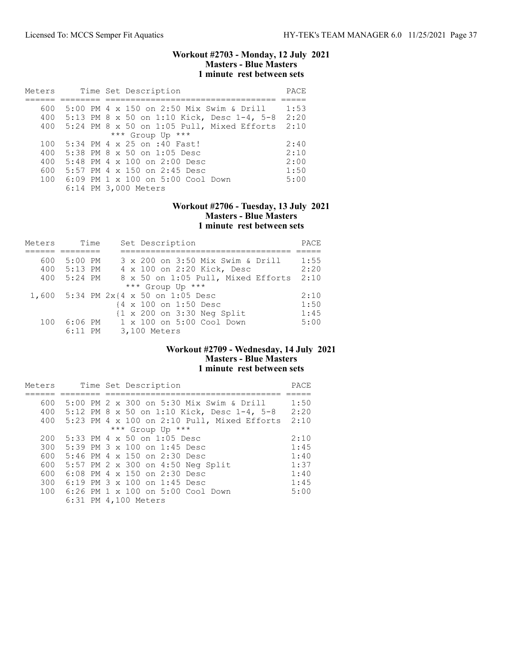### Workout #2703 - Monday, 12 July 2021 Masters - Blue Masters 1 minute rest between sets

| Meters |  | Time Set Description                       | PACE |
|--------|--|--------------------------------------------|------|
|        |  |                                            |      |
| 600    |  | 5:00 PM 4 x 150 on 2:50 Mix Swim & Drill   | 1:53 |
| 400    |  | 5:13 PM 8 x 50 on 1:10 Kick, Desc 1-4, 5-8 | 2:20 |
| 400    |  | 5:24 PM 8 x 50 on 1:05 Pull, Mixed Efforts | 2:10 |
|        |  | *** Group Up ***                           |      |
| 100    |  | 5:34 PM 4 x 25 on :40 Fast!                | 2:40 |
| 400    |  | 5:38 PM 8 x 50 on 1:05 Desc                | 2:10 |
| 400    |  | 5:48 PM 4 x 100 on 2:00 Desc               | 2:00 |
| 600    |  | 5:57 PM 4 x 150 on 2:45 Desc               | 1:50 |
| 100    |  | 6:09 PM 1 x 100 on 5:00 Cool Down          | 5:00 |
|        |  | 6:14 PM 3,000 Meters                       |      |

## Workout #2706 - Tuesday, 13 July 2021 Masters - Blue Masters 1 minute rest between sets

| Meters | Time      | Set Description                                       | PACE |
|--------|-----------|-------------------------------------------------------|------|
|        |           |                                                       |      |
| 600    | $5:00$ PM | 3 x 200 on 3:50 Mix Swim & Drill                      | 1:55 |
| 400    | 5:13 PM   | 4 x 100 on 2:20 Kick, Desc                            | 2:20 |
| 400    | $5:24$ PM | 8 x 50 on 1:05 Pull, Mixed Efforts                    | 2:10 |
|        |           | *** Group Up ***                                      |      |
|        |           | 1,600 5:34 PM 2x{4 x 50 on 1:05 Desc                  | 2:10 |
|        |           | {4 x 100 on 1:50 Desc                                 | 1:50 |
|        |           | $\{1 \times 200 \text{ on } 3:30 \text{ Neg Split}\}$ | 1:45 |
| 100    | 6:06 PM   | $1 \times 100$ on $5:00$ Cool Down                    | 5:00 |
|        | $6:11$ PM | 3,100 Meters                                          |      |

#### Workout #2709 - Wednesday, 14 July 2021 Masters - Blue Masters 1 minute rest between sets

| Meters |  | Time Set Description                        | PACE |
|--------|--|---------------------------------------------|------|
|        |  |                                             |      |
| 600    |  | 5:00 PM 2 x 300 on 5:30 Mix Swim & Drill    | 1:50 |
| 400    |  | 5:12 PM 8 x 50 on 1:10 Kick, Desc 1-4, 5-8  | 2:20 |
| 400    |  | 5:23 PM 4 x 100 on 2:10 Pull, Mixed Efforts | 2:10 |
|        |  | *** Group Up ***                            |      |
| 200    |  | 5:33 PM 4 x 50 on 1:05 Desc                 | 2:10 |
| 300    |  | $5:39$ PM $3 \times 100$ on 1:45 Desc       | 1:45 |
| 600    |  | $5:46$ PM $4 \times 150$ on $2:30$ Desc     | 1:40 |
| 600    |  | 5:57 PM 2 x 300 on 4:50 Neg Split           | 1:37 |
| 600    |  | 6:08 PM 4 x 150 on 2:30 Desc                | 1:40 |
| 300    |  | 6:19 PM $3 \times 100$ on 1:45 Desc         | 1:45 |
| 100    |  | 6:26 PM 1 x 100 on 5:00 Cool Down           | 5:00 |
|        |  | 6:31 PM 4,100 Meters                        |      |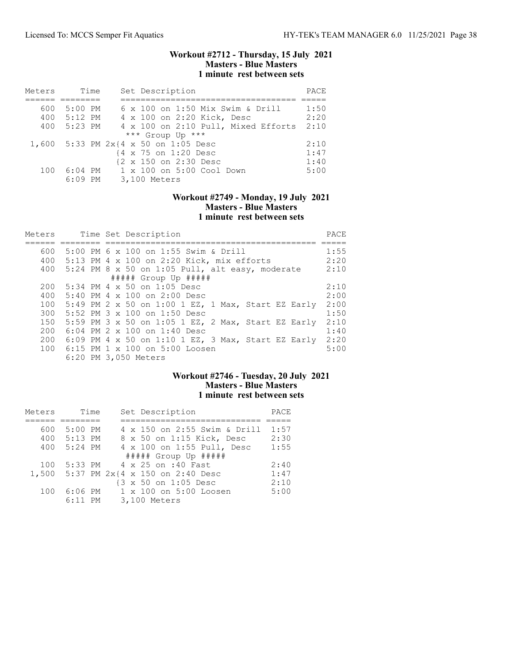### Workout #2712 - Thursday, 15 July 2021 Masters - Blue Masters 1 minute rest between sets

| Meters | Time      | Set Description                             | PACE |
|--------|-----------|---------------------------------------------|------|
|        |           |                                             |      |
| 600    | $5:00$ PM | 6 x 100 on 1:50 Mix Swim & Drill            | 1:50 |
| 400    | $5:12$ PM | 4 x 100 on 2:20 Kick, Desc                  | 2:20 |
| 400    | 5:23 PM   | 4 x 100 on 2:10 Pull, Mixed Efforts         | 2:10 |
|        |           | *** Group Up ***                            |      |
| 1,600  |           | $5:33$ PM $2x$ $4 \times 50$ on $1:05$ Desc | 2:10 |
|        |           | {4 x 75 on 1:20 Desc                        | 1:47 |
|        |           | {2 x 150 on 2:30 Desc                       | 1:40 |
| 100    | $6:04$ PM | 1 x 100 on 5:00 Cool Down                   | 5:00 |
|        | $6:09$ PM | 3,100 Meters                                |      |

### Workout #2749 - Monday, 19 July 2021 Masters - Blue Masters 1 minute rest between sets

| Meters |  | Time Set Description                                | PACE |
|--------|--|-----------------------------------------------------|------|
|        |  |                                                     |      |
| 600    |  | 5:00 PM 6 x 100 on 1:55 Swim & Drill                | 1:55 |
| 400    |  | 5:13 PM $4 \times 100$ on 2:20 Kick, mix efforts    | 2:20 |
|        |  | 400 5:24 PM 8 x 50 on 1:05 Pull, alt easy, moderate | 2:10 |
|        |  | $\#$ #### Group Up $\#$ ####                        |      |
| 200    |  | $5:34$ PM 4 x 50 on 1:05 Desc                       | 2:10 |
| 400    |  | $5:40$ PM 4 $\times$ 100 on 2:00 Desc               | 2:00 |
| 100    |  | 5:49 PM 2 x 50 on 1:00 1 EZ, 1 Max, Start EZ Early  | 2:00 |
| 300    |  | 5:52 PM $3 \times 100$ on 1:50 Desc                 | 1:50 |
| 150    |  | 5:59 PM 3 x 50 on 1:05 1 EZ, 2 Max, Start EZ Early  | 2:10 |
| 200    |  | 6:04 PM 2 x 100 on 1:40 Desc                        | 1:40 |
| 200    |  | 6:09 PM 4 x 50 on 1:10 1 EZ, 3 Max, Start EZ Early  | 2:20 |
| 100    |  | 6:15 PM 1 $\times$ 100 on 5:00 Loosen               | 5:00 |
|        |  | 6:20 PM 3,050 Meters                                |      |

# Workout #2746 - Tuesday, 20 July 2021 Masters - Blue Masters 1 minute rest between sets

| Meters | Time      | Set Description                       | PACE |
|--------|-----------|---------------------------------------|------|
|        |           |                                       |      |
| 600    | $5:00$ PM | 4 x 150 on 2:55 Swim & Drill          | 1:57 |
| 400    | $5:13$ PM | 8 x 50 on 1:15 Kick, Desc             | 2:30 |
| 400    | $5:24$ PM | 4 x 100 on 1:55 Pull, Desc            | 1:55 |
|        |           | ##### Group Up #####                  |      |
| 100    | 5:33 PM   | 4 x 25 on :40 Fast                    | 2:40 |
|        |           | 1,500 5:37 PM 2x{4 x 150 on 2:40 Desc | 1:47 |
|        |           | {3 x 50 on 1:05 Desc                  | 2:10 |
| 100    | 6:06 PM   | 1 x 100 on 5:00 Loosen                | 5:00 |
|        | $6:11$ PM | 3,100 Meters                          |      |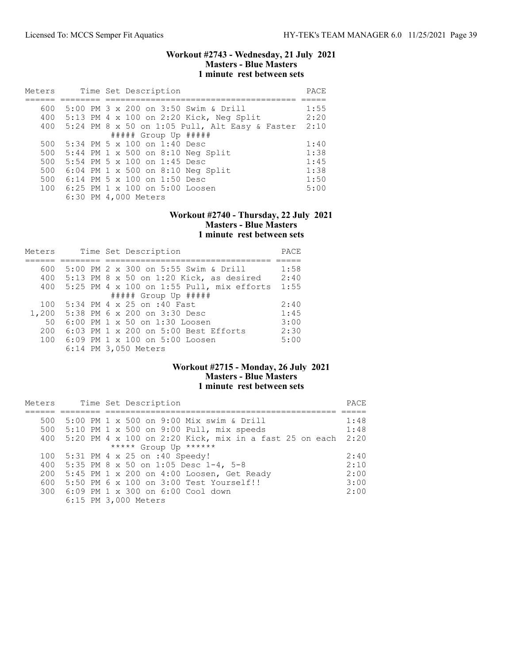### Workout #2743 - Wednesday, 21 July 2021 Masters - Blue Masters 1 minute rest between sets

| Meters |  | Time Set Description                               | PACE |
|--------|--|----------------------------------------------------|------|
|        |  |                                                    |      |
| 600    |  | 5:00 PM 3 x 200 on 3:50 Swim & Drill               | 1:55 |
|        |  | 400 5:13 PM 4 x 100 on 2:20 Kick, Neg Split        | 2:20 |
|        |  | 400 5:24 PM 8 x 50 on 1:05 Pull, Alt Easy & Faster | 2:10 |
|        |  | $\#$ #### Group Up #####                           |      |
| 500    |  | $5:34$ PM 5 x 100 on 1:40 Desc                     | 1:40 |
|        |  | 500 5:44 PM 1 x 500 on 8:10 Neg Split              | 1:38 |
| 500    |  | 5:54 PM 5 x 100 on 1:45 Desc                       | 1:45 |
| 500    |  | $6:04$ PM 1 x 500 on 8:10 Neg Split                | 1:38 |
| 500    |  | $6:14$ PM 5 x 100 on 1:50 Desc                     | 1:50 |
|        |  | 100 6:25 PM 1 x 100 on 5:00 Loosen                 | 5:00 |
|        |  | 6:30 PM 4,000 Meters                               |      |

#### Workout #2740 - Thursday, 22 July 2021 Masters - Blue Masters 1 minute rest between sets

| Meters |                      | Time Set Description                      | PACE |
|--------|----------------------|-------------------------------------------|------|
|        |                      |                                           |      |
| 600    |                      | 5:00 PM 2 x 300 on 5:55 Swim & Drill      | 1:58 |
| 400    |                      | $5:13$ PM 8 x 50 on 1:20 Kick, as desired | 2:40 |
| 400    |                      | 5:25 PM 4 x 100 on 1:55 Pull, mix efforts | 1:55 |
|        |                      | $\#$ #### Group Up $\#$ ####              |      |
| 100    |                      | 5:34 PM 4 x 25 on :40 Fast                | 2:40 |
| 1,200  |                      | 5:38 PM 6 x 200 on 3:30 Desc              | 1:45 |
| 50     |                      | 6:00 PM 1 x 50 on 1:30 Loosen             | 3:00 |
| 200    |                      | 6:03 PM 1 x 200 on 5:00 Best Efforts      | 2:30 |
| 100    |                      | 6:09 PM 1 x 100 on 5:00 Loosen            | 5:00 |
|        | 6:14 PM 3,050 Meters |                                           |      |

## Workout #2715 - Monday, 26 July 2021 Masters - Blue Masters 1 minute rest between sets

| Meters |                                 |  | Time Set Description |                                                        | PACE |
|--------|---------------------------------|--|----------------------|--------------------------------------------------------|------|
|        |                                 |  |                      |                                                        |      |
| 500    |                                 |  |                      | 5:00 PM 1 x 500 on 9:00 Mix swim & Drill               | 1:48 |
| 500    |                                 |  |                      | $5:10$ PM 1 x 500 on 9:00 Pull, mix speeds             | 1:48 |
| 400    |                                 |  |                      | 5:20 PM 4 x 100 on 2:20 Kick, mix in a fast 25 on each | 2:20 |
|        |                                 |  |                      | ***** Group Up ******                                  |      |
| 100    | $5:31$ PM 4 x 25 on :40 Speedy! |  |                      |                                                        | 2:40 |
| 400    |                                 |  |                      | 5:35 PM 8 x 50 on 1:05 Desc 1-4, 5-8                   | 2:10 |
| 200    |                                 |  |                      | $5:45$ PM 1 x 200 on 4:00 Loosen, Get Ready            | 2:00 |
| 600    |                                 |  |                      | 5:50 PM 6 x 100 on 3:00 Test Yourself!!                | 3:00 |
| 300    |                                 |  |                      | 6:09 PM 1 x 300 on 6:00 Cool down                      | 2:00 |
|        |                                 |  | 6:15 PM 3,000 Meters |                                                        |      |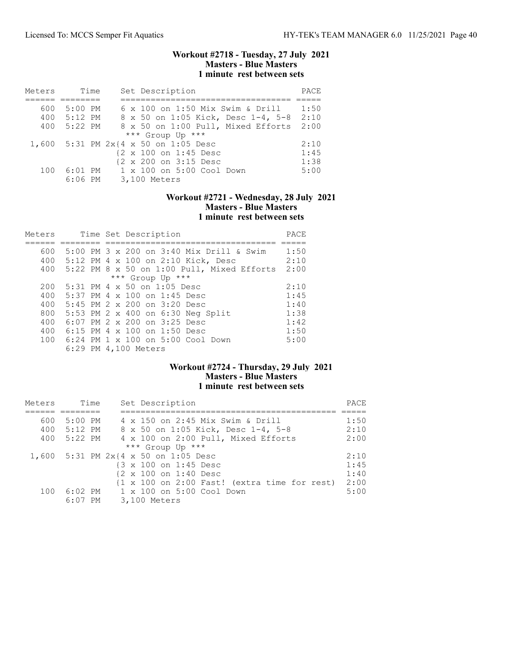### Workout #2718 - Tuesday, 27 July 2021 Masters - Blue Masters 1 minute rest between sets

| Meters | Time        | Set Description                         | PACE |
|--------|-------------|-----------------------------------------|------|
|        |             |                                         |      |
| 600    | 5:00 PM     | 6 x 100 on 1:50 Mix Swim & Drill        | 1:50 |
|        | 400 5:12 PM | 8 x 50 on 1:05 Kick, Desc 1-4, 5-8 2:10 |      |
| 400    | 5:22 PM     | 8 x 50 on 1:00 Pull, Mixed Efforts      | 2:00 |
|        |             | *** Group Up ***                        |      |
|        |             | 1,600 5:31 PM 2x{4 x 50 on 1:05 Desc    | 2:10 |
|        |             | {2 x 100 on 1:45 Desc                   | 1:45 |
|        |             | {2 x 200 on 3:15 Desc                   | 1:38 |
| 100    |             | 6:01 PM 1 x 100 on 5:00 Cool Down       | 5:00 |
|        | $6:06$ PM   | 3,100 Meters                            |      |

### Workout #2721 - Wednesday, 28 July 2021 Masters - Blue Masters 1 minute rest between sets

| Meters |  | Time Set Description                       | PACE |
|--------|--|--------------------------------------------|------|
|        |  |                                            |      |
| 600    |  | 5:00 PM 3 x 200 on 3:40 Mix Drill & Swim   | 1:50 |
| 400    |  | 5:12 PM 4 x 100 on 2:10 Kick, Desc         | 2:10 |
| 400    |  | 5:22 PM 8 x 50 on 1:00 Pull, Mixed Efforts | 2:00 |
|        |  | *** Group Up ***                           |      |
| 200    |  | $5:31$ PM 4 x 50 on 1:05 Desc              | 2:10 |
| 400    |  | $5:37$ PM 4 $\times$ 100 on 1:45 Desc      | 1:45 |
| 400    |  | 5:45 PM $2 \times 200$ on $3:20$ Desc      | 1:40 |
| 800    |  | 5:53 PM 2 x 400 on 6:30 Neg Split          | 1:38 |
| 400    |  | $6:07$ PM $2 \times 200$ on $3:25$ Desc    | 1:42 |
| 400    |  | 6:15 PM 4 $\times$ 100 on 1:50 Desc        | 1:50 |
| 100    |  | 6:24 PM 1 x 100 on 5:00 Cool Down          | 5:00 |
|        |  | 6:29 PM 4,100 Meters                       |      |

## Workout #2724 - Thursday, 29 July 2021 Masters - Blue Masters 1 minute rest between sets

| Meters |           | Time | Set Description                                                        | PACE |
|--------|-----------|------|------------------------------------------------------------------------|------|
|        |           |      |                                                                        |      |
| 600    | $5:00$ PM |      | 4 x 150 on 2:45 Mix Swim & Drill                                       | 1:50 |
| 400    | 5:12 PM   |      | 8 x 50 on 1:05 Kick, Desc 1-4, 5-8                                     | 2:10 |
| 400    | 5:22 PM   |      | 4 x 100 on 2:00 Pull, Mixed Efforts                                    | 2:00 |
|        |           |      | *** Group Up ***                                                       |      |
|        |           |      | 1,600 5:31 PM 2x{4 x 50 on 1:05 Desc                                   | 2:10 |
|        |           |      | {3 x 100 on 1:45 Desc                                                  | 1:45 |
|        |           |      | {2 x 100 on 1:40 Desc                                                  | 1:40 |
|        |           |      | $\{1 \times 100 \text{ on } 2:00 \text{ Fast}\}$ (extra time for rest) | 2:00 |
| 100    |           |      | 6:02 PM = 1 x 100 on 5:00 Cool Down                                    | 5:00 |
|        | $6:07$ PM |      | 3,100 Meters                                                           |      |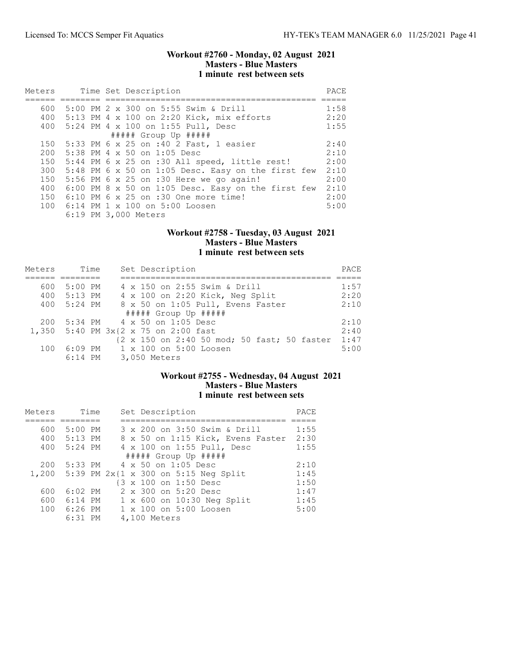### Workout #2760 - Monday, 02 August 2021 Masters - Blue Masters 1 minute rest between sets

| Meters |  | Time Set Description                                 | PACE |
|--------|--|------------------------------------------------------|------|
|        |  |                                                      |      |
| 600    |  | 5:00 PM 2 x 300 on 5:55 Swim & Drill                 | 1:58 |
|        |  | 400 5:13 PM 4 x 100 on 2:20 Kick, mix efforts        | 2:20 |
| 400    |  | 5:24 PM 4 x 100 on 1:55 Pull, Desc                   | 1:55 |
|        |  | ##### Group Up #####                                 |      |
|        |  | 150 5:33 PM 6 x 25 on :40 2 Fast, 1 easier           | 2:40 |
|        |  | 200 5:38 PM 4 x 50 on 1:05 Desc                      | 2:10 |
| 150    |  | 5:44 PM 6 x 25 on :30 All speed, little rest!        | 2:00 |
| 300    |  | 5:48 PM 6 x 50 on 1:05 Desc. Easy on the first few   | 2:10 |
| 150    |  | $5:56$ PM 6 x 25 on :30 Here we go again!            | 2:00 |
| 400    |  | $6:00$ PM 8 x 50 on 1:05 Desc. Easy on the first few | 2:10 |
| 150    |  | $6:10$ PM 6 x 25 on :30 One more time!               | 2:00 |
|        |  | 100 6:14 PM 1 x 100 on 5:00 Loosen                   | 5:00 |
|        |  | 6:19 PM 3,000 Meters                                 |      |

## Workout #2758 - Tuesday, 03 August 2021 Masters - Blue Masters 1 minute rest between sets

| Meters | Time    | Set Description                             | PACE |
|--------|---------|---------------------------------------------|------|
|        |         |                                             |      |
| 600    | 5:00 PM | 4 x 150 on 2:55 Swim & Drill                | 1:57 |
| 400    | 5:13 PM | 4 x 100 on 2:20 Kick, Neg Split             | 2:20 |
| 400    | 5:24 PM | 8 x 50 on 1:05 Pull, Evens Faster           | 2:10 |
|        |         | ##### Group Up #####                        |      |
| 200    |         | 5:34 PM 4 x 50 on 1:05 Desc                 | 2:10 |
|        |         | 1,350 5:40 PM 3x{2 x 75 on 2:00 fast        | 2:40 |
|        |         | {2 x 150 on 2:40 50 mod; 50 fast; 50 faster | 1:47 |
| 100    | 6:09 PM | 1 x 100 on 5:00 Loosen                      | 5:00 |
|        |         | 6:14 PM 3,050 Meters                        |      |

# Workout #2755 - Wednesday, 04 August 2021 Masters - Blue Masters 1 minute rest between sets

| Meters | Time        | Set Description                            | PACE |
|--------|-------------|--------------------------------------------|------|
|        |             |                                            |      |
| 600    | 5:00 PM     | 3 x 200 on 3:50 Swim & Drill               | 1:55 |
|        | 400 5:13 PM | 8 x 50 on 1:15 Kick, Evens Faster          | 2:30 |
| 400    | 5:24 PM     | 4 x 100 on 1:55 Pull, Desc                 | 1:55 |
|        |             | ##### Group Up #####                       |      |
| 200    |             | 5:33 PM 4 x 50 on 1:05 Desc                | 2:10 |
|        |             | 1,200 5:39 PM 2x{1 x 300 on 5:15 Neg Split | 1:45 |
|        |             | {3 x 100 on 1:50 Desc                      | 1:50 |
| 600    | $6:02$ PM   | 2 x 300 on 5:20 Desc                       | 1:47 |
| 600    | 6:14 PM     | 1 x 600 on 10:30 Neg Split                 | 1:45 |
| 100    | $6:26$ PM   | 1 x 100 on 5:00 Loosen                     | 5:00 |
|        | $6:31$ PM   | 4,100 Meters                               |      |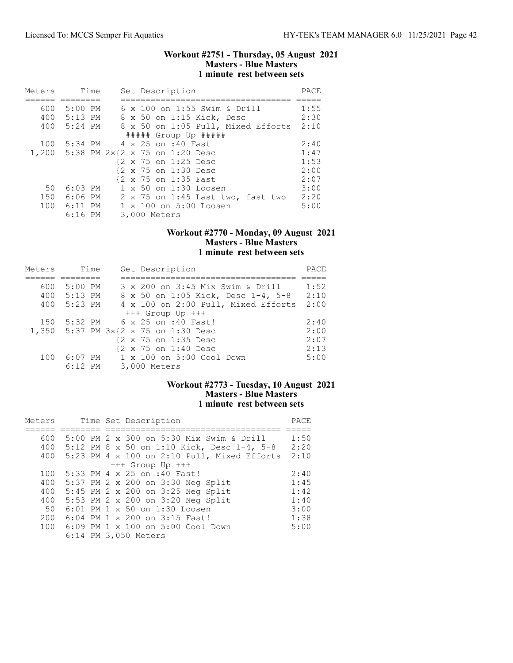### Workout #2751 - Thursday, 05 August 2021 Masters - Blue Masters 1 minute rest between sets

| Meters | Time                                 |  |  |              | Set Description      |                              |                                    | PACE |
|--------|--------------------------------------|--|--|--------------|----------------------|------------------------------|------------------------------------|------|
|        |                                      |  |  |              |                      |                              |                                    |      |
| 600    | 5:00 PM                              |  |  |              |                      | 6 x 100 on 1:55 Swim & Drill |                                    | 1:55 |
| 400    | 5:13 PM                              |  |  |              |                      | 8 x 50 on 1:15 Kick, Desc    |                                    | 2:30 |
| 400    | 5:24 PM                              |  |  |              |                      |                              | 8 x 50 on 1:05 Pull, Mixed Efforts | 2:10 |
|        |                                      |  |  |              |                      | $\#$ #### Group Up #####     |                                    |      |
| 100    | 5:34 PM 4 x 25 on :40 Fast           |  |  |              |                      |                              |                                    | 2:40 |
|        | 1,200 5:38 PM 2x{2 x 75 on 1:20 Desc |  |  |              |                      |                              |                                    | 1:47 |
|        |                                      |  |  |              | {2 x 75 on 1:25 Desc |                              |                                    | 1:53 |
|        |                                      |  |  |              | {2 x 75 on 1:30 Desc |                              |                                    | 2:00 |
|        |                                      |  |  |              | {2 x 75 on 1:35 Fast |                              |                                    | 2:07 |
| 50     | $6:03$ PM                            |  |  |              |                      | 1 x 50 on 1:30 Loosen        |                                    | 3:00 |
| 150    | 6:06 PM                              |  |  |              |                      |                              | 2 x 75 on 1:45 Last two, fast two  | 2:20 |
|        | 100 6:11 PM                          |  |  |              |                      | 1 x 100 on 5:00 Loosen       |                                    | 5:00 |
|        | $6:16$ PM                            |  |  | 3,000 Meters |                      |                              |                                    |      |

## Workout #2770 - Monday, 09 August 2021 Masters - Blue Masters 1 minute rest between sets

| Meters | Time      | Set Description                      | PACE |
|--------|-----------|--------------------------------------|------|
|        |           |                                      |      |
| 600    | $5:00$ PM | 3 x 200 on 3:45 Mix Swim & Drill     | 1:52 |
| 400    | $5:13$ PM | 8 x 50 on 1:05 Kick, Desc 1-4, 5-8   | 2:10 |
| 400    | 5:23 PM   | 4 x 100 on 2:00 Pull, Mixed Efforts  | 2:00 |
|        |           | $+++$ Group Up $+++$                 |      |
| 150    |           | 5:32 PM 6 x 25 on :40 Fast!          | 2:40 |
|        |           | 1,350 5:37 PM 3x{2 x 75 on 1:30 Desc | 2:00 |
|        |           | {2 x 75 on 1:35 Desc                 | 2:07 |
|        |           | {2 x 75 on 1:40 Desc                 | 2:13 |
| 100    | $6:07$ PM | 1 x 100 on 5:00 Cool Down            | 5:00 |
|        | $6:12$ PM | 3,000 Meters                         |      |

# Workout #2773 - Tuesday, 10 August 2021 Masters - Blue Masters 1 minute rest between sets

| Meters |  | Time Set Description                        | PACE |
|--------|--|---------------------------------------------|------|
|        |  |                                             |      |
| 600    |  | 5:00 PM 2 x 300 on 5:30 Mix Swim & Drill    | 1:50 |
| 400    |  | 5:12 PM 8 x 50 on 1:10 Kick, Desc 1-4, 5-8  | 2:20 |
| 400    |  | 5:23 PM 4 x 100 on 2:10 Pull, Mixed Efforts | 2:10 |
|        |  | $+++$ Group Up $+++$                        |      |
| 100    |  | 5:33 PM 4 x 25 on :40 Fast!                 | 2:40 |
| 400    |  | 5:37 PM 2 x 200 on 3:30 Neg Split           | 1:45 |
| 400    |  | 5:45 PM 2 x 200 on 3:25 Neg Split           | 1:42 |
| 400    |  | 5:53 PM 2 x 200 on 3:20 Neg Split           | 1:40 |
| 50     |  | 6:01 PM 1 x 50 on 1:30 Loosen               | 3:00 |
| 200    |  | 6:04 PM 1 x 200 on 3:15 Fast!               | 1:38 |
| 100    |  | 6:09 PM 1 x 100 on 5:00 Cool Down           | 5:00 |
|        |  | 6:14 PM 3,050 Meters                        |      |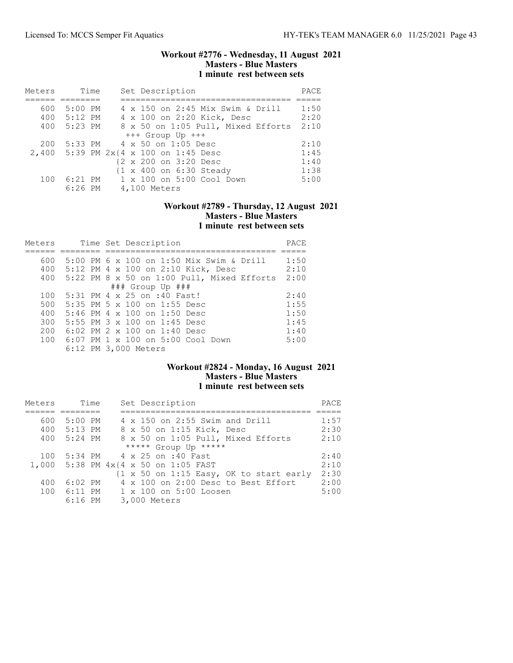### Workout #2776 - Wednesday, 11 August 2021 Masters - Blue Masters 1 minute rest between sets

| Meters | Time        | Set Description                       | PACE |
|--------|-------------|---------------------------------------|------|
|        |             |                                       |      |
| 600    | 5:00 PM     | 4 x 150 on 2:45 Mix Swim & Drill      | 1:50 |
|        | 400 5:12 PM | 4 x 100 on 2:20 Kick, Desc            | 2:20 |
|        | 400 5:23 PM | 8 x 50 on 1:05 Pull, Mixed Efforts    | 2:10 |
|        |             | $+++$ Group Up $+++$                  |      |
| 200    |             | 5:33 PM 4 x 50 on 1:05 Desc           | 2:10 |
|        |             | 2,400 5:39 PM 2x{4 x 100 on 1:45 Desc | 1:45 |
|        |             | {2 x 200 on 3:20 Desc                 | 1:40 |
|        |             | {1 x 400 on 6:30 Steady               | 1:38 |
| 100    | $6:21$ PM   | 1 x 100 on 5:00 Cool Down             | 5:00 |
|        | $6:26$ PM   | 4,100 Meters                          |      |

# Workout #2789 - Thursday, 12 August 2021 Masters - Blue Masters 1 minute rest between sets

| Meters | Time Set Description                         | PACE |
|--------|----------------------------------------------|------|
|        |                                              |      |
| 600    | 5:00 PM 6 x 100 on 1:50 Mix Swim & Drill     | 1:50 |
| 400    | 5:12 PM 4 x 100 on 2:10 Kick, Desc           | 2:10 |
| 400    | $5:22$ PM 8 x 50 on 1:00 Pull, Mixed Efforts | 2:00 |
|        | ### Group Up ###                             |      |
| 100    | 5:31 PM 4 x 25 on :40 Fast!                  | 2:40 |
| 500    | 5:35 PM 5 x 100 on 1:55 Desc                 | 1:55 |
| 400    | 5:46 PM 4 x 100 on 1:50 Desc                 | 1:50 |
| 300    | 5:55 PM 3 x 100 on 1:45 Desc                 | 1:45 |
| 200    | 6:02 PM 2 x 100 on 1:40 Desc                 | 1:40 |
| 100    | 6:07 PM 1 x 100 on 5:00 Cool Down            | 5:00 |
|        | 6:12 PM 3,000 Meters                         |      |

# Workout #2824 - Monday, 16 August 2021 Masters - Blue Masters 1 minute rest between sets

| Meters | Time        | Set Description                         | PACE |
|--------|-------------|-----------------------------------------|------|
|        |             |                                         |      |
| 600    | $5:00$ PM   | 4 x 150 on 2:55 Swim and Drill          | 1:57 |
|        | 400 5:13 PM | 8 x 50 on 1:15 Kick, Desc               | 2:30 |
| 400    | $5:24$ PM   | 8 x 50 on 1:05 Pull, Mixed Efforts      | 2:10 |
|        |             | ***** Group Up *****                    |      |
| 100    |             | 5:34 PM 4 x 25 on :40 Fast              | 2:40 |
|        |             | 1,000 5:38 PM 4x{4 x 50 on 1:05 FAST    | 2:10 |
|        |             | {1 x 50 on 1:15 Easy, OK to start early | 2:30 |
| 400    | $6:02$ PM   | 4 x 100 on 2:00 Desc to Best Effort     | 2:00 |
| 100    | $6:11$ PM   | $1 \times 100$ on $5:00$ Loosen         | 5:00 |
|        | $6:16$ PM   | 3,000 Meters                            |      |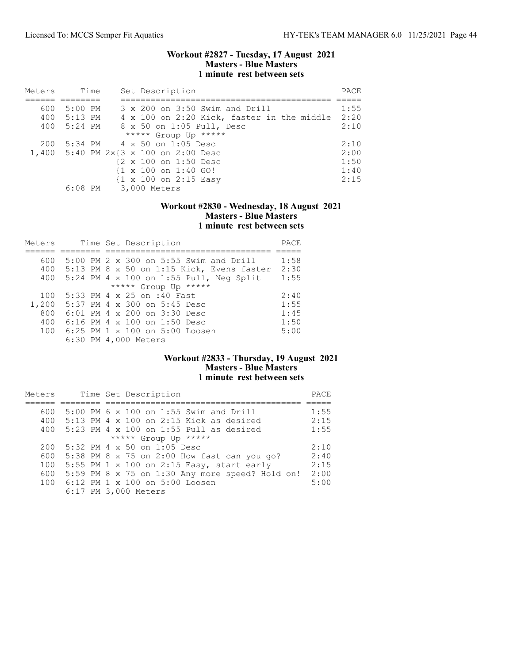### Workout #2827 - Tuesday, 17 August 2021 Masters - Blue Masters 1 minute rest between sets

| Meters |             | Time | Set Description                                  | PACE |
|--------|-------------|------|--------------------------------------------------|------|
|        |             |      |                                                  |      |
| 600    | 5:00 PM     |      | 3 x 200 on 3:50 Swim and Drill                   | 1:55 |
|        | 400 5:13 PM |      | 4 x 100 on 2:20 Kick, faster in the middle       | 2:20 |
| 400    | 5:24 PM     |      | 8 x 50 on 1:05 Pull, Desc                        | 2:10 |
|        |             |      | ***** Group Up *****                             |      |
| 200    |             |      | 5:34 PM 4 x 50 on 1:05 Desc                      | 2:10 |
|        |             |      | 1,400 5:40 PM 2x{3 x 100 on 2:00 Desc            | 2:00 |
|        |             |      | {2 x 100 on 1:50 Desc                            | 1:50 |
|        |             |      | $\{1 \times 100 \text{ on } 1:40 \text{ GO}\}\$  | 1:40 |
|        |             |      | $\{1 \times 100 \text{ on } 2:15 \text{ Easy}\}$ | 2:15 |
|        |             |      | 6:08 PM 3,000 Meters                             |      |

## Workout #2830 - Wednesday, 18 August 2021 Masters - Blue Masters 1 minute rest between sets

| Meters |  | Time Set Description                          | PACE |
|--------|--|-----------------------------------------------|------|
|        |  |                                               |      |
| 600    |  | 5:00 PM 2 x 300 on 5:55 Swim and Drill        | 1:58 |
|        |  | 400 5:13 PM 8 x 50 on 1:15 Kick, Evens faster | 2:30 |
| 400    |  | $5:24$ PM 4 x 100 on 1:55 Pull, Neq Split     | 1:55 |
|        |  | ***** Group Up *****                          |      |
| 100    |  | 5:33 PM 4 x 25 on :40 Fast                    | 2:40 |
| 1,200  |  | 5:37 PM 4 x 300 on 5:45 Desc                  | 1:55 |
| 800    |  | 6:01 PM 4 x 200 on 3:30 Desc                  | 1:45 |
| 400    |  | 6:16 PM 4 x 100 on 1:50 Desc                  | 1:50 |
| 100    |  | $6:25$ PM 1 x 100 on 5:00 Loosen              | 5:00 |
|        |  | 6:30 PM 4,000 Meters                          |      |

# Workout #2833 - Thursday, 19 August 2021 Masters - Blue Masters 1 minute rest between sets

| Meters |  | Time Set Description                             | PACE |
|--------|--|--------------------------------------------------|------|
|        |  |                                                  |      |
| 600    |  | 5:00 PM 6 x 100 on 1:55 Swim and Drill           | 1:55 |
| 400    |  | $5:13$ PM 4 x 100 on 2:15 Kick as desired        | 2:15 |
| 400    |  | $5:23$ PM 4 x 100 on 1:55 Pull as desired        | 1:55 |
|        |  | ***** Group Up *****                             |      |
| 200    |  | 5:32 PM 4 x 50 on 1:05 Desc                      | 2:10 |
| 600    |  | 5:38 PM 8 x 75 on 2:00 How fast can you go?      | 2:40 |
| 100    |  | 5:55 PM $1 \times 100$ on 2:15 Easy, start early | 2:15 |
| 600    |  | 5:59 PM 8 x 75 on 1:30 Any more speed? Hold on!  | 2:00 |
| 100    |  | 6:12 PM 1 x 100 on 5:00 Loosen                   | 5:00 |
|        |  | 6:17 PM 3,000 Meters                             |      |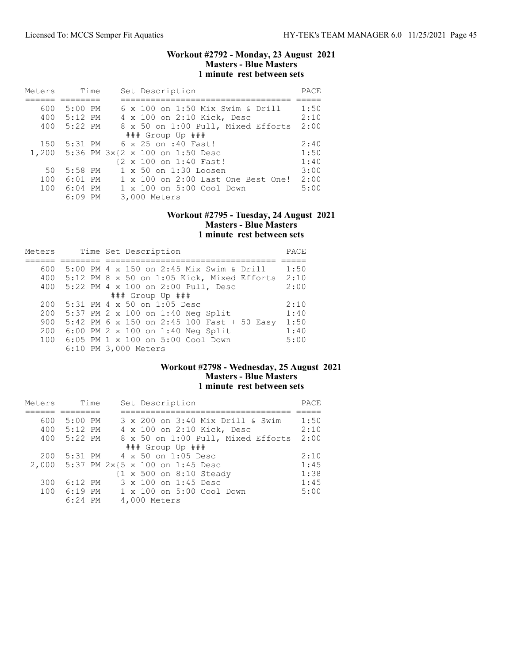### Workout #2792 - Monday, 23 August 2021 Masters - Blue Masters 1 minute rest between sets

| Meters | Time      | Set Description                       | PACE |
|--------|-----------|---------------------------------------|------|
|        |           |                                       |      |
| 600    | 5:00 PM   | 6 x 100 on 1:50 Mix Swim & Drill      | 1:50 |
| 400    | 5:12 PM   | 4 x 100 on 2:10 Kick, Desc            | 2:10 |
| 400    | $5:22$ PM | 8 x 50 on 1:00 Pull, Mixed Efforts    | 2:00 |
|        |           | $\#$ # Group Up $\#$ ##               |      |
| 150    | 5:31 PM   | 6 x 25 on :40 Fast!                   | 2:40 |
|        |           | 1,200 5:36 PM 3x{2 x 100 on 1:50 Desc | 1:50 |
|        |           | {2 x 100 on 1:40 Fast!                | 1:40 |
| 50     | 5:58 PM   | 1 x 50 on 1:30 Loosen                 | 3:00 |
| 100    | $6:01$ PM | 1 x 100 on 2:00 Last One Best One!    | 2:00 |
| 100    | 6:04 PM   | $1 \times 100$ on $5:00$ Cool Down    | 5:00 |
|        | $6:09$ PM | 3,000 Meters                          |      |

### Workout #2795 - Tuesday, 24 August 2021 Masters - Blue Masters 1 minute rest between sets

| Meters | Time Set Description                           | PACE |
|--------|------------------------------------------------|------|
|        |                                                |      |
| 600    | 5:00 PM 4 x 150 on 2:45 Mix Swim & Drill       | 1:50 |
|        | 400 5:12 PM 8 x 50 on 1:05 Kick, Mixed Efforts | 2:10 |
| 400    | 5:22 PM 4 x 100 on 2:00 Pull, Desc             | 2:00 |
|        | $\#$ # Group Up $\#$ ##                        |      |
| 200    | 5:31 PM 4 x 50 on 1:05 Desc                    | 2:10 |
| 200    | 5:37 PM 2 x 100 on 1:40 Neg Split              | 1:40 |
| 900    | 5:42 PM 6 x 150 on 2:45 100 Fast + 50 Easy     | 1:50 |
| 200    | 6:00 PM 2 $\times$ 100 on 1:40 Neg Split       | 1:40 |
| 100    | 6:05 PM 1 x 100 on 5:00 Cool Down              | 5:00 |
|        | 6:10 PM 3,000 Meters                           |      |

# Workout #2798 - Wednesday, 25 August 2021 Masters - Blue Masters 1 minute rest between sets

| Meters | Time        | Set Description                       | PACE |
|--------|-------------|---------------------------------------|------|
|        |             |                                       |      |
| 600    | 5:00 PM     | 3 x 200 on 3:40 Mix Drill & Swim      | 1:50 |
|        | 400 5:12 PM | 4 x 100 on 2:10 Kick, Desc            | 2:10 |
| 400    | 5:22 PM     | 8 x 50 on 1:00 Pull, Mixed Efforts    | 2:00 |
|        |             | $\#$ ## Group Up $\#$ ##              |      |
| 200    | 5:31 PM     | 4 x 50 on 1:05 Desc                   | 2:10 |
|        |             | 2,000 5:37 PM 2x{5 x 100 on 1:45 Desc | 1:45 |
|        |             | {1 x 500 on 8:10 Steady               | 1:38 |
| 300    | $6:12$ PM   | 3 x 100 on 1:45 Desc                  | 1:45 |
| 100    |             | 6:19 PM 1 x 100 on 5:00 Cool Down     | 5:00 |
|        | $6:24$ PM   | 4,000 Meters                          |      |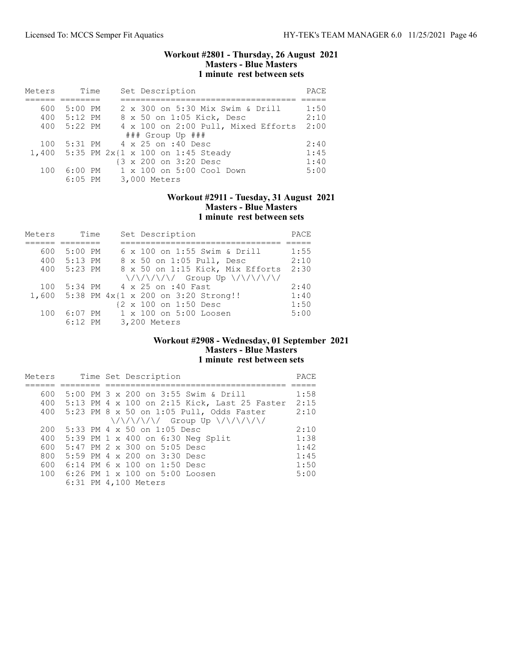### Workout #2801 - Thursday, 26 August 2021 Masters - Blue Masters 1 minute rest between sets

| Meters | Time      | Set Description                         | PACE |
|--------|-----------|-----------------------------------------|------|
|        |           |                                         |      |
| 600    | $5:00$ PM | 2 x 300 on 5:30 Mix Swim & Drill        | 1:50 |
| 400    | $5:12$ PM | 8 x 50 on 1:05 Kick, Desc               | 2:10 |
| 400    | $5:22$ PM | 4 x 100 on 2:00 Pull, Mixed Efforts     | 2:00 |
|        |           | $\#$ # Group Up $\#$ ##                 |      |
| 100    |           | 5:31 PM 4 x 25 on :40 Desc              | 2:40 |
|        |           | 1,400 5:35 PM 2x{1 x 100 on 1:45 Steady | 1:45 |
|        |           | {3 x 200 on 3:20 Desc                   | 1:40 |
| 100    | $6:00$ PM | 1 x 100 on 5:00 Cool Down               | 5:00 |
|        | $6:05$ PM | 3,000 Meters                            |      |

### Workout #2911 - Tuesday, 31 August 2021 Masters - Blue Masters 1 minute rest between sets

| Meters | Time      | Set Description                                                 | PACE |
|--------|-----------|-----------------------------------------------------------------|------|
|        |           |                                                                 |      |
| 600    | $5:00$ PM | 6 x 100 on 1:55 Swim & Drill                                    | 1:55 |
| 400    | 5:13 PM   | 8 x 50 on 1:05 Pull, Desc                                       | 2:10 |
| 400    | $5:23$ PM | 8 x 50 on 1:15 Kick, Mix Efforts                                | 2:30 |
|        |           | $\{\sqrt{\sqrt{1/\sqrt{1}}}\}$ Group Up $\{\sqrt{1/\sqrt{1}}\}$ |      |
| 100    |           | 5:34 PM $4 \times 25$ on :40 Fast                               | 2:40 |
|        |           | 1,600 5:38 PM $4x{1 x} 200$ on 3:20 Strong!!                    | 1:40 |
|        |           | {2 x 100 on 1:50 Desc                                           | 1:50 |
| 100    | $6:07$ PM | 1 x 100 on 5:00 Loosen                                          | 5:00 |
|        | $6:12$ PM | 3,200 Meters                                                    |      |

## Workout #2908 - Wednesday, 01 September 2021 Masters - Blue Masters 1 minute rest between sets

| Meters |  | Time Set Description                                           | PACE |
|--------|--|----------------------------------------------------------------|------|
|        |  |                                                                |      |
| 600    |  | 5:00 PM 3 x 200 on 3:55 Swim & Drill                           | 1:58 |
| 400    |  | 5:13 PM 4 x 100 on 2:15 Kick, Last 25 Faster                   | 2:15 |
| 400    |  | 5:23 PM 8 x 50 on 1:05 Pull, Odds Faster                       | 2:10 |
|        |  | $\{\sqrt{\sqrt{1/\sqrt{1}}}\$ Group Up $\{\sqrt{1/\sqrt{1}}\}$ |      |
| 200    |  | 5:33 PM 4 x 50 on 1:05 Desc                                    | 2:10 |
| 400    |  | 5:39 PM 1 x 400 on 6:30 Neg Split                              | 1:38 |
| 600    |  | 5:47 PM 2 x 300 on 5:05 Desc                                   | 1:42 |
| 800    |  | 5:59 PM 4 x 200 on 3:30 Desc                                   | 1:45 |
| 600    |  | 6:14 PM 6 x 100 on 1:50 Desc                                   | 1:50 |
| 100    |  | 6:26 PM 1 x 100 on 5:00 Loosen                                 | 5:00 |
|        |  | 6:31 PM 4,100 Meters                                           |      |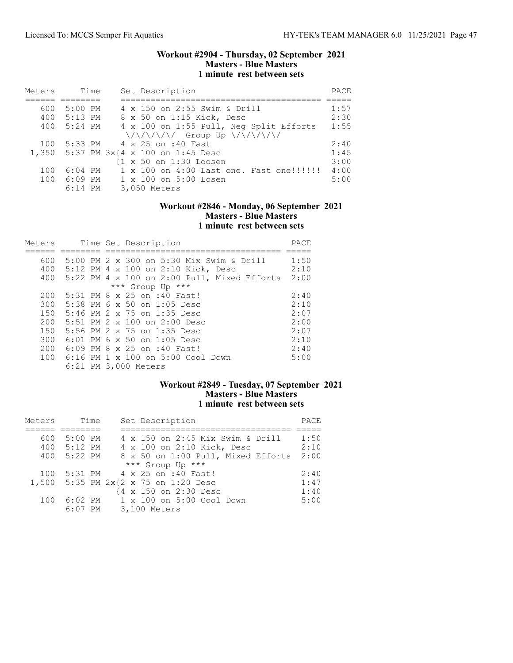### Workout #2904 - Thursday, 02 September 2021 Masters - Blue Masters 1 minute rest between sets

| Meters | Time        | Set Description                                                 | PACE |
|--------|-------------|-----------------------------------------------------------------|------|
|        |             |                                                                 |      |
| 600    | 5:00 PM     | 4 x 150 on 2:55 Swim & Drill                                    | 1:57 |
|        | 400 5:13 PM | 8 x 50 on 1:15 Kick, Desc                                       | 2:30 |
|        | 400 5:24 PM | 4 x 100 on 1:55 Pull, Neg Split Efforts                         | 1:55 |
|        |             | $\{\sqrt{\sqrt{1/\sqrt{1}}}\}$ Group Up $\{\sqrt{1/\sqrt{1}}\}$ |      |
| 100    |             | 5:33 PM 4 x 25 on :40 Fast                                      | 2:40 |
|        |             | 1,350 5:37 PM 3x{4 x 100 on 1:45 Desc                           | 1:45 |
|        |             | $\{1 \times 50 \text{ on } 1:30 \text{ Loosen}\}$               | 3:00 |
| 100    | $6:04$ PM   | 1 x 100 on 4:00 Last one. Fast one!!!!!!!                       | 4:00 |
| 100    | 6:09 PM     | $1 \times 100$ on $5:00$ Losen                                  | 5:00 |
|        | $6:14$ PM   | 3,050 Meters                                                    |      |

## Workout #2846 - Monday, 06 September 2021 Masters - Blue Masters 1 minute rest between sets

| Meters |  | Time Set Description                          | PACE |
|--------|--|-----------------------------------------------|------|
|        |  |                                               |      |
| 600    |  | 5:00 PM 2 x 300 on 5:30 Mix Swim & Drill      | 1:50 |
| 400    |  | 5:12 PM 4 x 100 on 2:10 Kick, Desc            | 2:10 |
| 400    |  | $5:22$ PM 4 x 100 on 2:00 Pull, Mixed Efforts | 2:00 |
|        |  | *** Group Up ***                              |      |
| 200    |  | 5:31 PM 8 x 25 on :40 Fast!                   | 2:40 |
| 300    |  | 5:38 PM 6 x 50 on 1:05 Desc                   | 2:10 |
| 150    |  | 5:46 PM 2 x 75 on 1:35 Desc                   | 2:07 |
| 200    |  | 5:51 PM $2 \times 100$ on $2:00$ Desc         | 2:00 |
| 150    |  | 5:56 PM 2 x 75 on 1:35 Desc                   | 2:07 |
| 300    |  | 6:01 PM 6 x 50 on 1:05 Desc                   | 2:10 |
| 200    |  | 6:09 PM 8 x 25 on :40 Fast!                   | 2:40 |
| 100    |  | 6:16 PM 1 x 100 on 5:00 Cool Down             | 5:00 |
|        |  | 6:21 PM 3,000 Meters                          |      |

# Workout #2849 - Tuesday, 07 September 2021 Masters - Blue Masters 1 minute rest between sets

| Meters | Time        | Set Description                      | PACE |
|--------|-------------|--------------------------------------|------|
|        |             |                                      |      |
| 600    | $5:00$ PM   | 4 x 150 on 2:45 Mix Swim & Drill     | 1:50 |
|        | 400 5:12 PM | 4 x 100 on 2:10 Kick, Desc           | 2:10 |
| 400    | 5:22 PM     | 8 x 50 on 1:00 Pull, Mixed Efforts   | 2:00 |
|        |             | *** Group Up ***                     |      |
| 100    |             | 5:31 PM 4 x 25 on :40 Fast!          | 2:40 |
|        |             | 1,500 5:35 PM 2x{2 x 75 on 1:20 Desc | 1:47 |
|        |             | {4 x 150 on 2:30 Desc                | 1:40 |
| 100    | 6:02 PM     | $1 \times 100$ on $5:00$ Cool Down   | 5:00 |
|        | $6:07$ PM   | 3,100 Meters                         |      |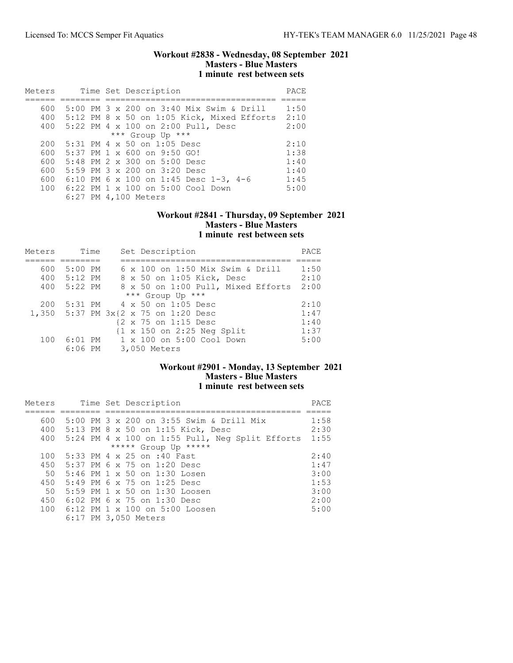### Workout #2838 - Wednesday, 08 September 2021 Masters - Blue Masters 1 minute rest between sets

| Meters |  | Time Set Description                              | PACE |
|--------|--|---------------------------------------------------|------|
|        |  |                                                   |      |
| 600    |  | 5:00 PM $3 \times 200$ on $3:40$ Mix Swim & Drill | 1:50 |
| 400    |  | 5:12 PM 8 x 50 on 1:05 Kick, Mixed Efforts        | 2:10 |
| 400    |  | 5:22 PM 4 x 100 on 2:00 Pull, Desc                | 2:00 |
|        |  | *** Group Up ***                                  |      |
| 200    |  | $5:31$ PM 4 x 50 on 1:05 Desc                     | 2:10 |
| 600    |  | $5:37$ PM 1 $\times$ 600 on 9:50 GO!              | 1:38 |
| 600    |  | $5:48$ PM 2 x 300 on $5:00$ Desc                  | 1:40 |
| 600    |  | 5:59 PM $3 \times 200$ on $3:20$ Desc             | 1:40 |
| 600    |  | 6:10 PM 6 x 100 on 1:45 Desc 1-3, 4-6             | 1:45 |
| 100    |  | $6:22$ PM $1 \times 100$ on $5:00$ Cool Down      | 5:00 |
|        |  | 6:27 PM 4,100 Meters                              |      |

### Workout #2841 - Thursday, 09 September 2021 Masters - Blue Masters 1 minute rest between sets

| Meters | Time      | Set Description                                       | PACE |
|--------|-----------|-------------------------------------------------------|------|
|        |           |                                                       |      |
| 600    | $5:00$ PM | 6 x 100 on 1:50 Mix Swim & Drill                      | 1:50 |
| 400    | $5:12$ PM | 8 x 50 on 1:05 Kick, Desc                             | 2:10 |
| 400    | $5:22$ PM | 8 x 50 on 1:00 Pull, Mixed Efforts                    | 2:00 |
|        |           | *** Group Up ***                                      |      |
| 200    | 5:31 PM   | 4 x 50 on 1:05 Desc                                   | 2:10 |
|        |           | 1,350 5:37 PM 3x{2 x 75 on 1:20 Desc                  | 1:47 |
|        |           | {2 x 75 on 1:15 Desc                                  | 1:40 |
|        |           | $\{1 \times 150 \text{ on } 2:25 \text{ Neg Split}\}$ | 1:37 |
| 100    |           | 6:01 PM 1 x 100 on 5:00 Cool Down                     | 5:00 |
|        | $6:06$ PM | 3,050 Meters                                          |      |

## Workout #2901 - Monday, 13 September 2021 Masters - Blue Masters 1 minute rest between sets

| Meters |  | Time Set Description                                       | PACE |
|--------|--|------------------------------------------------------------|------|
|        |  |                                                            |      |
| 600    |  | 5:00 PM 3 x 200 on 3:55 Swim & Drill Mix                   | 1:58 |
| 400    |  | 5:13 PM 8 x 50 on 1:15 Kick, Desc                          | 2:30 |
| 400    |  | $5:24$ PM $4 \times 100$ on $1:55$ Pull, Neq Split Efforts | 1:55 |
|        |  | ***** Group Up *****                                       |      |
| 100    |  | 5:33 PM 4 x 25 on :40 Fast                                 | 2:40 |
| 450    |  | 5:37 PM 6 x 75 on 1:20 Desc                                | 1:47 |
| 50     |  | $5:46$ PM $1 \times 50$ on $1:30$ Losen                    | 3:00 |
| 450    |  | 5:49 PM 6 x 75 on 1:25 Desc                                | 1:53 |
| 50     |  | 5:59 PM $1 \times 50$ on $1:30$ Loosen                     | 3:00 |
| 450    |  | 6:02 PM 6 x 75 on 1:30 Desc                                | 2:00 |
|        |  | 100 6:12 PM 1 x 100 on 5:00 Loosen                         | 5:00 |
|        |  | 6:17 PM 3,050 Meters                                       |      |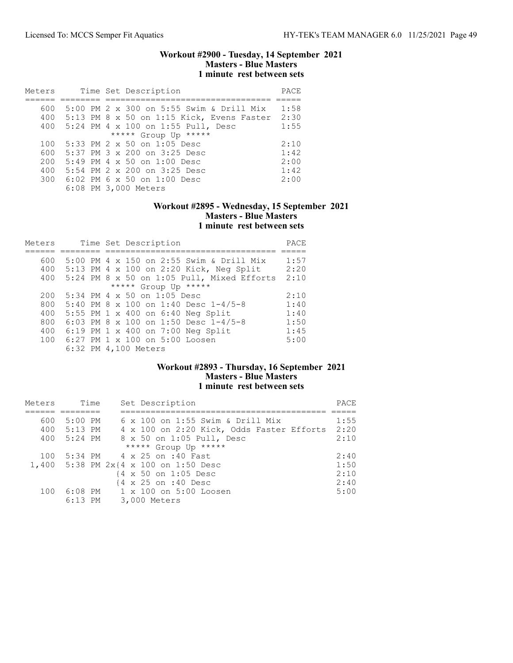### Workout #2900 - Tuesday, 14 September 2021 Masters - Blue Masters 1 minute rest between sets

| Meters |  | Time Set Description                                  | PACE |
|--------|--|-------------------------------------------------------|------|
|        |  |                                                       |      |
| 600    |  | 5:00 PM 2 x 300 on 5:55 Swim & Drill Mix              | 1:58 |
| 400    |  | 5:13 PM 8 x 50 on 1:15 Kick, Evens Faster             | 2:30 |
| 400    |  | 5:24 PM 4 x 100 on 1:55 Pull, Desc                    | 1:55 |
|        |  | ***** Group Up *****                                  |      |
| 100    |  | 5:33 PM $2 \times 50$ on 1:05 Desc                    | 2:10 |
| 600    |  | $5:37$ PM $3 \times 200$ on $3:25$ Desc               | 1:42 |
| 200    |  | $5:49$ PM 4 x 50 on 1:00 Desc                         | 2:00 |
| 400    |  | 5:54 PM 2 x 200 on 3:25 Desc                          | 1:42 |
| 300    |  | $6:02$ PM 6 x 50 on 1:00 Desc<br>6:08 PM 3,000 Meters | 2:00 |

## Workout #2895 - Wednesday, 15 September 2021 Masters - Blue Masters 1 minute rest between sets

| Meters |  | Time Set Description                       | PACE |
|--------|--|--------------------------------------------|------|
|        |  |                                            |      |
| 600    |  | 5:00 PM 4 x 150 on 2:55 Swim & Drill Mix   | 1:57 |
| 400    |  | 5:13 PM 4 x 100 on 2:20 Kick, Neg Split    | 2:20 |
| 400    |  | 5:24 PM 8 x 50 on 1:05 Pull, Mixed Efforts | 2:10 |
|        |  | ***** Group Up *****                       |      |
| 200    |  | 5:34 PM 4 x 50 on 1:05 Desc                | 2:10 |
| 800    |  | 5:40 PM 8 x 100 on 1:40 Desc 1-4/5-8       | 1:40 |
| 400    |  | 5:55 PM 1 x 400 on 6:40 Neg Split          | 1:40 |
| 800    |  | 6:03 PM 8 x 100 on 1:50 Desc $1-4/5-8$     | 1:50 |
| 400    |  | 6:19 PM 1 x 400 on 7:00 Neg Split          | 1:45 |
| 100    |  | 6:27 PM 1 x 100 on 5:00 Loosen             | 5:00 |
|        |  | 6:32 PM 4,100 Meters                       |      |

## Workout #2893 - Thursday, 16 September 2021 Masters - Blue Masters 1 minute rest between sets

| Meters | Time        | Set Description                           | PACE |
|--------|-------------|-------------------------------------------|------|
|        |             |                                           |      |
| 600    | $5:00$ PM   | $6 \times 100$ on 1:55 Swim & Drill Mix   | 1:55 |
|        | 400 5:13 PM | 4 x 100 on 2:20 Kick, Odds Faster Efforts | 2:20 |
| 400    | 5:24 PM     | 8 x 50 on 1:05 Pull, Desc                 | 2:10 |
|        |             | ***** Group Up *****                      |      |
| 100    |             | 5:34 PM 4 x 25 on :40 Fast                | 2:40 |
|        |             | 1,400 5:38 PM 2x{4 x 100 on 1:50 Desc     | 1:50 |
|        |             | {4 x 50 on 1:05 Desc                      | 2:10 |
|        |             | {4 x 25 on :40 Desc                       | 2:40 |
| 100    |             | 6:08 PM 1 x 100 on 5:00 Loosen            | 5:00 |
|        | $6:13$ PM   | 3,000 Meters                              |      |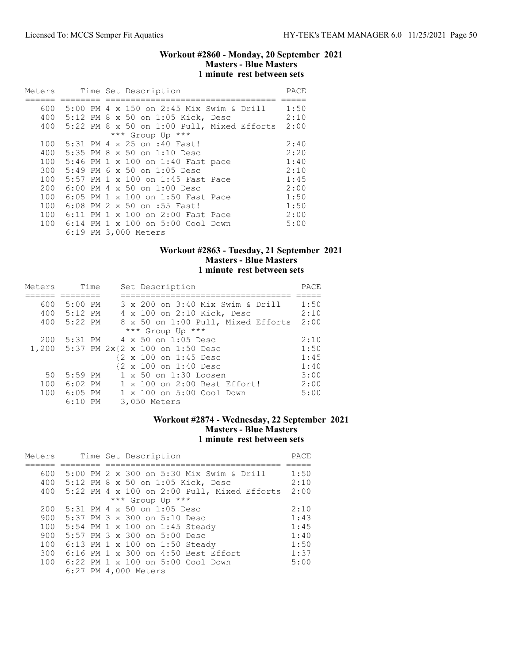### Workout #2860 - Monday, 20 September 2021 Masters - Blue Masters 1 minute rest between sets

| Meters |  |  | Time Set Description                         | PACE |
|--------|--|--|----------------------------------------------|------|
|        |  |  |                                              |      |
| 600    |  |  | 5:00 PM 4 x 150 on 2:45 Mix Swim & Drill     | 1:50 |
| 400    |  |  | 5:12 PM 8 x 50 on 1:05 Kick, Desc            | 2:10 |
| 400    |  |  | $5:22$ PM 8 x 50 on 1:00 Pull, Mixed Efforts | 2:00 |
|        |  |  | *** Group Up ***                             |      |
| 100    |  |  | 5:31 PM 4 x 25 on :40 Fast!                  | 2:40 |
| 400    |  |  | 5:35 PM 8 x 50 on 1:10 Desc                  | 2:20 |
| 100    |  |  | 5:46 PM 1 x 100 on 1:40 Fast pace            | 1:40 |
| 300    |  |  | 5:49 PM 6 x 50 on 1:05 Desc                  | 2:10 |
| 100    |  |  | 5:57 PM 1 x 100 on 1:45 Fast Pace            | 1:45 |
| 200    |  |  | 6:00 PM $4 \times 50$ on 1:00 Desc           | 2:00 |
| 100    |  |  | 6:05 PM 1 x 100 on 1:50 Fast Pace            | 1:50 |
| 100    |  |  | 6:08 PM 2 x 50 on :55 Fast!                  | 1:50 |
| 100    |  |  | 6:11 PM 1 x 100 on 2:00 Fast Pace            | 2:00 |
| 100    |  |  | 6:14 PM 1 x 100 on 5:00 Cool Down            | 5:00 |
|        |  |  | 6:19 PM 3,000 Meters                         |      |

## Workout #2863 - Tuesday, 21 September 2021 Masters - Blue Masters 1 minute rest between sets

| Meters | Time        | Set Description                       | PACE |
|--------|-------------|---------------------------------------|------|
|        |             |                                       |      |
| 600    | $5:00$ PM   | 3 x 200 on 3:40 Mix Swim & Drill      | 1:50 |
| 400    | 5:12 PM     | 4 x 100 on 2:10 Kick, Desc            | 2:10 |
|        | 400 5:22 PM | 8 x 50 on 1:00 Pull, Mixed Efforts    | 2:00 |
|        |             | *** Group Up ***                      |      |
| 200    |             | 5:31 PM 4 x 50 on 1:05 Desc           | 2:10 |
|        |             | 1,200 5:37 PM 2x{2 x 100 on 1:50 Desc | 1:50 |
|        |             | {2 x 100 on 1:45 Desc                 | 1:45 |
|        |             | {2 x 100 on 1:40 Desc                 | 1:40 |
| 50     | $5:59$ PM   | 1 x 50 on 1:30 Loosen                 | 3:00 |
| 100    | 6:02 PM     | 1 x 100 on 2:00 Best Effort!          | 2:00 |
| 100    | $6:05$ PM   | $1 \times 100$ on $5:00$ Cool Down    | 5:00 |
|        | $6:10$ PM   | 3,050 Meters                          |      |

## Workout #2874 - Wednesday, 22 September 2021 Masters - Blue Masters 1 minute rest between sets

| Meters |  |  | Time Set Description                          | PACE |
|--------|--|--|-----------------------------------------------|------|
|        |  |  |                                               |      |
| 600    |  |  | 5:00 PM 2 x 300 on 5:30 Mix Swim & Drill      | 1:50 |
| 400    |  |  | 5:12 PM 8 x 50 on 1:05 Kick, Desc             | 2:10 |
| 400    |  |  | $5:22$ PM 4 x 100 on 2:00 Pull, Mixed Efforts | 2:00 |
|        |  |  | *** Group Up ***                              |      |
| 200    |  |  | 5:31 PM 4 x 50 on 1:05 Desc                   | 2:10 |
| 900    |  |  | 5:37 PM 3 x 300 on 5:10 Desc                  | 1:43 |
| 100    |  |  | 5:54 PM 1 x 100 on 1:45 Steady                | 1:45 |
| 900    |  |  | 5:57 PM 3 x 300 on 5:00 Desc                  | 1:40 |
| 100    |  |  | 6:13 PM 1 x 100 on 1:50 Steady                | 1:50 |
| 300    |  |  | 6:16 PM 1 x 300 on 4:50 Best Effort           | 1:37 |
| 100    |  |  | 6:22 PM 1 x 100 on 5:00 Cool Down             | 5:00 |
|        |  |  | 6:27 PM 4,000 Meters                          |      |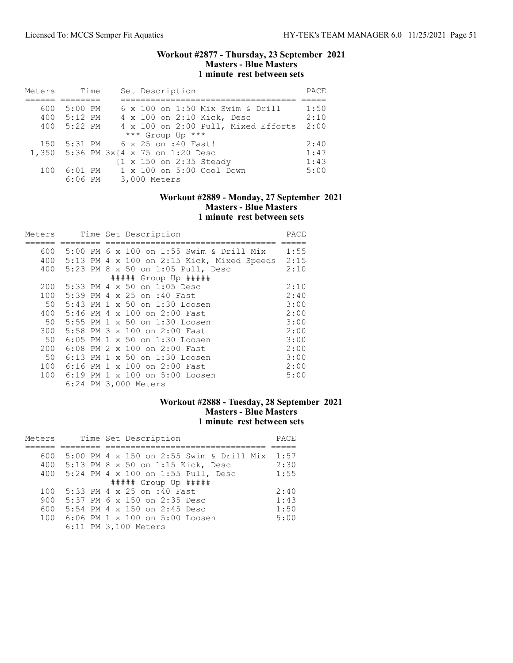### Workout #2877 - Thursday, 23 September 2021 Masters - Blue Masters 1 minute rest between sets

| Meters | Time      | Set Description                      | PACE |
|--------|-----------|--------------------------------------|------|
|        |           |                                      |      |
| 600    | $5:00$ PM | 6 x 100 on 1:50 Mix Swim & Drill     | 1:50 |
| 400    | $5:12$ PM | 4 x 100 on 2:10 Kick, Desc           | 2:10 |
| 400    | 5:22 PM   | 4 x 100 on 2:00 Pull, Mixed Efforts  | 2:00 |
|        |           | *** Group Up ***                     |      |
| 150    | 5:31 PM   | 6 x 25 on :40 Fast!                  | 2:40 |
|        |           | 1,350 5:36 PM 3x{4 x 75 on 1:20 Desc | 1:47 |
|        |           | {1 x 150 on 2:35 Steady              | 1:43 |
| 100    | $6:01$ PM | 1 x 100 on 5:00 Cool Down            | 5:00 |
|        | $6:06$ PM | 3,000 Meters                         |      |

## Workout #2889 - Monday, 27 September 2021 Masters - Blue Masters 1 minute rest between sets

| Meters |  | Time Set Description                       | PACE |
|--------|--|--------------------------------------------|------|
|        |  |                                            |      |
| 600    |  | 5:00 PM 6 x 100 on 1:55 Swim & Drill Mix   | 1:55 |
| 400    |  | 5:13 PM 4 x 100 on 2:15 Kick, Mixed Speeds | 2:15 |
| 400    |  | 5:23 PM 8 x 50 on 1:05 Pull, Desc          | 2:10 |
|        |  | $\#$ #### Group Up $\#$ ####               |      |
| 200    |  | 5:33 PM 4 x 50 on 1:05 Desc                | 2:10 |
| 100    |  | 5:39 PM 4 x 25 on :40 Fast                 | 2:40 |
| 50     |  | 5:43 PM 1 x 50 on 1:30 Loosen              | 3:00 |
| 400    |  | 5:46 PM 4 x 100 on 2:00 Fast               | 2:00 |
| 50     |  | 5:55 PM 1 x 50 on 1:30 Loosen              | 3:00 |
| 300    |  | 5:58 PM 3 x 100 on 2:00 Fast               | 2:00 |
| 50     |  | 6:05 PM 1 x 50 on 1:30 Loosen              | 3:00 |
| 200    |  | 6:08 PM 2 x 100 on 2:00 Fast               | 2:00 |
| 50     |  | 6:13 PM 1 x 50 on 1:30 Loosen              | 3:00 |
| 100    |  | 6:16 PM 1 x 100 on 2:00 Fast               | 2:00 |
| 100    |  | 6:19 PM 1 x 100 on 5:00 Loosen             | 5:00 |
|        |  | 6:24 PM 3,000 Meters                       |      |

# Workout #2888 - Tuesday, 28 September 2021 Masters - Blue Masters 1 minute rest between sets

| Meters | Time Set Description                            | PACE |
|--------|-------------------------------------------------|------|
|        |                                                 |      |
| 600    | 5:00 PM 4 $\times$ 150 on 2:55 Swim & Drill Mix | 1:57 |
| 400    | 5:13 PM 8 x 50 on 1:15 Kick, Desc               | 2:30 |
| 400    | 5:24 PM 4 x 100 on 1:55 Pull, Desc              | 1:55 |
|        | $\#$ #### Group Up $\#$ ####                    |      |
| 100    | 5:33 PM 4 x 25 on :40 Fast                      | 2:40 |
| 900    | 5:37 PM 6 x 150 on 2:35 Desc                    | 1:43 |
| 600    | 5:54 PM 4 x 150 on 2:45 Desc                    | 1:50 |
| 100    | 6:06 PM 1 x 100 on 5:00 Loosen                  | 5:00 |
|        | 6:11 PM 3,100 Meters                            |      |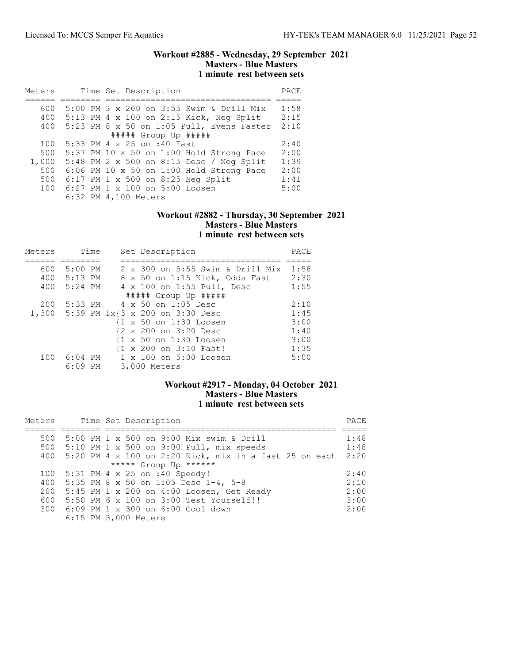### Workout #2885 - Wednesday, 29 September 2021 Masters - Blue Masters 1 minute rest between sets

| Meters | Time Set Description                       | PACE |
|--------|--------------------------------------------|------|
|        |                                            |      |
| 600    | 5:00 PM 3 x 200 on 3:55 Swim & Drill Mix   | 1:58 |
| 400    | 5:13 PM 4 x 100 on 2:15 Kick, Neg Split    | 2:15 |
| 400    | 5:23 PM 8 x 50 on 1:05 Pull, Evens Faster  | 2:10 |
|        | $\#$ #### Group Up #####                   |      |
| 100    | 5:33 PM 4 x 25 on :40 Fast                 | 2:40 |
| 500    | 5:37 PM 10 x 50 on 1:00 Hold Strong Pace   | 2:00 |
| 1,000  | 5:48 PM 2 x 500 on 8:15 Desc / Neg Split   | 1:39 |
| 500    | $6:06$ PM 10 x 50 on 1:00 Hold Strong Pace | 2:00 |
| 500    | 6:17 PM 1 x 500 on 8:25 Neg Split          | 1:41 |
| 100    | 6:27 PM 1 x 100 on 5:00 Loosen             | 5:00 |
|        | 6:32 PM 4,100 Meters                       |      |

### Workout #2882 - Thursday, 30 September 2021 Masters - Blue Masters 1 minute rest between sets

| Meters |                      | Time | Set Description                        | PACE |
|--------|----------------------|------|----------------------------------------|------|
|        |                      |      |                                        |      |
| 600    | $5:00$ PM            |      | 2 x 300 on 5:55 Swim & Drill Mix       | 1:58 |
|        | 400 5:13 PM          |      | 8 x 50 on 1:15 Kick, Odds Fast         | 2:30 |
|        | 400 5:24 PM          |      | 4 x 100 on 1:55 Pull, Desc             | 1:55 |
|        |                      |      | $\#$ #### Group Up $\#$ ####           |      |
| 200    |                      |      | $5:33 \text{ PM}$ 4 x 50 on 1:05 Desc  | 2:10 |
|        |                      |      | 1,300 5:39 PM 1x{3 x 200 on 3:30 Desc  | 1:45 |
|        |                      |      | {1 x 50 on 1:30 Loosen                 | 3:00 |
|        |                      |      | {2 x 200 on 3:20 Desc                  | 1:40 |
|        |                      |      | {1 x 50 on 1:30 Loosen                 | 3:00 |
|        |                      |      | {1 x 200 on 3:10 Fast!                 | 1:35 |
| 100    | $6:04$ PM<br>6:09 PM |      | 1 x 100 on 5:00 Loosen<br>3,000 Meters | 5:00 |

# Workout #2917 - Monday, 04 October 2021 Masters - Blue Masters 1 minute rest between sets

| Meters |  | Time Set Description                                   | PACE |
|--------|--|--------------------------------------------------------|------|
|        |  |                                                        |      |
| 500    |  | 5:00 PM 1 x 500 on 9:00 Mix swim & Drill               | 1:48 |
| 500    |  | $5:10$ PM 1 x 500 on 9:00 Pull, mix speeds             | 1:48 |
| 400    |  | 5:20 PM 4 x 100 on 2:20 Kick, mix in a fast 25 on each | 2:20 |
|        |  | ***** Group Up ******                                  |      |
| 100    |  | 5:31 PM 4 x 25 on :40 Speedy!                          | 2:40 |
| 400    |  | 5:35 PM 8 x 50 on 1:05 Desc 1-4, 5-8                   | 2:10 |
| 200    |  | 5:45 PM 1 x 200 on 4:00 Loosen, Get Ready              | 2:00 |
| 600    |  | 5:50 PM 6 x 100 on 3:00 Test Yourself!!                | 3:00 |
| 300    |  | 6:09 PM 1 x 300 on 6:00 Cool down                      | 2:00 |
|        |  | 6:15 PM 3,000 Meters                                   |      |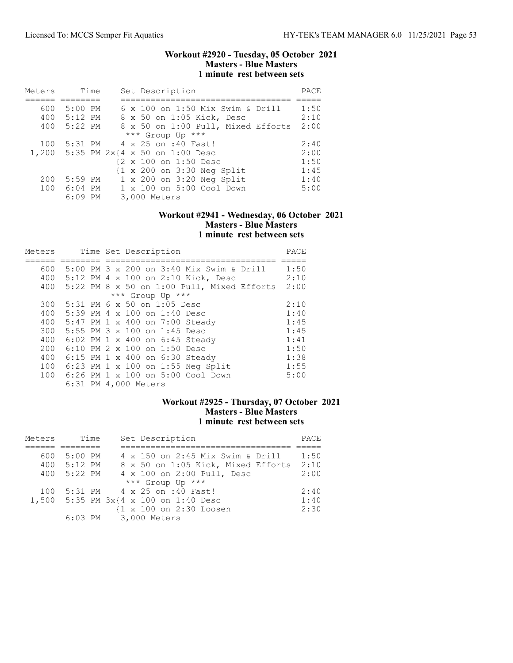### Workout #2920 - Tuesday, 05 October 2021 Masters - Blue Masters 1 minute rest between sets

| Meters | Time        | Set Description                                       | PACE |
|--------|-------------|-------------------------------------------------------|------|
|        |             |                                                       |      |
| 600    | 5:00 PM     | 6 x 100 on 1:50 Mix Swim & Drill                      | 1:50 |
| 400    | $5:12$ PM   | 8 x 50 on 1:05 Kick, Desc                             | 2:10 |
| 400    | 5:22 PM     | 8 x 50 on 1:00 Pull, Mixed Efforts                    | 2:00 |
|        |             | *** Group Up ***                                      |      |
| 100    | 5:31 PM     | 4 x 25 on :40 Fast!                                   | 2:40 |
|        |             | 1,200 5:35 PM 2x{4 x 50 on 1:00 Desc                  | 2:00 |
|        |             | {2 x 100 on 1:50 Desc                                 | 1:50 |
|        |             | $\{1 \times 200 \text{ on } 3:30 \text{ Neg Split}\}$ | 1:45 |
| 200    | $5:59$ PM   | 1 x 200 on 3:20 Neg Split                             | 1:40 |
|        | 100 6:04 PM | $1 \times 100$ on $5:00$ Cool Down                    | 5:00 |
|        | $6:09$ PM   | 3,000 Meters                                          |      |

### Workout #2941 - Wednesday, 06 October 2021 Masters - Blue Masters 1 minute rest between sets

| Meters |  | Time Set Description                       | PACE |
|--------|--|--------------------------------------------|------|
|        |  |                                            |      |
| 600    |  | 5:00 PM 3 x 200 on 3:40 Mix Swim & Drill   | 1:50 |
| 400    |  | 5:12 PM 4 x 100 on 2:10 Kick, Desc         | 2:10 |
| 400    |  | 5:22 PM 8 x 50 on 1:00 Pull, Mixed Efforts | 2:00 |
|        |  | *** Group Up ***                           |      |
| 300    |  | 5:31 PM 6 x 50 on 1:05 Desc                | 2:10 |
| 400    |  | 5:39 PM 4 x 100 on 1:40 Desc               | 1:40 |
| 400    |  | 5:47 PM 1 x 400 on 7:00 Steady             | 1:45 |
| 300    |  | 5:55 PM 3 x 100 on 1:45 Desc               | 1:45 |
| 400    |  | 6:02 PM 1 x 400 on 6:45 Steady             | 1:41 |
| 200    |  | 6:10 PM 2 x 100 on 1:50 Desc               | 1:50 |
| 400    |  | 6:15 PM 1 x 400 on 6:30 Steady             | 1:38 |
| 100    |  | $6:23$ PM 1 x 100 on 1:55 Neg Split        | 1:55 |
| 100    |  | 6:26 PM 1 x 100 on 5:00 Cool Down          | 5:00 |
|        |  | 6:31 PM 4,000 Meters                       |      |

# Workout #2925 - Thursday, 07 October 2021 Masters - Blue Masters 1 minute rest between sets

| Meters |             | Time | Set Description                       | PACE |
|--------|-------------|------|---------------------------------------|------|
|        |             |      |                                       |      |
| 600    | 5:00 PM     |      | 4 x 150 on 2:45 Mix Swim & Drill      | 1:50 |
|        | 400 5:12 PM |      | 8 x 50 on 1:05 Kick, Mixed Efforts    | 2:10 |
|        | 400 5:22 PM |      | 4 x 100 on 2:00 Pull, Desc            | 2:00 |
|        |             |      | *** Group Up ***                      |      |
| 100    |             |      | 5:31 PM 4 x 25 on :40 Fast!           | 2:40 |
|        |             |      | 1,500 5:35 PM 3x{4 x 100 on 1:40 Desc | 1:40 |
|        |             |      | {1 x 100 on 2:30 Loosen               | 2:30 |
|        |             |      | 6:03 PM 3,000 Meters                  |      |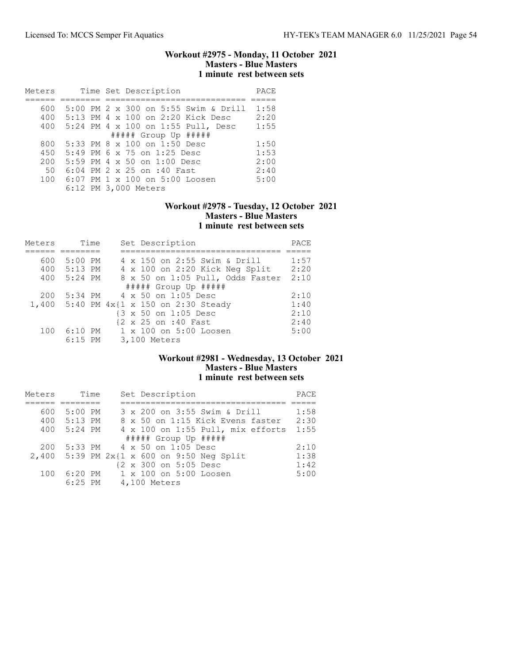### Workout #2975 - Monday, 11 October 2021 Masters - Blue Masters 1 minute rest between sets

| Meters | Time Set Description                 | PACE |
|--------|--------------------------------------|------|
|        |                                      |      |
| 600    | 5:00 PM 2 x 300 on 5:55 Swim & Drill | 1:58 |
| 400    | 5:13 PM 4 x 100 on 2:20 Kick Desc    | 2:20 |
| 400    | 5:24 PM 4 x 100 on 1:55 Pull, Desc   | 1:55 |
|        | $\#$ #### Group Up $\#$ ####         |      |
| 800    | 5:33 PM $8 \times 100$ on 1:50 Desc  | 1:50 |
| 450    | 5:49 PM 6 x 75 on 1:25 Desc          | 1:53 |
| 200    | $5:59$ PM 4 x 50 on $1:00$ Desc      | 2:00 |
| 50     | $6:04$ PM $2 \times 25$ on :40 Fast  | 2:40 |
| 100    | 6:07 PM 1 x 100 on 5:00 Loosen       | 5:00 |
|        | 6:12 PM 3,000 Meters                 |      |

## Workout #2978 - Tuesday, 12 October 2021 Masters - Blue Masters 1 minute rest between sets

| Meters | Time        | Set Description                         | PACE |
|--------|-------------|-----------------------------------------|------|
|        |             |                                         |      |
| 600    | $5:00$ PM   | 4 x 150 on 2:55 Swim & Drill            | 1:57 |
|        | 400 5:13 PM | 4 x 100 on 2:20 Kick Neg Split          | 2:20 |
| 400    | 5:24 PM     | 8 x 50 on 1:05 Pull, Odds Faster        | 2:10 |
|        |             | $\#$ #### Group Up $\#$ ####            |      |
| 200    |             | 5:34 PM 4 x 50 on 1:05 Desc             | 2:10 |
|        |             | 1,400 5:40 PM 4x{1 x 150 on 2:30 Steady | 1:40 |
|        |             | {3 x 50 on 1:05 Desc                    | 2:10 |
|        |             | {2 x 25 on :40 Fast                     | 2:40 |
| 100    | 6:10 PM     | 1 x 100 on 5:00 Loosen                  | 5:00 |
|        | $6:15$ PM   | 3,100 Meters                            |      |

# Workout #2981 - Wednesday, 13 October 2021 Masters - Blue Masters 1 minute rest between sets

| Meters | Time      | Set Description                         | PACE |
|--------|-----------|-----------------------------------------|------|
|        |           |                                         |      |
| 600    | 5:00 PM   | 3 x 200 on 3:55 Swim & Drill            | 1:58 |
| 400    | $5:13$ PM | 8 x 50 on 1:15 Kick Evens faster        | 2:30 |
| 400    | $5:24$ PM | 4 x 100 on 1:55 Pull, mix efforts       | 1:55 |
|        |           | ##### Group Up #####                    |      |
| 200    |           | 5:33 PM 4 x 50 on 1:05 Desc             | 2:10 |
| 2.400  |           | 5:39 PM $2x{1 x} 600$ on 9:50 Neg Split | 1:38 |
|        |           | {2 x 300 on 5:05 Desc                   | 1:42 |
| 100    | 6:20 PM   | 1 x 100 on 5:00 Loosen                  | 5:00 |
|        | $6:25$ PM | 4,100 Meters                            |      |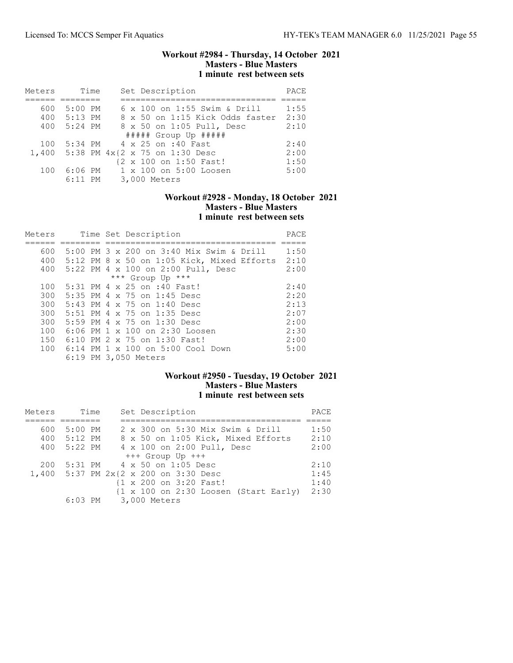### Workout #2984 - Thursday, 14 October 2021 Masters - Blue Masters 1 minute rest between sets

| Meters | Time      | Set Description                 | PACE |
|--------|-----------|---------------------------------|------|
|        |           |                                 |      |
| 600    | $5:00$ PM | 6 x 100 on 1:55 Swim & Drill    | 1:55 |
| 400    | 5:13 PM   | 8 x 50 on 1:15 Kick Odds faster | 2:30 |
| 400    | $5:24$ PM | 8 x 50 on 1:05 Pull, Desc       | 2:10 |
|        |           | ##### Group Up #####            |      |
| 100    |           | 5:34 PM 4 x 25 on :40 Fast      | 2:40 |
| 1,400  |           | 5:38 PM 4x{2 x 75 on 1:30 Desc  | 2:00 |
|        |           | {2 x 100 on 1:50 Fast!          | 1:50 |
| 100    | $6:06$ PM | 1 x 100 on 5:00 Loosen          | 5:00 |
|        | $6:11$ PM | 3,000 Meters                    |      |

### Workout #2928 - Monday, 18 October 2021 Masters - Blue Masters 1 minute rest between sets

| Meters |  | Time Set Description                       | PACE |
|--------|--|--------------------------------------------|------|
|        |  |                                            |      |
| 600    |  | 5:00 PM 3 x 200 on 3:40 Mix Swim & Drill   | 1:50 |
| 400    |  | 5:12 PM 8 x 50 on 1:05 Kick, Mixed Efforts | 2:10 |
| 400    |  | 5:22 PM 4 x 100 on 2:00 Pull, Desc         | 2:00 |
|        |  | *** Group Up ***                           |      |
| 100    |  | 5:31 PM 4 x 25 on :40 Fast!                | 2:40 |
| 300    |  | 5:35 PM 4 x 75 on 1:45 Desc                | 2:20 |
| 300    |  | 5:43 PM 4 x 75 on 1:40 Desc                | 2:13 |
| 300    |  | 5:51 PM 4 x 75 on 1:35 Desc                | 2:07 |
| 300    |  | 5:59 PM 4 x 75 on 1:30 Desc                | 2:00 |
| 100    |  | 6:06 PM $1 \times 100$ on $2:30$ Loosen    | 2:30 |
| 150    |  | 6:10 PM 2 x 75 on 1:30 Fast!               | 2:00 |
| 100    |  | 6:14 PM 1 x 100 on 5:00 Cool Down          | 5:00 |
|        |  | 6:19 PM 3,050 Meters                       |      |

# Workout #2950 - Tuesday, 19 October 2021 Masters - Blue Masters 1 minute rest between sets

| Meters | Time        | Set Description                                                          | PACE |
|--------|-------------|--------------------------------------------------------------------------|------|
|        |             |                                                                          |      |
| 600    | 5:00 PM     | 2 x 300 on 5:30 Mix Swim & Drill                                         | 1:50 |
|        | 400 5:12 PM | 8 x 50 on 1:05 Kick, Mixed Efforts                                       | 2:10 |
|        | 400 5:22 PM | 4 x 100 on 2:00 Pull, Desc                                               | 2:00 |
|        |             | +++ Group Up +++                                                         |      |
| 200    |             | 5:31 PM 4 x 50 on 1:05 Desc                                              | 2:10 |
|        |             | 1,400 5:37 PM 2x{2 x 200 on 3:30 Desc                                    | 1:45 |
|        |             | {1 x 200 on 3:20 Fast!                                                   | 1:40 |
|        |             | $\{1 \times 100 \text{ on } 2:30 \text{ Loosen } (\text{Start Early})\}$ | 2:30 |
|        |             | 6:03 PM 3,000 Meters                                                     |      |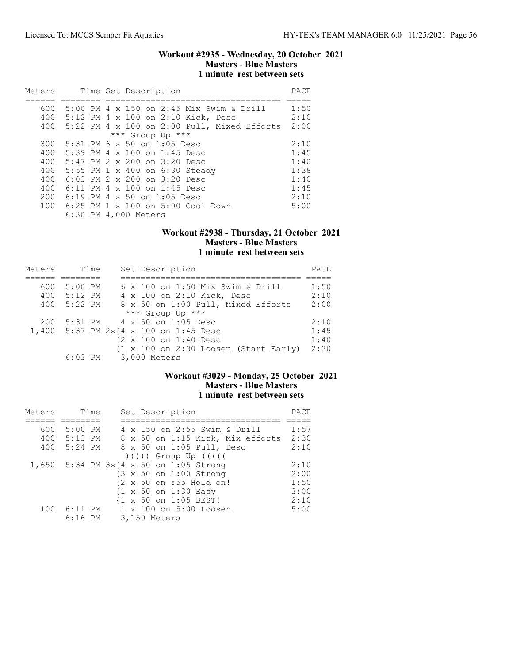### Workout #2935 - Wednesday, 20 October 2021 Masters - Blue Masters 1 minute rest between sets

| Meters                                               |  | Time Set Description                                                                                                                                                                                                                                                                                     | PACE                                                         |
|------------------------------------------------------|--|----------------------------------------------------------------------------------------------------------------------------------------------------------------------------------------------------------------------------------------------------------------------------------------------------------|--------------------------------------------------------------|
| 600<br>400                                           |  | 5:00 PM 4 x 150 on 2:45 Mix Swim & Drill<br>5:12 PM 4 x 100 on 2:10 Kick, Desc                                                                                                                                                                                                                           | 1:50<br>2:10                                                 |
| 400                                                  |  | 5:22 PM 4 x 100 on 2:00 Pull, Mixed Efforts<br>*** Group Up ***                                                                                                                                                                                                                                          | 2:00                                                         |
| 300<br>400<br>400<br>400<br>400<br>400<br>200<br>100 |  | $5:31$ PM 6 x 50 on 1:05 Desc<br>5:39 PM 4 x 100 on 1:45 Desc<br>$5:47$ PM $2 \times 200$ on $3:20$ Desc<br>5:55 PM 1 x 400 on 6:30 Steady<br>6:03 PM 2 x 200 on 3:20 Desc<br>6:11 PM 4 x 100 on 1:45 Desc<br>$6:19$ PM 4 x 50 on 1:05 Desc<br>6:25 PM 1 x 100 on 5:00 Cool Down<br>6:30 PM 4,000 Meters | 2:10<br>1:45<br>1:40<br>1:38<br>1:40<br>1:45<br>2:10<br>5:00 |

## Workout #2938 - Thursday, 21 October 2021 Masters - Blue Masters 1 minute rest between sets

| Meters | Time      | Set Description                       | PACE |
|--------|-----------|---------------------------------------|------|
|        |           |                                       |      |
| 600    | $5:00$ PM | 6 x 100 on 1:50 Mix Swim & Drill      | 1:50 |
| 400    | 5:12 PM   | 4 x 100 on 2:10 Kick, Desc            | 2:10 |
| 400    | 5:22 PM   | 8 x 50 on 1:00 Pull, Mixed Efforts    | 2:00 |
|        |           | *** Group Up ***                      |      |
| 200    |           | $5:31 \text{ PM}$ 4 x 50 on 1:05 Desc | 2:10 |
|        |           | 1,400 5:37 PM 2x{4 x 100 on 1:45 Desc | 1:45 |
|        |           | {2 x 100 on 1:40 Desc                 | 1:40 |
|        |           | {1 x 100 on 2:30 Loosen (Start Early) | 2:30 |
|        |           | 6:03 PM 3,000 Meters                  |      |

## Workout #3029 - Monday, 25 October 2021 Masters - Blue Masters 1 minute rest between sets

| Meters |             | Time | Set Description                                   | PACE |
|--------|-------------|------|---------------------------------------------------|------|
|        |             |      |                                                   |      |
| 600    | $5:00$ PM   |      | 4 x 150 on 2:55 Swim & Drill                      | 1:57 |
|        | 400 5:13 PM |      | 8 x 50 on 1:15 Kick, Mix efforts                  | 2:30 |
| 400    | 5:24 PM     |      | 8 x 50 on 1:05 Pull, Desc                         | 2:10 |
|        |             |      | ))))) Group Up (((((                              |      |
|        |             |      | 1,650 5:34 PM 3x{4 x 50 on 1:05 Strong            | 2:10 |
|        |             |      | $\{3 \times 50 \text{ on } 1:00 \text{ Strong}\}$ | 2:00 |
|        |             |      | {2 x 50 on :55 Hold on!                           | 1:50 |
|        |             |      | $\{1 \times 50 \text{ on } 1:30 \text{ Easy}\}$   | 3:00 |
|        |             |      | {1 x 50 on 1:05 BEST!                             | 2:10 |
| 100    | $6:11$ PM   |      | 1 x 100 on 5:00 Loosen                            | 5:00 |
|        | $6:16$ PM   |      | 3,150 Meters                                      |      |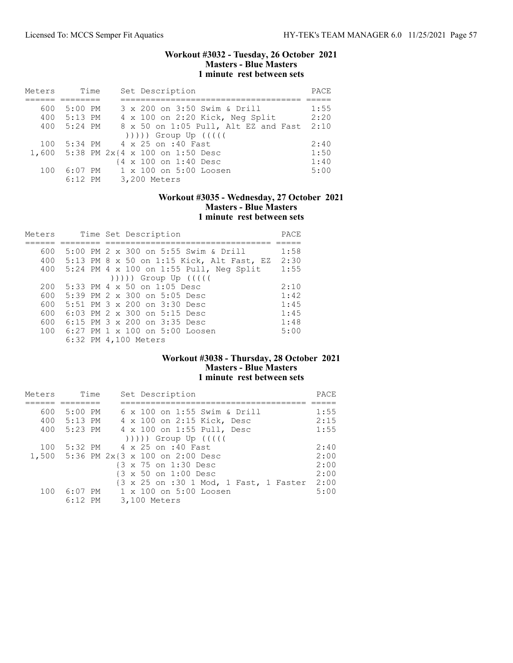### Workout #3032 - Tuesday, 26 October 2021 Masters - Blue Masters 1 minute rest between sets

| Meters | Time        | Set Description                       | PACE |
|--------|-------------|---------------------------------------|------|
|        |             |                                       |      |
| 600    | $5:00$ PM   | 3 x 200 on 3:50 Swim & Drill          | 1:55 |
|        | 400 5:13 PM | 4 x 100 on 2:20 Kick, Neg Split       | 2:20 |
| 400    | 5:24 PM     | 8 x 50 on 1:05 Pull, Alt EZ and Fast  | 2:10 |
|        |             | $( ) )$ ))) Group Up $( ( )$          |      |
| 100    |             | 5:34 PM 4 x 25 on :40 Fast            | 2:40 |
|        |             | 1,600 5:38 PM 2x{4 x 100 on 1:50 Desc | 1:50 |
|        |             | {4 x 100 on 1:40 Desc                 | 1:40 |
| 100    | $6:07$ PM   | 1 x 100 on 5:00 Loosen                | 5:00 |
|        | $6:12$ PM   | 3,200 Meters                          |      |

## Workout #3035 - Wednesday, 27 October 2021 Masters - Blue Masters 1 minute rest between sets

| Meters |  | Time Set Description                      | PACE |
|--------|--|-------------------------------------------|------|
|        |  |                                           |      |
| 600    |  | 5:00 PM 2 x 300 on 5:55 Swim & Drill      | 1:58 |
| 400    |  | 5:13 PM 8 x 50 on 1:15 Kick, Alt Fast, EZ | 2:30 |
| 400    |  | $5:24$ PM 4 x 100 on 1:55 Pull, Neq Split | 1:55 |
|        |  | $( ) )$ ) ) ) Group Up $( ( )$            |      |
| 200    |  | 5:33 PM 4 x 50 on 1:05 Desc               | 2:10 |
| 600    |  | 5:39 PM 2 x 300 on 5:05 Desc              | 1:42 |
| 600    |  | 5:51 PM 3 x 200 on 3:30 Desc              | 1:45 |
| 600    |  | 6:03 PM 2 x 300 on 5:15 Desc              | 1:45 |
| 600    |  | 6:15 PM 3 x 200 on 3:35 Desc              | 1:48 |
| 100    |  | $6:27$ PM 1 x 100 on 5:00 Loosen          | 5:00 |
|        |  | 6:32 PM 4,100 Meters                      |      |

# Workout #3038 - Thursday, 28 October 2021 Masters - Blue Masters 1 minute rest between sets

| Meters | Time        | Set Description                           | PACE |
|--------|-------------|-------------------------------------------|------|
|        |             |                                           |      |
| 600    | 5:00 PM     | 6 x 100 on 1:55 Swim & Drill              | 1:55 |
|        | 400 5:13 PM | 4 x 100 on 2:15 Kick, Desc                | 2:15 |
|        | 400 5:23 PM | 4 x 100 on 1:55 Pull, Desc                | 1:55 |
|        |             | $( ) )$ ) ) ) Group Up $( ( )$            |      |
| 100    |             | 5:32 PM 4 x 25 on :40 Fast                | 2:40 |
|        |             | 1,500 5:36 PM 2x{3 x 100 on 2:00 Desc     | 2:00 |
|        |             | {3 x 75 on 1:30 Desc                      | 2:00 |
|        |             | {3 x 50 on 1:00 Desc                      | 2:00 |
|        |             | {3 x 25 on :30 1 Mod, 1 Fast, 1 Faster    | 2:00 |
| 100    |             | $6:07$ PM $1 \times 100$ on $5:00$ Loosen | 5:00 |
|        | $6:12$ PM   | 3,100 Meters                              |      |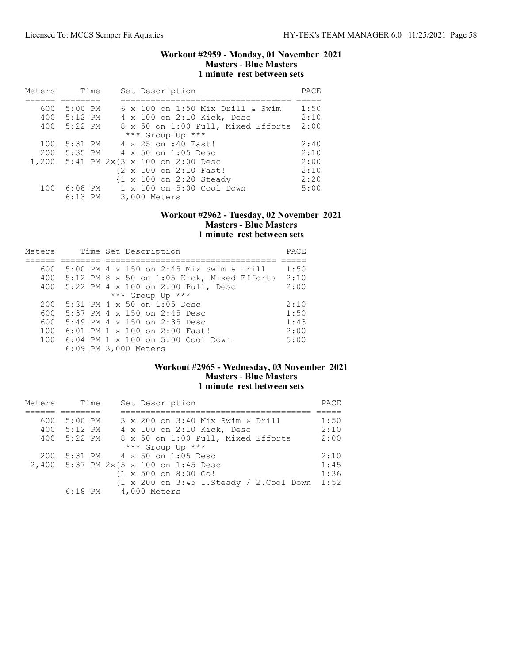### Workout #2959 - Monday, 01 November 2021 Masters - Blue Masters 1 minute rest between sets

| Meters | Time        | Set Description                       | PACE |
|--------|-------------|---------------------------------------|------|
|        |             |                                       |      |
| 600    | 5:00 PM     | 6 x 100 on 1:50 Mix Drill & Swim      | 1:50 |
|        | 400 5:12 PM | 4 x 100 on 2:10 Kick, Desc            | 2:10 |
|        | 400 5:22 PM | 8 x 50 on 1:00 Pull, Mixed Efforts    | 2:00 |
|        |             | *** Group Up ***                      |      |
| 100    |             | 5:31 PM 4 x 25 on :40 Fast!           | 2:40 |
| 200    |             | 5:35 PM 4 x 50 on 1:05 Desc           | 2:10 |
|        |             | 1,200 5:41 PM 2x{3 x 100 on 2:00 Desc | 2:00 |
|        |             | {2 x 100 on 2:10 Fast!                | 2:10 |
|        |             | {1 x 100 on 2:20 Steady               | 2:20 |
| 100    |             | 6:08 PM 1 x 100 on 5:00 Cool Down     | 5:00 |
|        | 6:13 PM     | 3,000 Meters                          |      |

### Workout #2962 - Tuesday, 02 November 2021 Masters - Blue Masters 1 minute rest between sets

| Meters |  | Time Set Description                           | PACE |
|--------|--|------------------------------------------------|------|
|        |  |                                                |      |
| 600    |  | 5:00 PM 4 x 150 on 2:45 Mix Swim & Drill       | 1:50 |
|        |  | 400 5:12 PM 8 x 50 on 1:05 Kick, Mixed Efforts | 2:10 |
| 400    |  | 5:22 PM 4 x 100 on 2:00 Pull, Desc             | 2:00 |
|        |  | *** Group Up ***                               |      |
| 200    |  | $5:31$ PM 4 x 50 on 1:05 Desc                  | 2:10 |
| 600    |  | 5:37 PM 4 x 150 on 2:45 Desc                   | 1:50 |
| 600    |  | 5:49 PM 4 x 150 on 2:35 Desc                   | 1:43 |
| 100    |  | $6:01$ PM 1 x 100 on 2:00 Fast!                | 2:00 |
| 100    |  | $6:04$ PM $1 \times 100$ on $5:00$ Cool Down   | 5:00 |
|        |  | 6:09 PM 3,000 Meters                           |      |

## Workout #2965 - Wednesday, 03 November 2021 Masters - Blue Masters 1 minute rest between sets

| Meters | Time        | Set Description                                          | PACE |
|--------|-------------|----------------------------------------------------------|------|
|        |             |                                                          |      |
| 600    | 5:00 PM     | 3 x 200 on 3:40 Mix Swim & Drill                         | 1:50 |
|        | 400 5:12 PM | 4 x 100 on 2:10 Kick, Desc                               | 2:10 |
|        | 400 5:22 PM | 8 x 50 on 1:00 Pull, Mixed Efforts                       | 2:00 |
|        |             | *** Group Up ***                                         |      |
| 200    | 5:31 PM     | 4 x 50 on 1:05 Desc                                      | 2:10 |
|        |             | 2,400 5:37 PM 2x{5 x 100 on 1:45 Desc                    | 1:45 |
|        |             | $\{1 \times 500 \text{ on } 8:00 \text{ Go}\}$           | 1:36 |
|        |             | $\{1 \times 200 \text{ on } 3:45 \text{ 1.S}\$ Cool Down | 1:52 |
|        | $6:18$ PM   | 4,000 Meters                                             |      |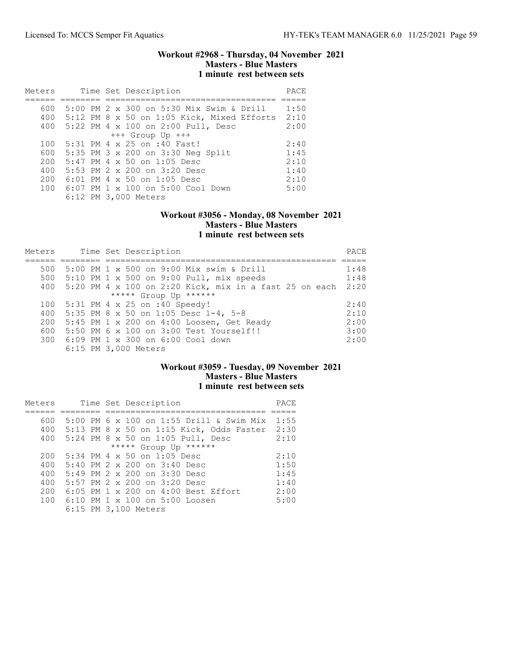### Workout #2968 - Thursday, 04 November 2021 Masters - Blue Masters 1 minute rest between sets

| Meters |  | Time Set Description                       | PACE |
|--------|--|--------------------------------------------|------|
|        |  |                                            |      |
| 600    |  | 5:00 PM 2 x 300 on 5:30 Mix Swim & Drill   | 1:50 |
| 400    |  | 5:12 PM 8 x 50 on 1:05 Kick, Mixed Efforts | 2:10 |
| 400    |  | 5:22 PM 4 x 100 on 2:00 Pull, Desc         | 2:00 |
|        |  | $+++$ Group Up $+++$                       |      |
| 100    |  | 5:31 PM 4 x 25 on :40 Fast!                | 2:40 |
| 600    |  | 5:35 PM 3 x 200 on 3:30 Neg Split          | 1:45 |
| 200    |  | $5:47$ PM 4 x 50 on 1:05 Desc              | 2:10 |
| 400    |  | 5:53 PM $2 \times 200$ on $3:20$ Desc      | 1:40 |
| 200    |  | $6:01$ PM 4 x 50 on 1:05 Desc              | 2:10 |
| 100    |  | 6:07 PM 1 x 100 on 5:00 Cool Down          | 5:00 |
|        |  | 6:12 PM 3,000 Meters                       |      |

### Workout #3056 - Monday, 08 November 2021 Masters - Blue Masters 1 minute rest between sets

| Meters |  | Time Set Description                                          | PACE |
|--------|--|---------------------------------------------------------------|------|
|        |  |                                                               |      |
| 500    |  | 5:00 PM 1 x 500 on 9:00 Mix swim & Drill                      | 1:48 |
| 500    |  | $5:10$ PM 1 x 500 on 9:00 Pull, mix speeds                    | 1:48 |
| 400    |  | 5:20 PM 4 $\times$ 100 on 2:20 Kick, mix in a fast 25 on each | 2:20 |
|        |  | ***** Group Up ******                                         |      |
| 100    |  | $5:31$ PM 4 x 25 on :40 Speedy!                               | 2:40 |
| 400    |  | 5:35 PM 8 x 50 on 1:05 Desc 1-4, 5-8                          | 2:10 |
| 200    |  | 5:45 PM 1 x 200 on 4:00 Loosen, Get Ready                     | 2:00 |
| 600    |  | 5:50 PM 6 x 100 on 3:00 Test Yourself!!                       | 3:00 |
| 300    |  | 6:09 PM 1 x 300 on 6:00 Cool down                             | 2:00 |
|        |  | 6:15 PM 3,000 Meters                                          |      |

## Workout #3059 - Tuesday, 09 November 2021 Masters - Blue Masters 1 minute rest between sets

| Meters |  | Time Set Description                       | PACE |
|--------|--|--------------------------------------------|------|
|        |  |                                            |      |
| 600    |  | $5:00$ PM 6 x 100 on 1:55 Drill & Swim Mix | 1:55 |
| 400    |  | 5:13 PM 8 x 50 on 1:15 Kick, Odds Faster   | 2:30 |
| 400    |  | 5:24 PM 8 x 50 on 1:05 Pull, Desc          | 2:10 |
|        |  | ***** Group Up ******                      |      |
| 200    |  | $5:34$ PM 4 x 50 on 1:05 Desc              | 2:10 |
| 400    |  | $5:40$ PM $2 \times 200$ on $3:40$ Desc    | 1:50 |
| 400    |  | $5:49$ PM $2 \times 200$ on $3:30$ Desc    | 1:45 |
| 400    |  | 5:57 PM 2 x 200 on 3:20 Desc               | 1:40 |
| 200    |  | 6:05 PM 1 x 200 on 4:00 Best Effort        | 2:00 |
| 100    |  | 6:10 PM $1 \times 100$ on 5:00 Loosen      | 5:00 |
|        |  | 6:15 PM 3,100 Meters                       |      |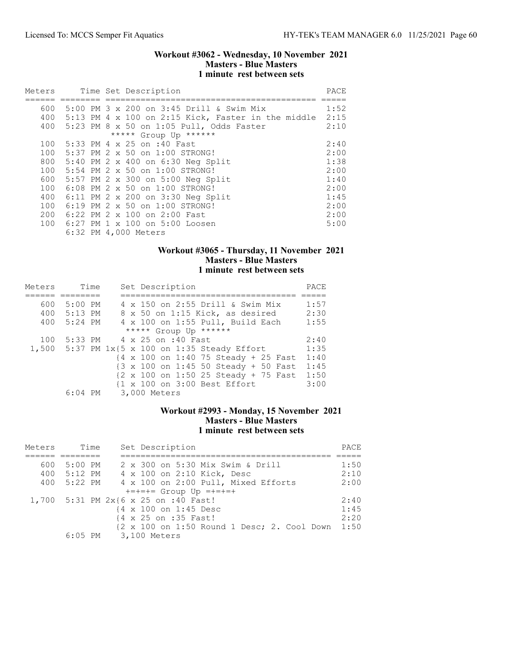### Workout #3062 - Wednesday, 10 November 2021 Masters - Blue Masters 1 minute rest between sets

| Meters |  | Time Set Description                                   | PACE |
|--------|--|--------------------------------------------------------|------|
|        |  |                                                        |      |
|        |  | 600 5:00 PM 3 x 200 on 3:45 Drill & Swim Mix           | 1:52 |
|        |  | 400 5:13 PM 4 x 100 on 2:15 Kick, Faster in the middle | 2:15 |
|        |  | 400 5:23 PM 8 x 50 on 1:05 Pull, Odds Faster           | 2:10 |
|        |  | ***** Group Up ******                                  |      |
|        |  | 100 5:33 PM 4 x 25 on :40 Fast                         | 2:40 |
| 100    |  | 5:37 PM 2 x 50 on 1:00 STRONG!                         | 2:00 |
|        |  | 800 5:40 PM 2 x 400 on 6:30 Neg Split                  | 1:38 |
| 100    |  | 5:54 PM 2 x 50 on 1:00 STRONG!                         | 2:00 |
|        |  | 600 5:57 PM 2 x 300 on 5:00 Neg Split                  | 1:40 |
| 100    |  | 6:08 PM 2 x 50 on 1:00 STRONG!                         | 2:00 |
|        |  | 400 6:11 PM 2 x 200 on 3:30 Neg Split                  | 1:45 |
| 100    |  | 6:19 PM 2 x 50 on 1:00 STRONG!                         | 2:00 |
|        |  | 200 6:22 PM 2 x 100 on 2:00 Fast                       | 2:00 |
|        |  | 100 6:27 PM 1 x 100 on 5:00 Loosen                     | 5:00 |
|        |  | 6:32 PM 4,000 Meters                                   |      |

## Workout #3065 - Thursday, 11 November 2021 Masters - Blue Masters 1 minute rest between sets

| Meters | Time        |  | Set Description                                                           | PACE |
|--------|-------------|--|---------------------------------------------------------------------------|------|
|        |             |  |                                                                           |      |
| 600    | 5:00 PM     |  | 4 x 150 on 2:55 Drill & Swim Mix                                          | 1:57 |
|        | 400 5:13 PM |  | 8 x 50 on 1:15 Kick, as desired                                           | 2:30 |
| 400    | $5:24$ PM   |  | 4 x 100 on 1:55 Pull, Build Each                                          | 1:55 |
|        |             |  | ***** Group Up ******                                                     |      |
| 100    |             |  | 5:33 PM 4 x 25 on :40 Fast                                                | 2:40 |
|        |             |  | 1,500 5:37 PM $1x{5 x}$ 100 on 1:35 Steady Effort                         | 1:35 |
|        |             |  | {4 x 100 on 1:40 75 Steady + 25 Fast                                      | 1:40 |
|        |             |  | $\{3 \times 100 \text{ on } 1:45 \text{ 50 Steady } + 50 \text{ Fast} \}$ | 1:45 |
|        |             |  | {2 x 100 on 1:50 25 Steady + 75 Fast                                      | 1:50 |
|        |             |  | {1 x 100 on 3:00 Best Effort                                              | 3:00 |
|        | $6:04$ PM   |  | 3,000 Meters                                                              |      |

# Workout #2993 - Monday, 15 November 2021 Masters - Blue Masters 1 minute rest between sets

| Meters | Time        | Set Description                                                                          | PACE |
|--------|-------------|------------------------------------------------------------------------------------------|------|
|        |             |                                                                                          |      |
|        | 600 5:00 PM | 2 x 300 on 5:30 Mix Swim & Drill                                                         | 1:50 |
|        | 400 5:12 PM | 4 x 100 on 2:10 Kick, Desc                                                               | 2:10 |
| 400    | 5:22 PM     | 4 x 100 on 2:00 Pull, Mixed Efforts                                                      | 2:00 |
|        |             | $+=+=+=$ Group Up $=+=+=+$                                                               |      |
|        |             | 1,700 5:31 PM 2x{6 x 25 on :40 Fast!                                                     | 2:40 |
|        |             | {4 x 100 on 1:45 Desc                                                                    | 1:45 |
|        |             | {4 x 25 on :35 Fast!                                                                     | 2:20 |
|        |             | $\{2 \times 100 \text{ on } 1:50 \text{ Round } 1 \text{ Desc}; 2. \text{ Cool Down} \}$ | 1:50 |
|        | $6:05$ PM   | 3,100 Meters                                                                             |      |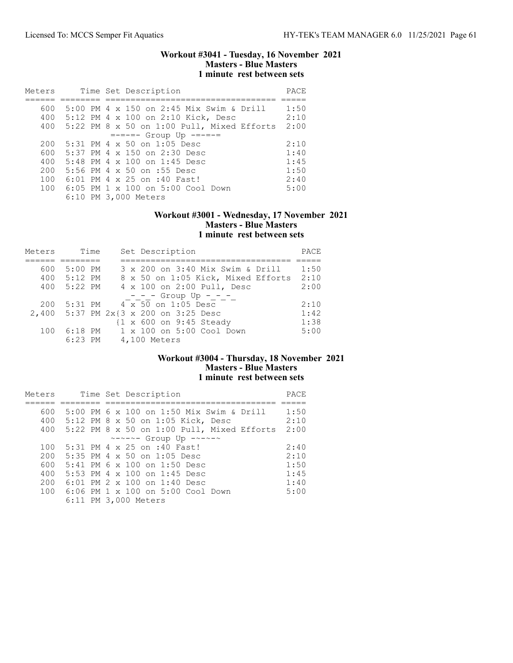### Workout #3041 - Tuesday, 16 November 2021 Masters - Blue Masters 1 minute rest between sets

| Meters |                      | Time Set Description                            | PACE |
|--------|----------------------|-------------------------------------------------|------|
|        |                      |                                                 |      |
| 600    |                      | 5:00 PM $4 \times 150$ on 2:45 Mix Swim & Drill | 1:50 |
| 400    |                      | 5:12 PM 4 x 100 on 2:10 Kick, Desc              | 2:10 |
| 400    |                      | $5:22$ PM 8 x 50 on 1:00 Pull, Mixed Efforts    | 2:00 |
|        |                      | $=-=-=-$ Group Up $---$                         |      |
| 200    |                      | $5:31$ PM 4 x 50 on 1:05 Desc                   | 2:10 |
| 600    |                      | 5:37 PM 4 x 150 on 2:30 Desc                    | 1:40 |
| 400    |                      | $5:48$ PM $4 \times 100$ on 1:45 Desc           | 1:45 |
| 200    |                      | 5:56 PM 4 x 50 on :55 Desc                      | 1:50 |
| 100    |                      | 6:01 PM 4 x 25 on :40 Fast!                     | 2:40 |
| 100    |                      | $6:05$ PM $1 \times 100$ on $5:00$ Cool Down    | 5:00 |
|        | 6:10 PM 3,000 Meters |                                                 |      |

### Workout #3001 - Wednesday, 17 November 2021 Masters - Blue Masters 1 minute rest between sets

| Meters | Time        |  | Set Description                       | PACE |
|--------|-------------|--|---------------------------------------|------|
|        |             |  |                                       |      |
| 600    | 5:00 PM     |  | 3 x 200 on 3:40 Mix Swim & Drill      | 1:50 |
| 400    | $5:12$ PM   |  | 8 x 50 on 1:05 Kick, Mixed Efforts    | 2:10 |
|        | 400 5:22 PM |  | 4 x 100 on 2:00 Pull, Desc            | 2:00 |
|        |             |  | $- - -$ Group Up - - -                |      |
| 200    | 5:31 PM     |  | 4 x 50 on 1:05 Desc                   | 2:10 |
|        |             |  | 2,400 5:37 PM 2x{3 x 200 on 3:25 Desc | 1:42 |
|        |             |  | {1 x 600 on 9:45 Steady               | 1:38 |
| 100    | 6:18 PM     |  | $1 \times 100$ on $5:00$ Cool Down    | 5:00 |
|        |             |  | 6:23 PM 4,100 Meters                  |      |

# Workout #3004 - Thursday, 18 November 2021 Masters - Blue Masters 1 minute rest between sets

| Meters |  | Time Set Description                                  | PACE |
|--------|--|-------------------------------------------------------|------|
|        |  |                                                       |      |
| 600    |  | 5:00 PM 6 x 100 on 1:50 Mix Swim & Drill              | 1:50 |
| 400    |  | 5:12 PM 8 x 50 on 1:05 Kick, Desc                     | 2:10 |
| 400    |  | $5:22$ PM 8 x 50 on 1:00 Pull, Mixed Efforts          | 2:00 |
|        |  | $\sim$ - $\sim$ - $\sim$ - Group Up - $\sim$ - $\sim$ |      |
| 100    |  | 5:31 PM 4 x 25 on :40 Fast!                           | 2:40 |
| 200    |  | $5:35$ PM 4 x 50 on 1:05 Desc                         | 2:10 |
| 600    |  | 5:41 PM 6 x 100 on 1:50 Desc                          | 1:50 |
| 400    |  | 5:53 PM 4 x 100 on 1:45 Desc                          | 1:45 |
| 200    |  | 6:01 PM $2 \times 100$ on 1:40 Desc                   | 1:40 |
| 100    |  | $6:06$ PM $1 \times 100$ on $5:00$ Cool Down          | 5:00 |
|        |  | 6:11 PM 3,000 Meters                                  |      |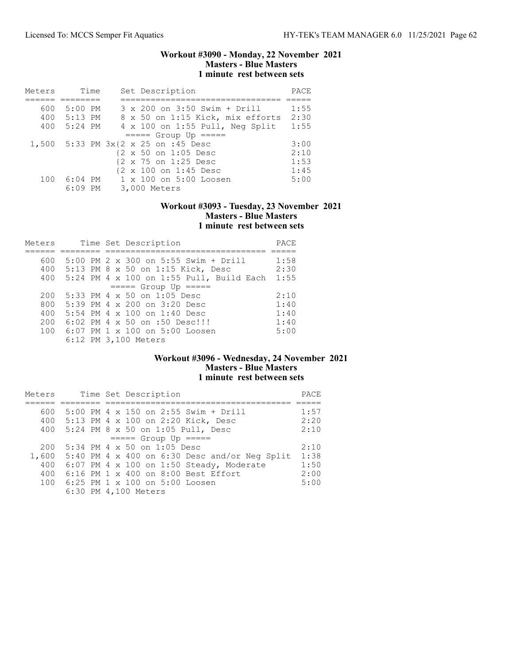### Workout #3090 - Monday, 22 November 2021 Masters - Blue Masters 1 minute rest between sets

| Meters |             | Time | Set Description                     | PACE |
|--------|-------------|------|-------------------------------------|------|
|        |             |      |                                     |      |
| 600    | 5:00 PM     |      | 3 x 200 on 3:50 Swim + Drill        | 1:55 |
|        | 400 5:13 PM |      | 8 x 50 on 1:15 Kick, mix efforts    | 2:30 |
| 400    | 5:24 PM     |      | 4 x 100 on 1:55 Pull, Neg Split     | 1:55 |
|        |             |      | $====$ Group Up $====$              |      |
|        |             |      | 1,500 5:33 PM 3x{2 x 25 on :45 Desc | 3:00 |
|        |             |      | {2 x 50 on 1:05 Desc                | 2:10 |
|        |             |      | {2 x 75 on 1:25 Desc                | 1:53 |
|        |             |      | {2 x 100 on 1:45 Desc               | 1:45 |
| 100    | 6:04 PM     |      | $1 \times 100$ on $5:00$ Loosen     | 5:00 |
|        | $6:09$ PM   |      | 3,000 Meters                        |      |

## Workout #3093 - Tuesday, 23 November 2021 Masters - Blue Masters 1 minute rest between sets

| Meters |  |  | Time Set Description                     | PACE |
|--------|--|--|------------------------------------------|------|
|        |  |  |                                          |      |
| 600    |  |  | 5:00 PM 2 x 300 on 5:55 Swim + Drill     | 1:58 |
|        |  |  | 400 5:13 PM 8 x 50 on 1:15 Kick, Desc    | 2:30 |
| 400    |  |  | 5:24 PM 4 x 100 on 1:55 Pull, Build Each | 1:55 |
|        |  |  | $====$ Group Up $====$                   |      |
| 200    |  |  | 5:33 PM 4 $\times$ 50 on 1:05 Desc       | 2:10 |
| 800    |  |  | 5:39 PM 4 x 200 on 3:20 Desc             | 1:40 |
| 400    |  |  | 5:54 PM 4 x 100 on 1:40 Desc             | 1:40 |
| 200    |  |  | 6:02 PM 4 x 50 on :50 Desc!!!            | 1:40 |
| 100    |  |  | 6:07 PM 1 x 100 on 5:00 Loosen           | 5:00 |
|        |  |  | 6:12 PM 3,100 Meters                     |      |

# Workout #3096 - Wednesday, 24 November 2021 Masters - Blue Masters 1 minute rest between sets

| Meters |  | Time Set Description                                | PACE |
|--------|--|-----------------------------------------------------|------|
|        |  |                                                     |      |
| 600    |  | 5:00 PM 4 x 150 on 2:55 Swim + Drill                | 1:57 |
| 400    |  | 5:13 PM 4 x 100 on 2:20 Kick, Desc                  | 2:20 |
| 400    |  | 5:24 PM 8 x 50 on 1:05 Pull, Desc                   | 2:10 |
|        |  | $====$ Group Up $====$                              |      |
| 200    |  | 5:34 PM 4 x 50 on 1:05 Desc                         | 2:10 |
|        |  | 1,600 5:40 PM 4 x 400 on 6:30 Desc and/or Neq Split | 1:38 |
| 400    |  | $6:07$ PM 4 x 100 on 1:50 Steady, Moderate          | 1:50 |
| 400    |  | 6:16 PM 1 x 400 on 8:00 Best Effort                 | 2:00 |
| 100    |  | 6:25 PM 1 x 100 on 5:00 Loosen                      | 5:00 |
|        |  | 6:30 PM 4,100 Meters                                |      |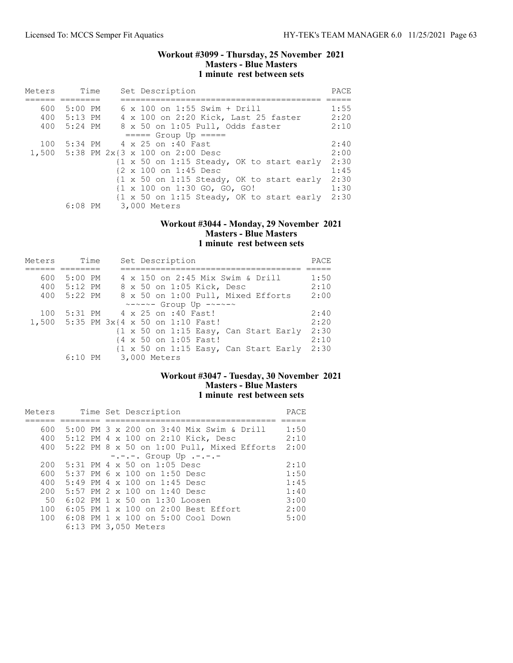### Workout #3099 - Thursday, 25 November 2021 Masters - Blue Masters 1 minute rest between sets

| Meters |             | Time |  | Set Description                                                      | PACE |
|--------|-------------|------|--|----------------------------------------------------------------------|------|
|        |             |      |  |                                                                      |      |
| 600    | 5:00 PM     |      |  | $6 \times 100$ on 1:55 Swim + Drill                                  | 1:55 |
|        | 400 5:13 PM |      |  | 4 x 100 on 2:20 Kick, Last 25 faster                                 | 2:20 |
| 400    | 5:24 PM     |      |  | 8 x 50 on 1:05 Pull, Odds faster                                     | 2:10 |
|        |             |      |  | $====$ Group Up $====$                                               |      |
| 100    |             |      |  | 5:34 PM 4 x 25 on :40 Fast                                           | 2:40 |
|        |             |      |  | 1,500 5:38 PM 2x{3 x 100 on 2:00 Desc                                | 2:00 |
|        |             |      |  | $\{1 \times 50 \text{ on } 1:15 \text{ Steady, OK to start early}\}$ | 2:30 |
|        |             |      |  | {2 x 100 on 1:45 Desc                                                | 1:45 |
|        |             |      |  | $\{1 \times 50 \text{ on } 1:15 \text{ Steady, OK to start early}\}$ | 2:30 |
|        |             |      |  | {1 x 100 on 1:30 GO, GO, GO!                                         | 1:30 |
|        |             |      |  | {1 x 50 on 1:15 Steady, OK to start early                            | 2:30 |
|        | $6:08$ PM   |      |  | 3,000 Meters                                                         |      |

### Workout #3044 - Monday, 29 November 2021 Masters - Blue Masters 1 minute rest between sets

| Meters | Time      |  | Set Description                                                          | PACE |
|--------|-----------|--|--------------------------------------------------------------------------|------|
|        |           |  |                                                                          |      |
| 600    | $5:00$ PM |  | 4 x 150 on 2:45 Mix Swim & Drill                                         | 1:50 |
| 400    | 5:12 PM   |  | 8 x 50 on 1:05 Kick, Desc                                                | 2:10 |
| 400    | 5:22 PM   |  | 8 x 50 on 1:00 Pull, Mixed Efforts                                       | 2:00 |
|        |           |  | $\sim$ - $\sim$ - $\sim$ - Group Up - $\sim$ - $\sim$ - $\sim$           |      |
| 100    | 5:31 PM   |  | 4 x 25 on :40 Fast!                                                      | 2:40 |
|        |           |  | 1,500 5:35 PM 3x{4 x 50 on 1:10 Fast!                                    | 2:20 |
|        |           |  | $\{1 \times 50 \text{ on } 1:15 \text{ Easy}, \text{ Can Start Early}\}$ | 2:30 |
|        |           |  | {4 x 50 on 1:05 Fast!                                                    | 2:10 |
|        |           |  | $\{1 \times 50 \text{ on } 1:15 \text{ Easy}$ , Can Start Early          | 2:30 |
|        | $6:10$ PM |  | 3,000 Meters                                                             |      |

## Workout #3047 - Tuesday, 30 November 2021 Masters - Blue Masters 1 minute rest between sets

| Meters |  | Time Set Description                           | PACE |
|--------|--|------------------------------------------------|------|
|        |  |                                                |      |
| 600    |  | 5:00 PM 3 x 200 on 3:40 Mix Swim & Drill       | 1:50 |
| 400    |  | 5:12 PM 4 x 100 on 2:10 Kick, Desc             | 2:10 |
| 400    |  | $5:22$ PM 8 x 50 on 1:00 Pull, Mixed Efforts   | 2:00 |
|        |  | $-$ .-.-. Group Up .-.-.-                      |      |
| 200    |  | $5:31$ PM 4 x 50 on 1:05 Desc                  | 2:10 |
| 600    |  | 5:37 PM 6 x 100 on 1:50 Desc                   | 1:50 |
| 400    |  | $5:49$ PM 4 x 100 on 1:45 Desc                 | 1:45 |
| 200    |  | 5:57 PM $2 \times 100$ on 1:40 Desc            | 1:40 |
| 50     |  | 6:02 PM 1 x 50 on 1:30 Loosen                  | 3:00 |
| 100    |  | $6:05$ PM $1 \times 100$ on $2:00$ Best Effort | 2:00 |
|        |  | 100 6:08 PM 1 x 100 on 5:00 Cool Down          | 5:00 |
|        |  | 6:13 PM 3,050 Meters                           |      |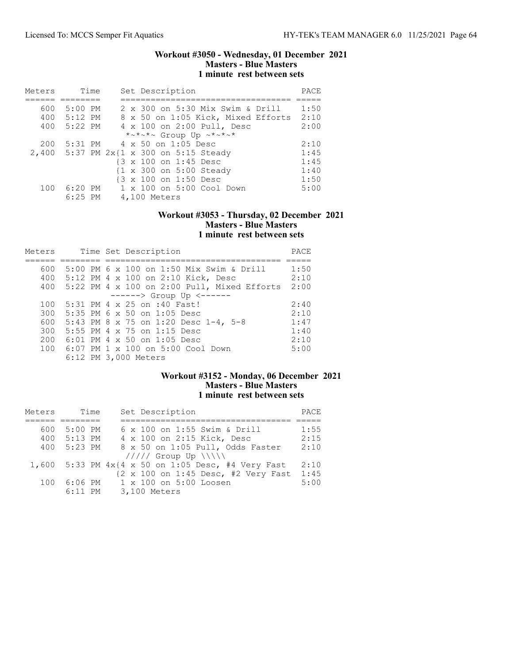### Workout #3050 - Wednesday, 01 December 2021 Masters - Blue Masters 1 minute rest between sets

| Meters | Time                 | Set Description                                    | PACE |
|--------|----------------------|----------------------------------------------------|------|
|        |                      |                                                    |      |
| 600    | $5:00$ PM            | 2 x 300 on 5:30 Mix Swim & Drill                   | 1:50 |
| 400    | 5:12 PM              | 8 x 50 on 1:05 Kick, Mixed Efforts                 | 2:10 |
| 400    | 5:22 PM              | 4 x 100 on 2:00 Pull, Desc                         | 2:00 |
|        |                      | *~*~*~ Group Up ~*~*~*                             |      |
| 200    |                      | 5:31 PM 4 x 50 on 1:05 Desc                        | 2:10 |
|        |                      | 2,400 5:37 PM 2x{1 x 300 on 5:15 Steady            | 1:45 |
|        |                      | {3 x 100 on 1:45 Desc                              | 1:45 |
|        |                      | {1 x 300 on 5:00 Steady                            | 1:40 |
|        |                      | {3 x 100 on 1:50 Desc                              | 1:50 |
| 100    | 6:20 PM<br>$6:25$ PM | $1 \times 100$ on $5:00$ Cool Down<br>4,100 Meters | 5:00 |

### Workout #3053 - Thursday, 02 December 2021 Masters - Blue Masters 1 minute rest between sets

| Meters |  | Time Set Description                          | PACE |
|--------|--|-----------------------------------------------|------|
|        |  |                                               |      |
| 600    |  | 5:00 PM 6 x 100 on 1:50 Mix Swim & Drill      | 1:50 |
| 400    |  | 5:12 PM 4 x 100 on 2:10 Kick, Desc            | 2:10 |
| 400    |  | $5:22$ PM 4 x 100 on 2:00 Pull, Mixed Efforts | 2:00 |
|        |  | $-----> Group Up <---$                        |      |
| 100    |  | 5:31 PM 4 x 25 on :40 Fast!                   | 2:40 |
| 300    |  | 5:35 PM 6 x 50 on 1:05 Desc                   | 2:10 |
| 600    |  | 5:43 PM 8 x 75 on 1:20 Desc 1-4, 5-8          | 1:47 |
| 300    |  | 5:55 PM 4 x 75 on 1:15 Desc                   | 1:40 |
| 200    |  | 6:01 PM 4 x 50 on 1:05 Desc                   | 2:10 |
| 100    |  | 6:07 PM 1 x 100 on 5:00 Cool Down             | 5:00 |
|        |  | 6:12 PM 3,000 Meters                          |      |

# Workout #3152 - Monday, 06 December 2021 Masters - Blue Masters 1 minute rest between sets

| Meters | Time      | Set Description                                                         | PACE |
|--------|-----------|-------------------------------------------------------------------------|------|
|        |           |                                                                         |      |
| 600    | 5:00 PM   | 6 x 100 on 1:55 Swim & Drill                                            | 1:55 |
| 400    | $5:13$ PM | 4 x 100 on 2:15 Kick, Desc                                              | 2:15 |
| 400    | 5:23 PM   | 8 x 50 on 1:05 Pull, Odds Faster                                        | 2:10 |
|        |           | $11111$ Group Up $\N\$                                                  |      |
|        |           | 1,600 5:33 PM $4 \times 4 \times 50$ on 1:05 Desc, #4 Very Fast         | 2:10 |
|        |           | $\{2 \times 100 \text{ on } 1:45 \text{ Desc}, \#2 \text{ Very Fast}\}$ | 1:45 |
| 100    | 6:06 PM   | $1 \times 100$ on $5:00$ Loosen                                         | 5:00 |
|        | $6:11$ PM | 3,100 Meters                                                            |      |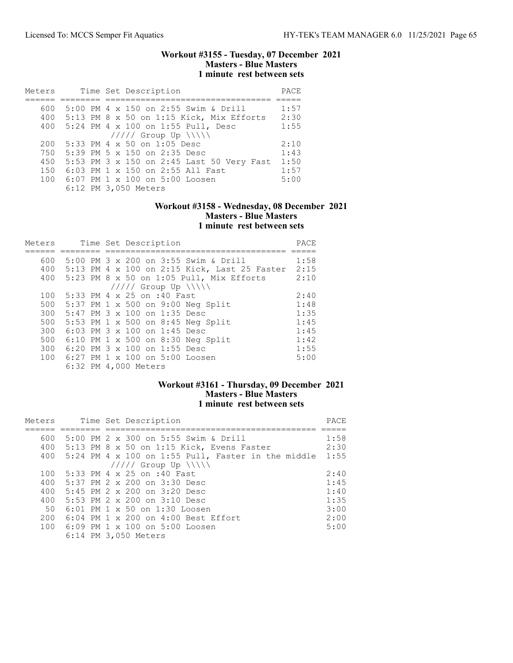### Workout #3155 - Tuesday, 07 December 2021 Masters - Blue Masters 1 minute rest between sets

| Meters | Time Set Description                         | PACE |
|--------|----------------------------------------------|------|
|        |                                              |      |
| 600    | 5:00 PM 4 x 150 on 2:55 Swim & Drill         | 1:57 |
|        | 400 5:13 PM 8 x 50 on 1:15 Kick, Mix Efforts | 2:30 |
| 400    | 5:24 PM 4 x 100 on 1:55 Pull, Desc           | 1:55 |
|        | $11111$ Group Up $\N\$                       |      |
| 200    | 5:33 PM 4 x 50 on 1:05 Desc                  | 2:10 |
| 750    | 5:39 PM 5 x 150 on 2:35 Desc                 | 1:43 |
| 450    | 5:53 PM 3 x 150 on 2:45 Last 50 Very Fast    | 1:50 |
| 150    | 6:03 PM 1 x 150 on 2:55 All Fast             | 1:57 |
| 100    | 6:07 PM 1 x 100 on 5:00 Loosen               | 5:00 |
|        | 6:12 PM 3,050 Meters                         |      |

## Workout #3158 - Wednesday, 08 December 2021 Masters - Blue Masters 1 minute rest between sets

| Meters |  | Time Set Description                         | PACE |
|--------|--|----------------------------------------------|------|
|        |  |                                              |      |
| 600    |  | 5:00 PM 3 x 200 on 3:55 Swim & Drill         | 1:58 |
| 400    |  | 5:13 PM 4 x 100 on 2:15 Kick, Last 25 Faster | 2:15 |
|        |  | 400 5:23 PM 8 x 50 on 1:05 Pull, Mix Efforts | 2:10 |
|        |  | $11111$ Group Up $\ \ \ \ $                  |      |
| 100    |  | 5:33 PM 4 x 25 on :40 Fast                   | 2:40 |
| 500    |  | 5:37 PM 1 x 500 on 9:00 Neg Split            | 1:48 |
| 300    |  | 5:47 PM 3 x 100 on 1:35 Desc                 | 1:35 |
| 500    |  | 5:53 PM 1 x 500 on 8:45 Neg Split            | 1:45 |
| 300    |  | 6:03 PM 3 x 100 on 1:45 Desc                 | 1:45 |
| 500    |  | 6:10 PM 1 x 500 on 8:30 Neg Split            | 1:42 |
| 300    |  | 6:20 PM 3 x 100 on 1:55 Desc                 | 1:55 |
| 100    |  | 6:27 PM 1 x 100 on 5:00 Loosen               | 5:00 |
|        |  | 6:32 PM 4,000 Meters                         |      |

# Workout #3161 - Thursday, 09 December 2021 Masters - Blue Masters 1 minute rest between sets

| Meters |  | Time Set Description                                   | PACE |
|--------|--|--------------------------------------------------------|------|
| 600    |  | 5:00 PM $2 \times 300$ on 5:55 Swim & Drill            | 1:58 |
|        |  | 400 5:13 PM 8 x 50 on 1:15 Kick, Evens Faster          | 2:30 |
|        |  | 400 5:24 PM 4 x 100 on 1:55 Pull, Faster in the middle | 1:55 |
|        |  | $11111$ Group Up $\N\$                                 |      |
| 100    |  | 5:33 PM 4 x 25 on :40 Fast                             | 2:40 |
| 400    |  | 5:37 PM 2 x 200 on 3:30 Desc                           | 1:45 |
| 400    |  | $5:45$ PM 2 x 200 on 3:20 Desc                         | 1:40 |
| 400    |  | $5:53$ PM 2 x 200 on 3:10 Desc                         | 1:35 |
| 50     |  | $6:01$ PM $1 \times 50$ on $1:30$ Loosen               | 3:00 |
| 200    |  | $6:04$ PM $1 \times 200$ on $4:00$ Best Effort         | 2:00 |
|        |  | 100 6:09 PM 1 x 100 on 5:00 Loosen                     | 5:00 |
|        |  | 6:14 PM 3,050 Meters                                   |      |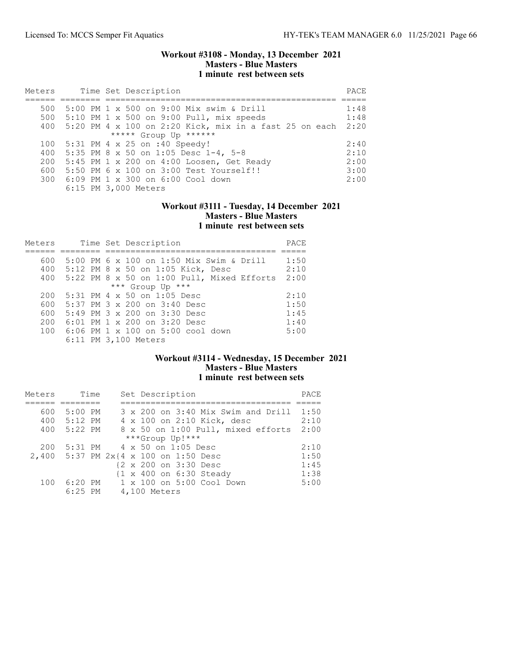### Workout #3108 - Monday, 13 December 2021 Masters - Blue Masters 1 minute rest between sets

| Meters                |  |  | Time Set Description                                     | PACE |  |  |  |
|-----------------------|--|--|----------------------------------------------------------|------|--|--|--|
|                       |  |  |                                                          |      |  |  |  |
| 500                   |  |  | 5:00 PM 1 x 500 on 9:00 Mix swim & Drill                 | 1:48 |  |  |  |
| 500                   |  |  | $5:10$ PM 1 x 500 on 9:00 Pull, mix speeds               | 1:48 |  |  |  |
| 400                   |  |  | $5:20$ PM 4 x 100 on 2:20 Kick, mix in a fast 25 on each | 2:20 |  |  |  |
| ***** Group Up ****** |  |  |                                                          |      |  |  |  |
| 100                   |  |  | 5:31 PM 4 x 25 on :40 Speedy!                            | 2:40 |  |  |  |
| 400                   |  |  | 5:35 PM 8 x 50 on 1:05 Desc $1-4$ , 5-8                  | 2:10 |  |  |  |
| 200                   |  |  | $5:45$ PM 1 x 200 on 4:00 Loosen, Get Ready              | 2:00 |  |  |  |
| 600                   |  |  | 5:50 PM 6 x 100 on 3:00 Test Yourself!!                  | 3:00 |  |  |  |
| 300                   |  |  | 6:09 PM 1 x 300 on 6:00 Cool down                        | 2:00 |  |  |  |
|                       |  |  | 6:15 PM 3,000 Meters                                     |      |  |  |  |

### Workout #3111 - Tuesday, 14 December 2021 Masters - Blue Masters 1 minute rest between sets

| Meters |  | Time Set Description                         | PACE |
|--------|--|----------------------------------------------|------|
|        |  |                                              |      |
| 600    |  | 5:00 PM 6 x 100 on 1:50 Mix Swim & Drill     | 1:50 |
|        |  | 400 5:12 PM 8 x 50 on 1:05 Kick, Desc        | 2:10 |
| 400    |  | $5:22$ PM 8 x 50 on 1:00 Pull, Mixed Efforts | 2:00 |
|        |  | *** Group Up ***                             |      |
| 200    |  | $5:31$ PM 4 x 50 on 1:05 Desc                | 2:10 |
| 600    |  | 5:37 PM 3 x 200 on 3:40 Desc                 | 1:50 |
| 600    |  | $5:49$ PM $3 \times 200$ on $3:30$ Desc      | 1:45 |
| 200    |  | $6:01$ PM 1 x 200 on 3:20 Desc               | 1:40 |
| 100    |  | 6:06 PM 1 x 100 on 5:00 cool down            | 5:00 |
|        |  | 6:11 PM 3,100 Meters                         |      |

# Workout #3114 - Wednesday, 15 December 2021 Masters - Blue Masters 1 minute rest between sets

| Meters | Time      |  | Set Description                         | PACE |
|--------|-----------|--|-----------------------------------------|------|
|        |           |  |                                         |      |
| 600    | 5:00 PM   |  | 3 x 200 on 3:40 Mix Swim and Drill 1:50 |      |
| 400    | 5:12 PM   |  | 4 x 100 on 2:10 Kick, desc              | 2:10 |
| 400    | 5:22 PM   |  | 8 x 50 on 1:00 Pull, mixed efforts      | 2:00 |
|        |           |  | ***Group Up!***                         |      |
| 200    | 5:31 PM   |  | 4 x 50 on 1:05 Desc                     | 2:10 |
|        |           |  | 2,400 5:37 PM 2x{4 x 100 on 1:50 Desc   | 1:50 |
|        |           |  | {2 x 200 on 3:30 Desc                   | 1:45 |
|        |           |  | {1 x 400 on 6:30 Steady                 | 1:38 |
| 100    |           |  | 6:20 PM 1 x 100 on 5:00 Cool Down       | 5:00 |
|        | $6:25$ PM |  | 4,100 Meters                            |      |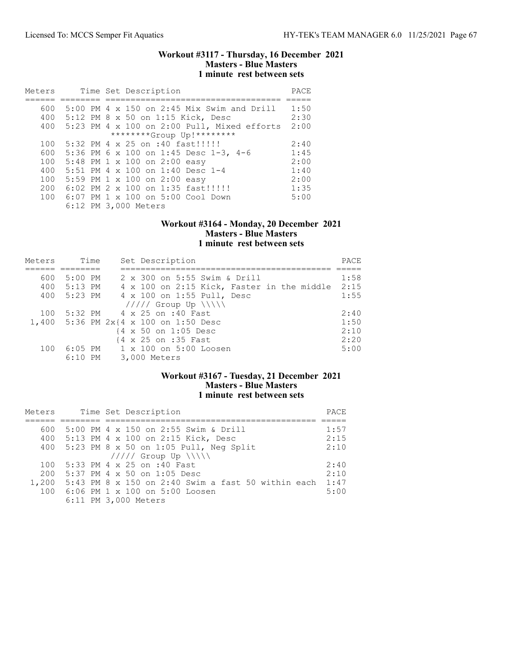### Workout #3117 - Thursday, 16 December 2021 Masters - Blue Masters 1 minute rest between sets

| Meters |  | Time Set Description                         | PACE |
|--------|--|----------------------------------------------|------|
|        |  |                                              |      |
| 600    |  | $5:00$ PM 4 x 150 on 2:45 Mix Swim and Drill | 1:50 |
| 400    |  | 5:12 PM 8 x 50 on 1:15 Kick, Desc            | 2:30 |
| 400    |  | 5:23 PM 4 x 100 on 2:00 Pull, Mixed efforts  | 2:00 |
|        |  | ********Group Up!********                    |      |
| 100    |  | 5:32 PM 4 x 25 on :40 fast!!!!!              | 2:40 |
| 600    |  | 5:36 PM 6 x 100 on 1:45 Desc 1-3, 4-6        | 1:45 |
| 100    |  | 5:48 PM 1 x 100 on 2:00 easy                 | 2:00 |
| 400    |  | 5:51 PM 4 x 100 on 1:40 Desc 1-4             | 1:40 |
| 100    |  | 5:59 PM 1 x 100 on 2:00 easy                 | 2:00 |
| 200    |  | 6:02 PM 2 x 100 on 1:35 fast!!!!!!           | 1:35 |
| 1.00   |  | 6:07 PM 1 x 100 on 5:00 Cool Down            | 5:00 |
|        |  | 6:12 PM 3,000 Meters                         |      |

# Workout #3164 - Monday, 20 December 2021 Masters - Blue Masters 1 minute rest between sets

| Meters | Time        | Set Description                            | PACE |
|--------|-------------|--------------------------------------------|------|
|        |             |                                            |      |
| 600    | 5:00 PM     | 2 x 300 on 5:55 Swim & Drill               | 1:58 |
|        | 400 5:13 PM | 4 x 100 on 2:15 Kick, Faster in the middle | 2:15 |
|        | 400 5:23 PM | 4 x 100 on 1:55 Pull, Desc                 | 1:55 |
|        |             | $11111$ Group Up $\N\$                     |      |
| 100    |             | 5:32 PM 4 x 25 on :40 Fast                 | 2:40 |
|        |             | 1,400 5:36 PM 2x{4 x 100 on 1:50 Desc      | 1:50 |
|        |             | {4 x 50 on 1:05 Desc                       | 2:10 |
|        |             | {4 x 25 on :35 Fast                        | 2:20 |
| 100    |             | 6:05 PM 1 x 100 on 5:00 Loosen             | 5:00 |
|        | $6:10$ PM   | 3,000 Meters                               |      |

# Workout #3167 - Tuesday, 21 December 2021 Masters - Blue Masters 1 minute rest between sets

| Meters |  | Time Set Description                                     | PACE |
|--------|--|----------------------------------------------------------|------|
|        |  |                                                          |      |
| 600    |  | 5:00 PM 4 x 150 on 2:55 Swim & Drill                     | 1:57 |
|        |  | 400 5:13 PM 4 x 100 on 2:15 Kick, Desc                   | 2:15 |
| 400    |  | $5:23$ PM $8 \times 50$ on 1:05 Pull, Neq Split          | 2:10 |
|        |  | $11111$ Group Up $\ \cdot\ $                             |      |
| 100    |  | 5:33 PM 4 x 25 on :40 Fast                               | 2:40 |
| 200    |  | 5:37 PM 4 x 50 on 1:05 Desc                              | 2:10 |
|        |  | 1,200 5:43 PM 8 x 150 on 2:40 Swim a fast 50 within each | 1:47 |
|        |  | 100 6:06 PM 1 x 100 on 5:00 Loosen                       | 5:00 |
|        |  | 6:11 PM 3,000 Meters                                     |      |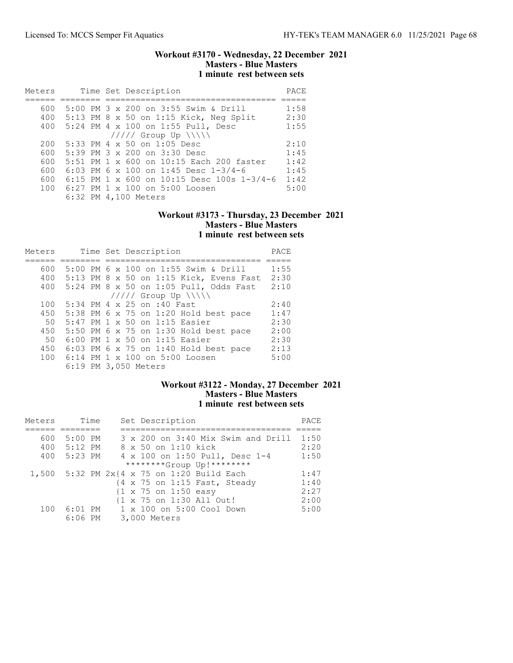### Workout #3170 - Wednesday, 22 December 2021 Masters - Blue Masters 1 minute rest between sets

| Meters |  | Time Set Description                         | PACE |
|--------|--|----------------------------------------------|------|
|        |  |                                              |      |
| 600    |  | 5:00 PM 3 x 200 on 3:55 Swim & Drill         | 1:58 |
| 400    |  | 5:13 PM 8 x 50 on 1:15 Kick, Neg Split       | 2:30 |
| 400    |  | 5:24 PM 4 x 100 on 1:55 Pull, Desc           | 1:55 |
|        |  | $11111$ Group Up $\N\$                       |      |
| 200    |  | $5:33$ PM 4 x 50 on 1:05 Desc                | 2:10 |
| 600    |  | 5:39 PM 3 x 200 on 3:30 Desc                 | 1:45 |
| 600    |  | 5:51 PM 1 x 600 on 10:15 Each 200 faster     | 1:42 |
| 600    |  | 6:03 PM 6 x 100 on 1:45 Desc $1-3/4-6$       | 1:45 |
| 600    |  | 6:15 PM 1 x 600 on 10:15 Desc 100s $1-3/4-6$ | 1:42 |
| 100    |  | 6:27 PM 1 x 100 on 5:00 Loosen               | 5:00 |
|        |  | 6:32 PM 4,100 Meters                         |      |

### Workout #3173 - Thursday, 23 December 2021 Masters - Blue Masters 1 minute rest between sets

| Meters |  | Time Set Description                    | PACE |
|--------|--|-----------------------------------------|------|
|        |  |                                         |      |
| 600    |  | 5:00 PM 6 x 100 on 1:55 Swim & Drill    | 1:55 |
| 400    |  | 5:13 PM 8 x 50 on 1:15 Kick, Evens Fast | 2:30 |
| 400    |  | 5:24 PM 8 x 50 on 1:05 Pull, Odds Fast  | 2:10 |
|        |  | $11111$ Group Up $\ \ $                 |      |
| 100    |  | 5:34 PM 4 x 25 on :40 Fast              | 2:40 |
| 450    |  | 5:38 PM 6 x 75 on 1:20 Hold best pace   | 1:47 |
| 50     |  | 5:47 PM 1 x 50 on 1:15 Easier           | 2:30 |
| 450    |  | 5:50 PM 6 x 75 on 1:30 Hold best pace   | 2:00 |
| 50     |  | $6:00$ PM 1 x 50 on 1:15 Easier         | 2:30 |
| 450    |  | 6:03 PM 6 x 75 on 1:40 Hold best pace   | 2:13 |
| 100    |  | 6:14 PM 1 x 100 on 5:00 Loosen          | 5:00 |
|        |  | 6:19 PM 3,050 Meters                    |      |

#### Workout #3122 - Monday, 27 December 2021 Masters - Blue Masters 1 minute rest between sets

| Meters |           | Time | Set Description                                 | PACE |
|--------|-----------|------|-------------------------------------------------|------|
|        |           |      |                                                 |      |
| 600    | 5:00 PM   |      | 3 x 200 on 3:40 Mix Swim and Drill              | 1:50 |
| 400    | $5:12$ PM |      | 8 x 50 on 1:10 kick                             | 2:20 |
| 400    | 5:23 PM   |      | 4 x 100 on 1:50 Pull, Desc 1-4                  | 1:50 |
|        |           |      | ********Group Up!********                       |      |
|        |           |      | 1,500 5:32 PM 2x{4 x 75 on 1:20 Build Each      | 1:47 |
|        |           |      | {4 x 75 on 1:15 Fast, Steady                    | 1:40 |
|        |           |      | $\{1 \times 75 \text{ on } 1:50 \text{ easy}\}$ | 2:27 |
|        |           |      | {1 x 75 on 1:30 All Out!                        | 2:00 |
| 100    | $6:01$ PM |      | 1 x 100 on 5:00 Cool Down                       | 5:00 |
|        | $6:06$ PM |      | 3,000 Meters                                    |      |